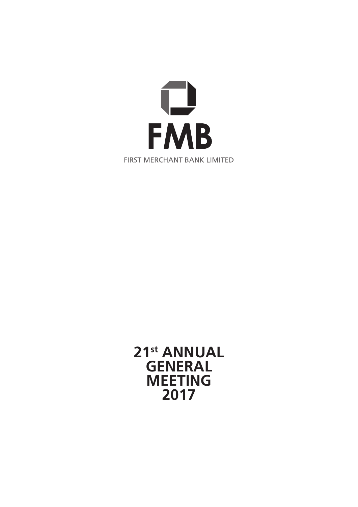

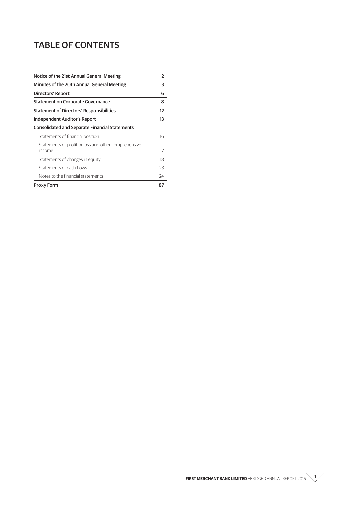# TABLE OF contents

| Notice of the 21st Annual General Meeting                      | 2  |
|----------------------------------------------------------------|----|
| Minutes of the 20th Annual General Meeting                     | 3  |
| Directors' Report                                              | 6  |
| Statement on Corporate Governance                              | 8  |
| <b>Statement of Directors' Responsibilities</b>                | 12 |
| Independent Auditor's Report                                   | 13 |
| <b>Consolidated and Separate Financial Statements</b>          |    |
| Statements of financial position                               | 16 |
| Statements of profit or loss and other comprehensive<br>income | 17 |
| Statements of changes in equity                                | 18 |
| Statements of cash flows                                       | 23 |
| Notes to the financial statements                              | 24 |
| Proxy Form                                                     | 87 |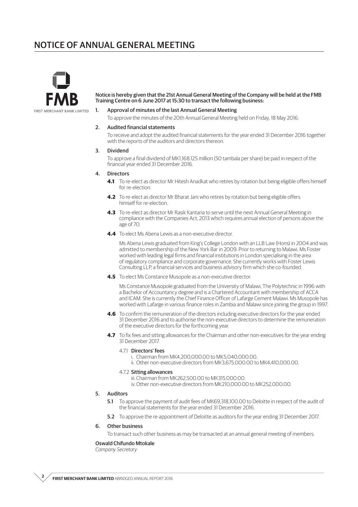# NOTICE OF ANNUAL GENERAL MEETING



Notice is hereby given that the 21st Annual General Meeting of the Company will be held at the FMB Training Centre on 6 June 2017 at 15:30 to transact the following business:

#### 1. Approval of minutes of the last Annual General Meeting

To approve the minutes of the 20th Annual General Meeting held on Friday, 18 May 2016.

#### 2. Audited financial statements

To receive and adopt the audited financial statements for the year ended 31 December 2016 together with the reports of the auditors and directors thereon.

#### 3. Dividend

To approve a final dividend of MK1,168.125 million (50 tambala per share) be paid in respect of the financial year ended 31 December 2016.

#### 4. Directors

- **4.1** To re-elect as director Mr Hitesh Anadkat who retires by rotation but being eligible offers himself for re-election.
- **4.2** To re-elect as director Mr Bharat Jani who retires by rotation but being eligible offers himself for re-election.
- **4.3** To re-elect as director Mr Rasik Kantaria to serve until the next Annual General Meeting in compliance with the Companies Act, 2013 which requires annual election of persons above the age of 70.
- **4.4** To elect Ms Abena Lewis as a non-executive director.

Ms Abena Lewis graduated from King's College London with an LLB Law (Hons) in 2004 and was admitted to membership of the New York Bar in 2009. Prior to returning to Malawi, Ms Foster worked with leading legal firms and financial institutions in London specialising in the area of regulatory compliance and corporate governance. She currently works with Foster Lewis Consulting LLP, a financial services and business advisory firm which she co-founded.

**4.5** To elect Ms Constance Musopole as a non-executive director.

Ms Constance Musopole graduated from the University of Malawi, The Polytechnic in 1996 with a Bachelor of Accountancy degree and is a Chartered Accountant with membership of ACCA and ICAM. She is currently the Chief Finance Officer of Lafarge Cement Malawi. Ms Musopole has worked with Lafarge in various finance roles in Zambia and Malawi since joining the group in 1997.

- **4.6** To confirm the remuneration of the directors including executive directors for the year ended 31 December 2016 and to authorise the non-executive directors to determine the remuneration of the executive directors for the forthcoming year.
- **4.7** To fix fees and sitting allowances for the Chairman and other non-executives for the year ending 31 December 2017.

#### 4.7.1 Directors' fees

- i. Chairman from MK4,200,000.00 to MK5,040,000.00.
- ii. Other non-executive directors from MK3,675,000.00 to MK4,410,000.00.

#### 4.7.2 Sitting allowances

- iii. Chairman from MK262,500.00 to MK315,000.00.
- iv.Other non-executive directors from MK210,000.00 to MK252,000.00.

#### 5. Auditors

- 5.1 To approve the payment of audit fees of MK69,318,100.00 to Deloitte in respect of the audit of the financial statements for the year ended 31 December 2016.
- 5.2 To approve the re-appointment of Deloitte as auditors for the year ending 31 December 2017.

#### 6. Other business

To transact such other business as may be transacted at an annual general meeting of members.

#### Oswald Chifundo Mtokale

*Company Secretary*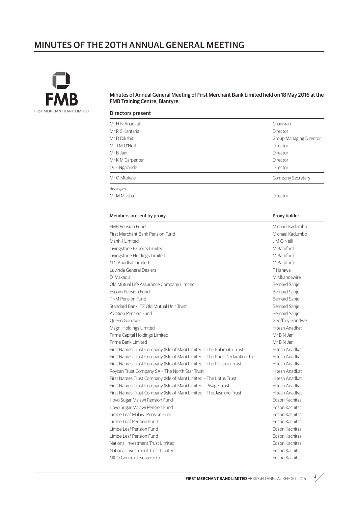# Minutes of the 20th annual general meeting



#### Minutes of Annual General Meeting of First Merchant Bank Limited held on 18 May 2016 at the FMB Training Centre, Blantyre.

#### Directors present

| Mr H N Anadkat   | Chairman                       |
|------------------|--------------------------------|
| Mr R C Kantaria  | Director                       |
| Mr D Dikshit     | <b>Group Managing Director</b> |
| Mr J M O'Neill   | Director                       |
| Mr B Jani        | Director                       |
| Mr K M Carpenter | Director                       |
| Dr E Ngalande    | Director                       |
| Mr O Mtokale     | Company Secretary              |
| Apologies        |                                |
| Mr M Msisha      | Director                       |

| Members present by proxy                                                     | Proxy holder         |
|------------------------------------------------------------------------------|----------------------|
| <b>FMB Pension Fund</b>                                                      | Michael Kadumbo      |
| First Merchant Bank Pension Fund                                             | Michael Kadumbo      |
| Manhill Limited                                                              | J M O'Neill          |
| Livingstone Exports Limited                                                  | M Bamford            |
| Livingstone Holdings Limited                                                 | M Bamford            |
| N.G Anadkat Limited                                                          | M Bamford            |
| <b>Luvinda General Dealers</b>                                               | F Harawa             |
| D. Makadia                                                                   | M Mkandawire         |
| Old Mutual Life Assurance Company Limited                                    | <b>Bernard Sanje</b> |
| <b>Escom Pension Fund</b>                                                    | Bernard Sanje        |
| <b>TNM Pension Fund</b>                                                      | Bernard Sanje        |
| Standard Bank ITF Old Mutual Unit Trust                                      | <b>Bernard Sanje</b> |
| <b>Aviation Pension Fund</b>                                                 | <b>Bernard Sanje</b> |
| Queen Gondwe                                                                 | Geoffrey Gondwe      |
| Magni Holdings Limited                                                       | Hitesh Anadkat       |
| Prime Capital Holdings Limited                                               | Mr B N Jani          |
| Prime Bank Limited                                                           | Mr B N Jani          |
| First Names Trust Company (Isle of Man) Limited - The Kalamata Trust         | Hitesh Anadkat       |
| First Names Trust Company (Isle of Man) Limited - The Raus Declaration Trust | Hitesh Anadkat       |
| First Names Trust Company (Isle of Man) Limited - The Picconia Trust         | Hitesh Anadkat       |
| Roycan Trust Company SA - The North Star Trust                               | Hitesh Anadkat       |
| First Names Trust Company (Isle of Man) Limited - The Lotus Trust            | Hitesh Anadkat       |
| First Names Trust Company (Isle of Man) Limited - Pisage Trust               | Hitesh Anadkat       |
| First Names Trust Company (Isle of Man) Limited - The Jasmine Trust          | Hitesh Anadkat       |
| Illovo Sugar Malawi Pension Fund                                             | Edson Kachitsa       |
| Illovo Sugar Malawi Pension Fund                                             | Edson Kachitsa       |
| Limbe Leaf Malawi Pension Fund                                               | Edson Kachitsa       |
| Limbe Leaf Pension Fund                                                      | Edson Kachitsa       |
| Limbe Leaf Pension Fund                                                      | Edson Kachitsa       |
| Limbe Leaf Pension Fund                                                      | Edson Kachitsa       |
| National Investment Trust Limited                                            | Edson Kachitsa       |
| National Investment Trust Limited                                            | Edson Kachitsa       |
| NICO General Insurance Co                                                    | Edson Kachitsa       |
|                                                                              |                      |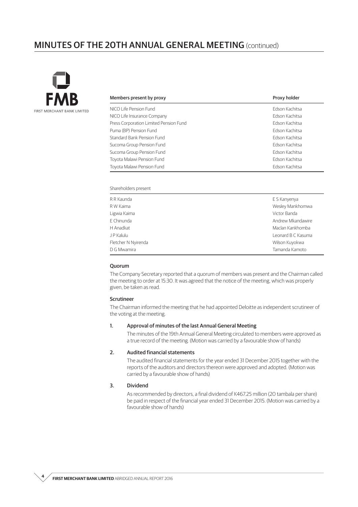# MINUTES OF THE 20TH ANNUAL GENERAL MEETING (continued)



| Members present by proxy               | Proxy holder          |
|----------------------------------------|-----------------------|
| NICO Life Pension Fund                 | <b>Edson Kachitsa</b> |
| NICO Life Insurance Company            | <b>Edson Kachitsa</b> |
| Press Corporation Limited Pension Fund | <b>Edson Kachitsa</b> |
| Puma (BP) Pension Fund                 | <b>Edson Kachitsa</b> |
| Standard Bank Pension Fund             | Edson Kachitsa        |
| Sucoma Group Pension Fund              | <b>Edson Kachitsa</b> |
| Sucoma Group Pension Fund              | Edson Kachitsa        |
| Toyota Malawi Pension Fund             | Edson Kachitsa        |
| Toyota Malawi Pension Fund             | Edson Kachitsa        |

#### Shareholders present

| R R Kaunda          | E S Kanyenya       |
|---------------------|--------------------|
| R W Kaima           | Wesley Mankhomwa   |
| Ligwia Kaima        | Victor Banda       |
| E Chinunda          | Andrew Mkandawire  |
| H Anadkat           | Maclan Kankhomba   |
| J P Kalulu.         | Leonard B C Kasuma |
| Fletcher N Nyirenda | Wilson Kuyokwa     |
| D G Mwamira         | Tamanda Kamoto     |

#### **Ouorum**

The Company Secretary reported that a quorum of members was present and the Chairman called the meeting to order at 15:30. It was agreed that the notice of the meeting, which was properly given, be taken as read.

#### Scrutineer

The Chairman informed the meeting that he had appointed Deloitte as independent scrutineer of the voting at the meeting.

#### 1. Approval of minutes of the last Annual General Meeting

The minutes of the 19th Annual General Meeting circulated to members were approved as a true record of the meeting. (Motion was carried by a favourable show of hands)

#### 2. Audited financial statements

The audited financial statements for the year ended 31 December 2015 together with the reports of the auditors and directors thereon were approved and adopted. (Motion was carried by a favourable show of hands)

#### 3. Dividend

As recommended by directors, a final dividend of K467.25 million (20 tambala per share) be paid in respect of the financial year ended 31 December 2015. (Motion was carried by a favourable show of hands)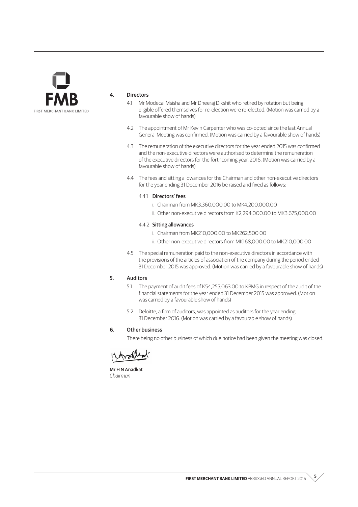

#### 4. Directors

- 4.1 Mr Modecai Msisha and Mr Dheeraj Dikshit who retired by rotation but being eligible offered themselves for re-election were re-elected. (Motion was carried by a favourable show of hands)
- 4.2 The appointment of Mr Kevin Carpenter who was co-opted since the last Annual General Meeting was confirmed. (Motion was carried by a favourable show of hands)
- 4.3 The remuneration of the executive directors for the year ended 2015 was confirmed and the non-executive directors were authorised to determine the remuneration of the executive directors for the forthcoming year, 2016. (Motion was carried by a favourable show of hands)
- 4.4 The fees and sitting allowances for the Chairman and other non-executive directors for the year ending 31 December 2016 be raised and fixed as follows:

#### 4.4.1 Directors' fees

- i. Chairman from MK3,360,000.00 to MK4,200,000.00
- ii. Other non-executive directors from K2,294,000.00 to MK3,675,000.00

#### 4.4.2 Sitting allowances

- i. Chairman from MK210,000.00 to MK262,500.00
- ii. Other non-executive directors from MK168,000.00 to MK210,000.00
- 4.5 The special remuneration paid to the non-executive directors in accordance with the provisions of the articles of association of the company during the period ended 31 December 2015 was approved. (Motion was carried by a favourable show of hands)

#### 5. Auditors

- 5.1 The payment of audit fees of K54,255,063.00 to KPMG in respect of the audit of the financial statements for the year ended 31 December 2015 was approved. (Motion was carried by a favourable show of hands)
- 5.2 Deloitte, a firm of auditors, was appointed as auditors for the year ending 31 December 2016. (Motion was carried by a favourable show of hands)

#### 6. Other business

There being no other business of which due notice had been given the meeting was closed.

Mr H N Anadkat *Chairman*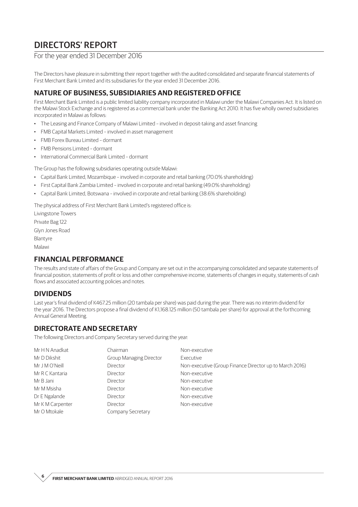# DIRECTORS' REPORT

For the year ended 31 December 2016

The Directors have pleasure in submitting their report together with the audited consolidated and separate financial statements of First Merchant Bank Limited and its subsidiaries for the year ended 31 December 2016.

### **NATURE OF BUSINESS, SUBSIDIARIES AND REGISTERED OFFICE**

First Merchant Bank Limited is a public limited liability company incorporated in Malawi under the Malawi Companies Act. It is listed on the Malawi Stock Exchange and is registered as a commercial bank under the Banking Act 2010. It has five wholly owned subsidiaries incorporated in Malawi as follows:

- • The Leasing and Finance Company of Malawi Limited involved in deposit-taking and asset financing
- FMB Capital Markets Limited involved in asset management
- • FMB Forex Bureau Limited dormant
- • FMB Pensions Limited dormant
- International Commercial Bank Limited dormant

The Group has the following subsidiaries operating outside Malawi:

- • Capital Bank Limited, Mozambique involved in corporate and retail banking (70.0% shareholding)
- • First Capital Bank Zambia Limited involved in corporate and retail banking (49.0% shareholding)
- Capital Bank Limited, Botswana involved in corporate and retail banking (38.6% shareholding)

The physical address of First Merchant Bank Limited's registered office is:

Livingstone Towers Private Bag 122 Glyn Jones Road Blantyre Malawi

## **FINANCIAL PERFORMANCE**

The results and state of affairs of the Group and Company are set out in the accompanying consolidated and separate statements of financial position, statements of profit or loss and other comprehensive income, statements of changes in equity, statements of cash flows and associated accounting policies and notes.

### **DIVIDENDS**

Last year's final dividend of K467.25 million (20 tambala per share) was paid during the year. There was no interim dividend for the year 2016. The Directors propose a final dividend of K1,168.125 million (50 tambala per share) for approval at the forthcoming Annual General Meeting.

### **DIRECTORATE AND SECRETARY**

The following Directors and Company Secretary served during the year:

| Mr H N Anadkat   | Chairman                       | Non-executive                                           |
|------------------|--------------------------------|---------------------------------------------------------|
| Mr D Dikshit     | <b>Group Managing Director</b> | Executive                                               |
| Mr J M O'Neill   | Director                       | Non-executive (Group Finance Director up to March 2016) |
| Mr R C Kantaria  | <b>Director</b>                | Non-executive                                           |
| Mr B Jani        | <b>Director</b>                | Non-executive                                           |
| Mr M Msisha      | <b>Director</b>                | Non-executive                                           |
| Dr E Ngalande    | <b>Director</b>                | Non-executive                                           |
| Mr K M Carpenter | <b>Director</b>                | Non-executive                                           |
| Mr O Mtokale     | Company Secretary              |                                                         |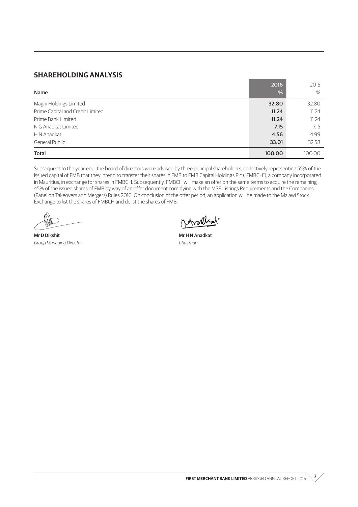# **SHAREHOLDING ANALYSIS**

|                                  | 2016          | 2015   |
|----------------------------------|---------------|--------|
| Name                             | $\frac{9}{6}$ | %      |
| Magni Holdings Limited           | 32.80         | 32.80  |
| Prime Capital and Credit Limited | 11.24         | 11.24  |
| Prime Bank Limited               | 11.24         | 11.24  |
| N G Anadkat Limited              | 7.15          | 7.15   |
| H N Anadkat                      | 4.56          | 4.99   |
| General Public                   | 33.01         | 32.58  |
| <b>Total</b>                     | 100.00        | 100.00 |

Subsequent to the year-end, the board of directors were advised by three principal shareholders, collectively representing 55% of the issued capital of FMB that they intend to transfer their shares in FMB to FMB Capital Holdings Plc ("FMBCH"), a company incorporated in Mauritius, in exchange for shares in FMBCH. Subsequently, FMBCH will make an offer on the same terms to acquire the remaining 45% of the issued shares of FMB by way of an offer document complying with the MSE Listings Requirements and the Companies (Panel on Takeovers and Mergers) Rules 2016. On conclusion of the offer period, an application will be made to the Malawi Stock Exchange to list the shares of FMBCH and delist the shares of FMB.

Mr D Dikshit Mr H N Anadkat *Group Managing Director Chairman*

trolliat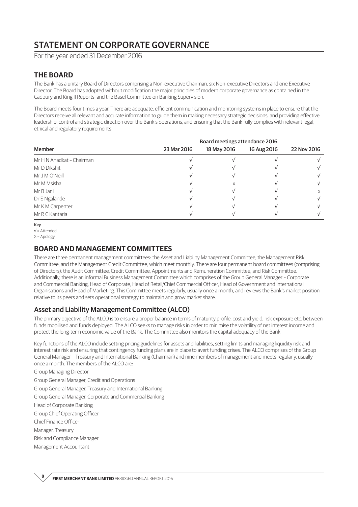# STATEMENT ON CORPORATE GOVERNANCE

For the year ended 31 December 2016

### **THE BOARD**

The Bank has a unitary Board of Directors comprising a Non-executive Chairman, six Non-executive Directors and one Executive Director. The Board has adopted without modification the major principles of modern corporate governance as contained in the Cadbury and King II Reports, and the Basel Committee on Banking Supervision.

The Board meets four times a year. There are adequate, efficient communication and monitoring systems in place to ensure that the Directors receive all relevant and accurate information to guide them in making necessary strategic decisions, and providing effective leadership, control and strategic direction over the Bank's operations, and ensuring that the Bank fully complies with relevant legal, ethical and regulatory requirements.

|                           | Board meetings attendance 2016 |             |             |             |
|---------------------------|--------------------------------|-------------|-------------|-------------|
| <b>Member</b>             | 23 Mar 2016                    | 18 May 2016 | 16 Aug 2016 | 22 Nov 2016 |
| Mr H N Anadkat - Chairman |                                |             |             |             |
| Mr D Dikshit              |                                |             |             |             |
| Mr J M O'Neill            |                                |             |             |             |
| Mr M Msisha               |                                |             |             |             |
| Mr B Jani                 |                                |             |             | X           |
| Dr E Ngalande             |                                |             |             |             |
| Mr K M Carpenter          |                                |             |             |             |
| Mr R C Kantaria           |                                |             |             |             |

Key

### **BOARD AND MANAGEMENT COMMITTEES**

There are three permanent management committees: the Asset and Liability Management Committee, the Management Risk Committee, and the Management Credit Committee, which meet monthly. There are four permanent board committees (comprising of Directors): the Audit Committee, Credit Committee, Appointments and Remuneration Committee, and Risk Committee. Additionally, there is an informal Business Management Committee which comprises of the Group General Manager – Corporate and Commercial Banking, Head of Corporate, Head of Retail/Chief Commercial Officer, Head of Government and International Organisations and Head of Marketing. This Committee meets regularly, usually once a month, and reviews the Bank's market position relative to its peers and sets operational strategy to maintain and grow market share.

## Asset and Liability Management Committee (ALCO)

The primary objective of the ALCO is to ensure a proper balance in terms of maturity profile, cost and yield, risk exposure etc. between funds mobilised and funds deployed. The ALCO seeks to manage risks in order to minimise the volatility of net interest income and protect the long-term economic value of the Bank. The Committee also monitors the capital adequacy of the Bank.

Key functions of the ALCO include setting pricing guidelines for assets and liabilities, setting limits and managing liquidity risk and interest rate risk and ensuring that contingency funding plans are in place to avert funding crises. The ALCO comprises of the Group General Manager – Treasury and International Banking (Chairman) and nine members of management and meets regularly, usually once a month. The members of the ALCO are:

Group Managing Director Group General Manager, Credit and Operations Group General Manager, Treasury and International Banking Group General Manager, Corporate and Commercial Banking Head of Corporate Banking Group Chief Operating Officer Chief Finance Officer Manager, Treasury Risk and Compliance Manager Management Accountant

<sup>√</sup> = Attended  $X =$ Anology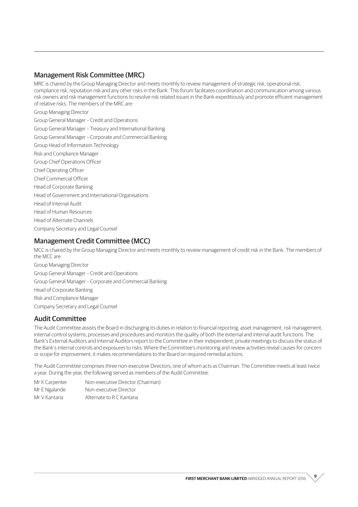# Management Risk Committee (MRC)

MRC is chaired by the Group Managing Director and meets monthly to review management of strategic risk, operational risk, compliance risk, reputation risk and any other risks in the Bank. This forum facilitates coordination and communication among various risk owners and risk management functions to resolve risk related issues in the Bank expeditiously and promote efficient management of relative risks. The members of the MRC are:

Group Managing Director Group General Manager – Credit and Operations Group General Manager – Treasury and International Banking Group General Manager – Corporate and Commercial Banking Group Head of Information Technology Risk and Compliance Manager Group Chief Operations Officer Chief Operating Officer Chief Commercial Officer Head of Corporate Banking Head of Government and International Organisations Head of Internal Audit Head of Human Resources Head of Alternate Channels Company Secretary and Legal Counsel

# Management Credit Committee (MCC)

MCC is chaired by the Group Managing Director and meets monthly to review management of credit risk in the Bank. The members of the MCC are:

Group Managing Director Group General Manager – Credit and Operations Group General Manager – Corporate and Commercial Banking Head of Corporate Banking Risk and Compliance Manager Company Secretary and Legal Counsel

## Audit Committee

The Audit Committee assists the Board in discharging its duties in relation to financial reporting, asset management, risk management, internal control systems, processes and procedures and monitors the quality of both the external and internal audit functions. The Bank's External Auditors and Internal Auditors report to the Committee in their independent, private meetings to discuss the status of the Bank's internal controls and exposures to risks. Where the Committee's monitoring and review activities reveal causes for concern or scope for improvement, it makes recommendations to the Board on required remedial actions.

The Audit Committee comprises three non-executive Directors, one of whom acts as Chairman. The Committee meets at least twice a year. During the year, the following served as members of the Audit Committee:

Mr K Carpenter Non-executive Director (Chairman) Mr E Ngalande Non-executive Director Mr V Kantaria **Alternate to R C Kantaria**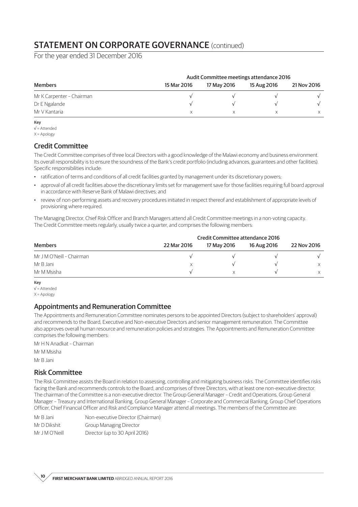# **STATEMENT ON CORPORATE GOVERNANCE (continued)**

For the year ended 31 December 2016

|                           | Audit Committee meetings attendance 2016 |             |             |             |
|---------------------------|------------------------------------------|-------------|-------------|-------------|
| <b>Members</b>            | 15 Mar 2016                              | 17 May 2016 | 15 Aug 2016 | 21 Nov 2016 |
| Mr K Carpenter - Chairman |                                          |             |             |             |
| Dr E Ngalande             |                                          |             |             |             |
| Mr V Kantaria             |                                          |             |             |             |

Key

√ = Attended

X = Apology

### Credit Committee

The Credit Committee comprises of three local Directors with a good knowledge of the Malawi economy and business environment. Its overall responsibility is to ensure the soundness of the Bank's credit portfolio (including advances, guarantees and other facilities). Specific responsibilities include:

- • ratification of terms and conditions of all credit facilities granted by management under its discretionary powers;
- approval of all credit facilities above the discretionary limits set for management save for those facilities requiring full board approval in accordance with Reserve Bank of Malawi directives; and
- • review of non-performing assets and recovery procedures initiated in respect thereof and establishment of appropriate levels of provisioning where required.

The Managing Director, Chief Risk Officer and Branch Managers attend all Credit Committee meetings in a non-voting capacity. The Credit Committee meets regularly, usually twice a quarter, and comprises the following members:

|                           | Credit Committee attendance 2016 |             |             |             |
|---------------------------|----------------------------------|-------------|-------------|-------------|
| <b>Members</b>            | 22 Mar 2016                      | 17 May 2016 | 16 Aug 2016 | 22 Nov 2016 |
| Mr J M O'Neill - Chairman |                                  |             |             |             |
| Mr B Jani                 | X                                |             |             | $\times$    |
| Mr M Msisha               |                                  | $\times$    |             | $\times$    |

Key

# Appointments and Remuneration Committee

The Appointments and Remuneration Committee nominates persons to be appointed Directors (subject to shareholders' approval) and recommends to the Board, Executive and Non-executive Directors and senior management remuneration. The Committee also approves overall human resource and remuneration policies and strategies. The Appointments and Remuneration Committee comprises the following members:

Mr H N Anadkat – Chairman

Mr M Msisha

Mr B Jani

## Risk Committee

The Risk Committee assists the Board in relation to assessing, controlling and mitigating business risks. The Committee identifies risks facing the Bank and recommends controls to the Board, and comprises of three Directors, with at least one non-executive director. The chairman of the Committee is a non-executive director. The Group General Manager – Credit and Operations, Group General Manager – Treasury and International Banking, Group General Manager – Corporate and Commercial Banking, Group Chief Operations Officer, Chief Financial Officer and Risk and Compliance Manager attend all meetings. The members of the Committee are:

| Mr B Jani      | Non-executive Director (Chairman) |
|----------------|-----------------------------------|
| Mr D Dikshit   | <b>Group Managing Director</b>    |
| Mr J M O'Neill | Director (up to 30 April 2016)    |

<sup>√</sup> = Attended X = Apology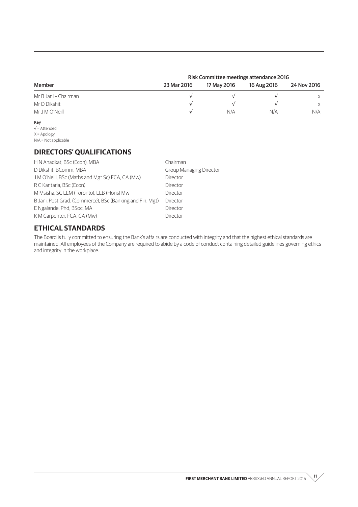|                      | Risk Committee meetings attendance 2016 |             |             |             |
|----------------------|-----------------------------------------|-------------|-------------|-------------|
| Member               | 23 Mar 2016                             | 17 May 2016 | 16 Aug 2016 | 24 Nov 2016 |
| Mr B Jani - Chairman |                                         |             |             | $\times$    |
| Mr D Dikshit         |                                         |             |             | $\times$    |
| Mr J M O'Neill       |                                         | N/A         | N/A         | N/A         |

#### Key

 $\sqrt{\ }$  = Attended X = Apology N/A = Not applicable

# **DIRECTORS' QUALIFICATIONS**

| H N Anadkat, BSc (Econ), MBA                              | Chairman                       |
|-----------------------------------------------------------|--------------------------------|
| D Dikshit, BComm, MBA                                     | <b>Group Managing Director</b> |
| J M O'Neill, BSc (Maths and Mgt Sc) FCA, CA (Mw)          | Director                       |
| R C Kantaria, BSc (Econ)                                  | Director                       |
| M Msisha, SC LLM (Toronto), LLB (Hons) Mw                 | Director                       |
| B Jani, Post Grad. (Commerce), BSc (Banking and Fin. Mgt) | Director                       |
| E Ngalande, Phd, BSoc, MA                                 | Director                       |
| K M Carpenter, FCA, CA (Mw)                               | Director                       |
|                                                           |                                |

# **ETHICAL STANDARDS**

The Board is fully committed to ensuring the Bank's affairs are conducted with integrity and that the highest ethical standards are maintained. All employees of the Company are required to abide by a code of conduct containing detailed guidelines governing ethics and integrity in the workplace.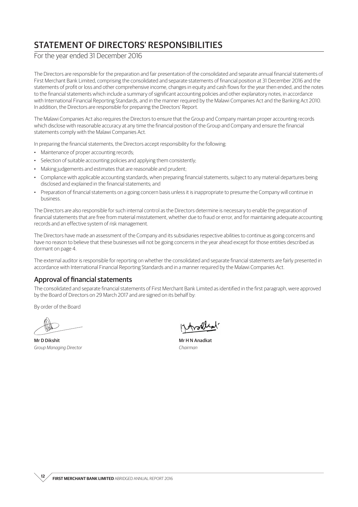# STATEMENT OF DIRECTORS' RESPONSIBILITIES

For the year ended 31 December 2016

The Directors are responsible for the preparation and fair presentation of the consolidated and separate annual financial statements of First Merchant Bank Limited, comprising the consolidated and separate statements of financial position at 31 December 2016 and the statements of profit or loss and other comprehensive income, changes in equity and cash flows for the year then ended, and the notes to the financial statements which include a summary of significant accounting policies and other explanatory notes, in accordance with International Financial Reporting Standards, and in the manner required by the Malawi Companies Act and the Banking Act 2010. In addition, the Directors are responsible for preparing the Directors' Report.

The Malawi Companies Act also requires the Directors to ensure that the Group and Company maintain proper accounting records which disclose with reasonable accuracy at any time the financial position of the Group and Company and ensure the financial statements comply with the Malawi Companies Act.

In preparing the financial statements, the Directors accept responsibility for the following:

- Maintenance of proper accounting records;
- Selection of suitable accounting policies and applying them consistently;
- Making judgements and estimates that are reasonable and prudent:
- Compliance with applicable accounting standards, when preparing financial statements, subject to any material departures being disclosed and explained in the financial statements; and
- • Preparation of financial statements on a going concern basis unless it is inappropriate to presume the Company will continue in business.

The Directors are also responsible for such internal control as the Directors determine is necessary to enable the preparation of financial statements that are free from material misstatement, whether due to fraud or error, and for maintaining adequate accounting records and an effective system of risk management.

The Directors have made an assessment of the Company and its subsidiaries respective abilities to continue as going concerns and have no reason to believe that these businesses will not be going concerns in the year ahead except for those entities described as dormant on page 4.

The external auditor is responsible for reporting on whether the consolidated and separate financial statements are fairly presented in accordance with International Financial Reporting Standards and in a manner required by the Malawi Companies Act.

### Approval of financial statements

The consolidated and separate financial statements of First Merchant Bank Limited as identified in the first paragraph, were approved by the Board of Directors on 29 March 2017 and are signed on its behalf by:

By order of the Board

Mr D Dikshit Mr H N Anadkat *Group Managing Director Chairman*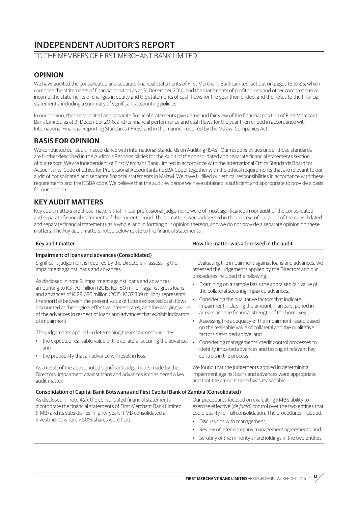# INDEPENDENT AUDITOR'S REPORT

### TO THE MEMBERS OF FIRST MERCHANT BANK LIMITED

### **Opinion**

We have audited the consolidated and separate financial statements of First Merchant Bank Limited, set out on pages 16 to 85, which comprise the statements of financial position as at 31 December 2016, and the statements of profit or loss and other comprehensive income, the statements of changes in equity and the statements of cash flows for the year then ended, and the notes to the financial statements, including a summary of significant accounting policies.

In our opinion, the consolidated and separate financial statements give a true and fair view of the financial position of First Merchant Bank Limited as at 31 December 2016, and its financial performance and cash flows for the year then ended in accordance with International Financial Reporting Standards (IFRSs) and in the manner required by the Malawi Companies Act.

## **Basis for opinion**

We conducted our audit in accordance with International Standards on Auditing (ISAs). Our responsibilities under those standards are further described in the Auditor's Responsibilities for the Audit of the consolidated and separate financial statements section of our report. We are independent of First Merchant Bank Limited in accordance with the International Ethics Standards Board for Accountants' Code of Ethics for Professional Accountants (IESBA Code) together with the ethical requirements that are relevant to our audit of consolidated and separate financial statements in Malawi. We have fulfilled our ethical responsibilities in accordance with these requirements and the IESBA code. We believe that the audit evidence we have obtained is sufficient and appropriate to provide a basis for our opinion.

# **Key audit matters**

Key audit matters are those matters that, in our professional judgement, were of most significance in our audit of the consolidated and separate financial statements of the current period. These matters were addressed in the context of our audit of the consolidated and separate financial statements as a whole, and in forming our opinion thereon, and we do not provide a separate opinion on these matters. The key audit matters noted below relate to the financial statements.

#### Impairment of loans and advances (Consolidated)

Significant judgement is required by the Directors in assessing the impairment against loans and advances.

As disclosed in note 9, impairment against loans and advances amounting to K3 170 million (2015: K3 180 million) against gross loans and advances of K129 695 million (2015: K107 339 million), represents the shortfall between the present value of future expected cash flows, discounted at the original effective interest rates, and the carrying value of the advances in respect of loans and advances that exhibit indicators of impairment.

The judgements applied in determining the impairment include:

- the expected realisable value of the collateral securing the advance; and
- the probability that an advance will result in loss.

As a result of the above noted significant judgements made by the Directors, impairment against loans and advances is considered a key audit matter.

### Key audit matter **How the matter was addressed in the audit** How the matter was addressed in the audit

In evaluating the impairment against loans and advances, we assessed the judgements applied by the Directors and our procedures included the following:

- Examining on a sample basis the appraised fair value of the collateral securing impaired advances;
- Considering the qualitative factors that indicate impairment including the amount in arrears, period in arrears and the financial strength of the borrower;
- Assessing the adequacy of the impairment raised based on the realisable value of collateral and the qualitative factors described above; and
- Considering managements' credit control processes to identify impaired advances and testing of relevant key controls in the process.

We found that the judgements applied in determining impairment against loans and advances were appropriate and that the amount raised was reasonable.

#### Consolidation of Capital Bank Botswana and First Capital Bank of Zambia (Consolidated)

As disclosed in note 4(a), the consolidated financial statements incorporate the financial statements of First Merchant Bank Limited (FMB) and its subsidiaries. In prior years, FMB consolidated all investments where > 50% shares were held.

Our procedures focused on evaluating FMB's ability to exercise effective (*de facto*) control over the two entities that could qualify for full consolidation. The procedures included:

- Discussions with management-
- Review of inter-company management agreements; and
- Scrutiny of the minority shareholdings in the two entities.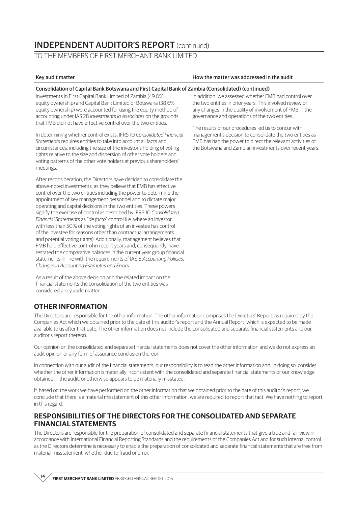# INDEPENDENT AUDITOR'S REPORT (continued)

TO THE MEMBERS OF FIRST MERCHANT BANK LIMITED

#### Key audit matter **How the matter was addressed in the audit** How the matter was addressed in the audit

#### Consolidation of Capital Bank Botswana and First Capital Bank of Zambia (Consolidated) (continued)

Investments in First Capital Bank Limited of Zambia (49.0% equity ownership) and Capital Bank Limited of Botswana (38.6% equity ownership) were accounted for using the equity method of accounting under IAS 28 *Investments in Associates* on the grounds that FMB did not have effective control over the two entities.

In determining whether control exists, IFRS 10 *Consolidated Financial Statements* requires entities to take into account all facts and circumstances, including the size of the investor's holding of voting rights relative to the size and dispersion of other vote holders and voting patterns of the other vote holders at previous shareholders' meetings.

After reconsideration, the Directors have decided to consolidate the above-noted investments, as they believe that FMB has effective control over the two entities including the power to determine the appointment of key management personnel and to dictate major operating and capital decisions in the two entities. These powers signify the exercise of control as described by IFRS 10 *Consolidated Financial Statements* as *"de facto"* control (i.e. where an investor with less than 50% of the voting rights of an investee has control of the investee for reasons other than contractual arrangements and potential voting rights). Additionally, management believes that FMB held effective control in recent years and, consequently, have restated the comparative balances in the current year group financial statements in line with the requirements of IAS 8 *Accounting Policies, Changes in Accounting Estimates and Errors*.

As a result of the above decision and the related impact on the financial statements the consolidation of the two entities was considered a key audit matter.

# **Other information**

The Directors are responsible for the other information. The other information comprises the Directors' Report, as required by the Companies Act which we obtained prior to the date of this auditor's report and the Annual Report, which is expected to be made available to us after that date. The other information does not include the consolidated and separate financial statements and our auditor's report thereon.

Our opinion on the consolidated and separate financial statements does not cover the other information and we do not express an audit opinion or any form of assurance conclusion thereon.

In connection with our audit of the financial statements, our responsibility is to read the other information and, in doing so, consider whether the other information is materially inconsistent with the consolidated and separate financial statements or our knowledge obtained in the audit, or otherwise appears to be materially misstated.

If, based on the work we have performed on the other information that we obtained prior to the date of this auditor's report, we conclude that there is a material misstatement of this other information, we are required to report that fact. We have nothing to report in this regard.

## **Responsibilities of the directors for the consolidated and separate financial statements**

The Directors are responsible for the preparation of consolidated and separate financial statements that give a true and fair view in accordance with International Financial Reporting Standards and the requirements of the Companies Act and for such internal control as the Directors determine is necessary to enable the preparation of consolidated and separate financial statements that are free from material misstatement, whether due to fraud or error.

In addition, we assessed whether FMB had control over the two entities in prior years. This involved review of any changes in the quality of involvement of FMB in the governance and operations of the two entities.

The results of our procedures led us to concur with management's decision to consolidate the two entities as FMB has had the power to direct the relevant activities of the Botswana and Zambian investments over recent years.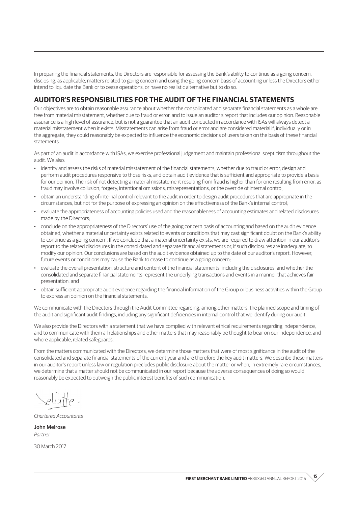In preparing the financial statements, the Directors are responsible for assessing the Bank's ability to continue as a going concern, disclosing, as applicable, matters related to going concern and using the going concern basis of accounting unless the Directors either intend to liquidate the Bank or to cease operations, or have no realistic alternative but to do so.

# **Auditor's responsibilities for the audit of the financial statements**

Our objectives are to obtain reasonable assurance about whether the consolidated and separate financial statements as a whole are free from material misstatement, whether due to fraud or error, and to issue an auditor's report that includes our opinion. Reasonable assurance is a high level of assurance, but is not a guarantee that an audit conducted in accordance with ISAs will always detect a material misstatement when it exists. Misstatements can arise from fraud or error and are considered material if, individually or in the aggregate, they could reasonably be expected to influence the economic decisions of users taken on the basis of these financial statements.

As part of an audit in accordance with ISAs, we exercise professional judgement and maintain professional scepticism throughout the audit. We also:

- identify and assess the risks of material misstatement of the financial statements, whether due to fraud or error, design and perform audit procedures responsive to those risks, and obtain audit evidence that is sufficient and appropriate to provide a basis for our opinion. The risk of not detecting a material misstatement resulting from fraud is higher than for one resulting from error, as fraud may involve collusion, forgery, intentional omissions, misrepresentations, or the override of internal control;
- obtain an understanding of internal control relevant to the audit in order to design audit procedures that are appropriate in the circumstances, but not for the purpose of expressing an opinion on the effectiveness of the Bank's internal control;
- • evaluate the appropriateness of accounting policies used and the reasonableness of accounting estimates and related disclosures made by the Directors;
- conclude on the appropriateness of the Directors' use of the going concern basis of accounting and based on the audit evidence obtained, whether a material uncertainty exists related to events or conditions that may cast significant doubt on the Bank's ability to continue as a going concern. If we conclude that a material uncertainty exists, we are required to draw attention in our auditor's report to the related disclosures in the consolidated and separate financial statements or, if such disclosures are inadequate, to modify our opinion. Our conclusions are based on the audit evidence obtained up to the date of our auditor's report. However, future events or conditions may cause the Bank to cease to continue as a going concern;
- evaluate the overall presentation, structure and content of the financial statements, including the disclosures, and whether the consolidated and separate financial statements represent the underlying transactions and events in a manner that achieves fair presentation; and
- obtain sufficient appropriate audit evidence regarding the financial information of the Group or business activities within the Group to express an opinion on the financial statements.

We communicate with the Directors through the Audit Committee regarding, among other matters, the planned scope and timing of the audit and significant audit findings, including any significant deficiencies in internal control that we identify during our audit.

We also provide the Directors with a statement that we have complied with relevant ethical requirements regarding independence, and to communicate with them all relationships and other matters that may reasonably be thought to bear on our independence, and where applicable, related safeguards.

From the matters communicated with the Directors, we determine those matters that were of most significance in the audit of the consolidated and separate financial statements of the current year and are therefore the key audit matters. We describe these matters in our auditor's report unless law or regulation precludes public disclosure about the matter or when, in extremely rare circumstances, we determine that a matter should not be communicated in our report because the adverse consequences of doing so would reasonably be expected to outweigh the public interest benefits of such communication.

*Chartered Accountants*

John Melrose *Partner*

30 March 2017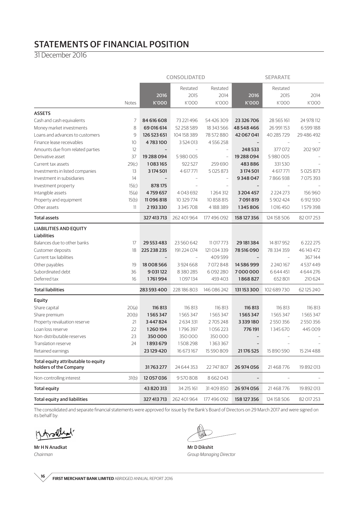# STATEMENTS OF FINANCIAL POSITION

31 December 2016

|                                                               |       |               | CONSOLIDATED             |               | <b>SEPARATE</b> |                          |               |  |
|---------------------------------------------------------------|-------|---------------|--------------------------|---------------|-----------------|--------------------------|---------------|--|
|                                                               |       |               | Restated                 | Restated      |                 | Restated                 |               |  |
|                                                               |       | 2016          | 2015                     | 2014          | 2016            | 2015                     | 2014          |  |
|                                                               | Notes | <b>K'000</b>  | <b>K'000</b>             | <b>K'000</b>  | <b>K'000</b>    | <b>K'000</b>             | K'000         |  |
| <b>ASSETS</b>                                                 |       |               |                          |               |                 |                          |               |  |
| Cash and cash equivalents                                     | 7     | 84 616 608    | 73 221 496               | 54 426 309    | 23 326 706      | 28 5 65 161              | 24 978 112    |  |
| Money market investments                                      | 8     | 69 016 614    | 52 258 589               | 18 343 566    | 48548466        | 26 991 153               | 6599188       |  |
| Loans and advances to customers                               | 9     | 126 523 651   | 104 158 389              | 78 572 880    | 42 067 041      | 40 285 729               | 29 48 6 49 2  |  |
| Finance lease receivables                                     | 10    | 4783100       | 3 5 24 0 13              | 4556258       |                 |                          |               |  |
| Amounts due from related parties                              | 12    |               |                          |               | 248533          | 377072                   | 202 907       |  |
| Derivative asset                                              | 37    | 19 288 094    | 5980005                  |               | 19 288 094      | 5980005                  |               |  |
| Current tax assets                                            | 29(c) | 1083165       | 922527                   | 259690        | 483886          | 331530                   |               |  |
| Investments in listed companies                               | 13    | 3 174 501     | 4 617 771                | 5 0 2 5 8 7 3 | 3 174 501       | 4 617 771                | 5 0 25 8 73   |  |
| Investment in subsidiaries                                    | 14    |               |                          |               | 9348047         | 7866938                  | 7075393       |  |
| Investment property                                           | 15(c) | 878175        |                          |               |                 |                          |               |  |
| Intangible assets                                             | 15(a) | 4759657       | 4043692                  | 1264312       | 3 2 0 4 4 5 7   | 2 2 2 4 2 7 3            | 156 960       |  |
| Property and equipment                                        | 15(b) | 11096818      | 10 329 774               | 10 858 815    | 7091819         | 5902424                  | 6 912 930     |  |
| Other assets                                                  | 11    | 2 193 3 3 0   | 3 3 4 5 7 0 8            | 4188389       | 1345806         | 1016450                  | 1579398       |  |
| <b>Total assets</b>                                           |       | 327 413 713   | 262 401 964              | 177 496 092   | 158 127 356     | 124 158 506              | 82 017 253    |  |
| <b>LIABILITIES AND EQUITY</b>                                 |       |               |                          |               |                 |                          |               |  |
| Liabilities                                                   |       |               |                          |               |                 |                          |               |  |
| Balances due to other banks                                   | 17    | 29 553 483    | 23 560 642               | 11 017 773    | 29 181 384      | 14 817 952               | 6 2 2 2 2 7 5 |  |
| Customer deposits                                             | 18    | 225 238 235   | 191 224 074              | 121 034 339   | 78 516 090      | 78 334 359               | 46 143 472    |  |
| Current tax liabilities                                       |       |               | $\overline{\phantom{a}}$ | 409599        |                 | $\overline{\phantom{a}}$ | 367144        |  |
| Other payables                                                | 19    | 18 008 566    | 3924668                  | 7072848       | 14 586 999      | 2 240 167                | 4537449       |  |
| Subordinated debt                                             | 36    | 9031122       | 8380285                  | 6092280       | 7000000         | 6644451                  | 4644276       |  |
| Deferred tax                                                  | 16    | 1761994       | 1097134                  | 459 403       | 1868827         | 652 801                  | 210 624       |  |
| <b>Total liabilities</b>                                      |       | 283 593 400   | 228 186 803              | 146 086 242   | 131 153 300     | 102 689 730              | 62125240      |  |
| Equity                                                        |       |               |                          |               |                 |                          |               |  |
| Share capital                                                 | 2O(a) | 116 813       | 116 813                  | 116 813       | 116 813         | 116 813                  | 116 813       |  |
| Share premium                                                 | 2O(b) | 1565347       | 1565347                  | 1565347       | 1565347         | 1565347                  | 1565347       |  |
| Property revaluation reserve                                  | 21    | 3 4 4 7 8 2 4 | 2634331                  | 2705248       | 3339180         | 2550356                  | 2550356       |  |
| Loan loss reserve                                             | 22    | 1260194       | 1796 397                 | 1056223       | 776191          | 1345 670                 | 445009        |  |
| Non-distributable reserves                                    | 23    | 350000        | 350000                   | 350000        |                 |                          |               |  |
| Translation reserve                                           | 24    | 1893679       | 1508298                  | 1363367       |                 |                          |               |  |
| Retained earnings                                             |       | 23 129 420    | 16 673 167               | 15 590 809    | 21176525        | 15 890 590               | 15 214 488    |  |
| Total equity attributable to equity<br>holders of the Company |       | 31763277      | 24 644 353               | 22 747 807    | 26 974 056      | 21468776                 |               |  |
|                                                               |       |               |                          |               |                 |                          | 19 892 013    |  |
| Non-controlling interest                                      | 31(b) | 12 057 036    | 9570808                  | 8662043       |                 |                          |               |  |
| <b>Total equity</b>                                           |       | 43 820 313    | 34 215 161               | 31409850      | 26 974 056      | 21 4 68 7 7 6            | 19 892 013    |  |
| Total equity and liabilities                                  |       | 327 413 713   | 262 401 964              | 177 496 092   | 158 127 356     | 124 158 506              | 82 017 253    |  |

The consolidated and separate financial statements were approved for issue by the Bank's Board of Directors on 29 March 2017 and were signed on its behalf by:

tollial  $M$ 

Mr H N Anadkat Mr D Dikshit

*Chairman Group Managing Director*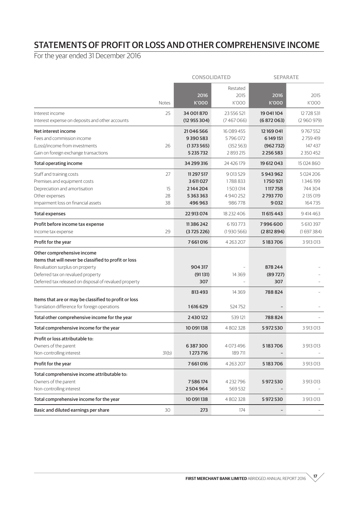# STATEMENTS OF PROFIT OR LOSS AND OTHER COMPREHENSIVE INCOME

For the year ended 31 December 2016

|                                                                                                                                                                                                                       |                      | CONSOLIDATED                                             |                                                       | <b>SEPARATE</b>                                      |                                                   |
|-----------------------------------------------------------------------------------------------------------------------------------------------------------------------------------------------------------------------|----------------------|----------------------------------------------------------|-------------------------------------------------------|------------------------------------------------------|---------------------------------------------------|
|                                                                                                                                                                                                                       | Notes                | 2016<br><b>K'000</b>                                     | Restated<br>2015<br><b>K'000</b>                      | 2016<br><b>K'000</b>                                 | 2015<br><b>K'000</b>                              |
| Interest income<br>Interest expense on deposits and other accounts                                                                                                                                                    | 25                   | 34 001 870<br>(12955304)                                 | 23 556 521<br>(7467066)                               | 19 041 104<br>(6872063)                              | 12728531<br>(2960979)                             |
| Net interest income<br>Fees and commission income<br>(Loss)/income from investments<br>Gain on foreign exchange transactions                                                                                          | 26                   | 21046566<br>9390583<br>(1373565)<br>5 2 3 5 7 3 2        | 16 089 455<br>5796072<br>(352 563)<br>2 8 9 3 2 1 5   | 12 169 041<br>6 149 151<br>(962732)<br>2 2 5 6 5 8 3 | 9767552<br>2759419<br>147 437<br>2 3 5 0 4 5 2    |
| Total operating income                                                                                                                                                                                                |                      | 34 299 316                                               | 24 426 179                                            | 19 612 043                                           | 15 024 860                                        |
| Staff and training costs<br>Premises and equipment costs<br>Depreciation and amortisation<br>Other expenses<br>Impairment loss on financial assets                                                                    | 27<br>15<br>28<br>38 | 11 297 517<br>3 611 027<br>2144204<br>5363363<br>496 963 | 9 013 5 29<br>1788833<br>1503014<br>4940252<br>986778 | 5943962<br>1750921<br>1117758<br>2793770<br>9032     | 5024206<br>1346199<br>744304<br>2135019<br>164735 |
| <b>Total expenses</b>                                                                                                                                                                                                 |                      | 22 913 074                                               | 18 232 406                                            | 11 615 443                                           | 9414463                                           |
| Profit before income tax expense<br>Income tax expense                                                                                                                                                                | 29                   | 11386242<br>(3725226)                                    | 6 193 773<br>(1930566)                                | 7996600<br>(2812894)                                 | 5 610 397<br>(1697384)                            |
| Profit for the year                                                                                                                                                                                                   |                      | 7661016                                                  | 4 2 6 3 2 0 7                                         | 5183706                                              | 3 913 013                                         |
| Other comprehensive income<br>Items that will never be classified to profit or loss<br>Revaluation surplus on property<br>Deferred tax on revalued property<br>Deferred tax released on disposal of revalued property |                      | 904 317<br>(91131)<br>307                                | 14 3 6 9                                              | 878244<br>(89727)<br>307                             |                                                   |
| Items that are or may be classified to profit or loss<br>Translation difference for foreign operations                                                                                                                |                      | 813 493<br>1616629                                       | 14369<br>524752                                       | 788824                                               |                                                   |
| Total other comprehensive income for the year                                                                                                                                                                         |                      | 2 4 3 0 1 2 2                                            | 539121                                                | 788824                                               |                                                   |
| Total comprehensive income for the year                                                                                                                                                                               |                      | 10 091 138                                               | 4802328                                               | 5972530                                              | 3 913 013                                         |
| Profit or loss attributable to:<br>Owners of the parent<br>Non-controlling interest                                                                                                                                   | 31(b)                | 6387300<br>1273716                                       | 4 073 496<br>189711                                   | 5 183 7 06                                           | 3 913 013                                         |
| Profit for the year                                                                                                                                                                                                   |                      | 7661016                                                  | 4 2 6 3 2 0 7                                         | 5 183 706                                            | 3 913 013                                         |
| Total comprehensive income attributable to:<br>Owners of the parent<br>Non-controlling interest                                                                                                                       |                      | 7586174<br>2504964                                       | 4 2 3 2 7 9 6<br>569 532                              | 5972530                                              | 3 913 013                                         |
| Total comprehensive income for the year                                                                                                                                                                               |                      | 10 091 138                                               | 4802328                                               | 5972530                                              | 3 913 013                                         |
| Basic and diluted earnings per share                                                                                                                                                                                  | 30                   | 273                                                      | 174                                                   |                                                      |                                                   |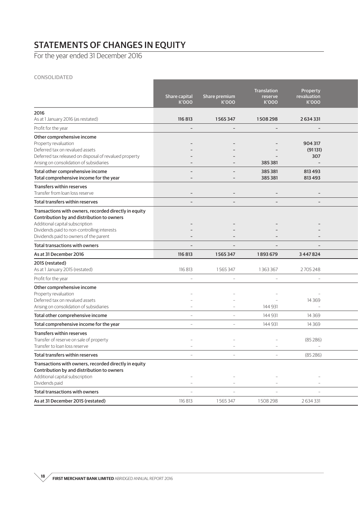# STATEMENTS OF CHANGES IN EQUITY

For the year ended 31 December 2016

CONSOLIDATED

|                                                         | Share capital<br><b>K'000</b> | Share premium<br><b>K'000</b>   | Translation<br>reserve<br>K'000                      | Property<br>revaluation<br>K'000 |  |
|---------------------------------------------------------|-------------------------------|---------------------------------|------------------------------------------------------|----------------------------------|--|
| 2016                                                    |                               |                                 |                                                      |                                  |  |
| As at 1 January 2016 (as restated)                      | 116813                        | 1565347                         | 1508298                                              | 2 634 331                        |  |
| Profit for the year                                     | $\overline{\phantom{a}}$      | $\sim$                          | $\sim$                                               | $\overline{\phantom{a}}$         |  |
| Other comprehensive income                              |                               |                                 |                                                      |                                  |  |
| Property revaluation<br>Deferred tax on revalued assets |                               |                                 | $\overline{\phantom{a}}$<br>$\overline{\phantom{a}}$ | 904317<br>(91131)                |  |
| Deferred tax released on disposal of revalued property  |                               |                                 | $\sim$                                               | 307                              |  |
| Arising on consolidation of subsidiaries                | $\overline{\phantom{a}}$      | $\overline{\phantom{0}}$        | 385381                                               | $\overline{\phantom{0}}$         |  |
| Total other comprehensive income                        | $\overline{\phantom{0}}$      | $\overline{\phantom{a}}$        | 385381                                               | 813 493                          |  |
| Total comprehensive income for the year                 | $\overline{\phantom{a}}$      | $\sim$                          | 385381                                               | 813 493                          |  |
| Transfers within reserves                               |                               |                                 |                                                      |                                  |  |
| Transfer from loan loss reserve                         | $\overline{\phantom{a}}$      |                                 |                                                      |                                  |  |
| Total transfers within reserves                         | $\sim$                        | $-$                             | $\sim$                                               | $\sim$                           |  |
| Transactions with owners, recorded directly in equity   |                               |                                 |                                                      |                                  |  |
| Contribution by and distribution to owners              |                               |                                 |                                                      |                                  |  |
| Additional capital subscription                         |                               |                                 |                                                      |                                  |  |
| Dividends paid to non-controlling interests             |                               |                                 |                                                      |                                  |  |
| Dividends paid to owners of the parent                  | $\overline{\phantom{a}}$      |                                 | $\overline{\phantom{0}}$                             | $\qquad \qquad -$                |  |
| Total transactions with owners                          | $\overline{\phantom{a}}$      | $-$                             | $\sim$                                               | $\overline{\phantom{a}}$         |  |
| As at 31 December 2016                                  | 116813                        | 1565347                         | 1893679                                              | 3447824                          |  |
| 2015 (restated)                                         |                               |                                 |                                                      |                                  |  |
| As at 1 January 2015 (restated)                         | 116 813                       | 1565347                         | 1363367                                              | 2705248                          |  |
| Profit for the year                                     | $\overline{\phantom{a}}$      | $\hspace{0.1mm}-\hspace{0.1mm}$ | $\sim$                                               | $\hspace{0.1mm}-\hspace{0.1mm}$  |  |
| Other comprehensive income                              |                               |                                 |                                                      |                                  |  |
| Property revaluation                                    |                               |                                 |                                                      | $\overline{\phantom{a}}$         |  |
| Deferred tax on revalued assets                         |                               |                                 | $\sim$                                               | 14369                            |  |
| Arising on consolidation of subsidiaries                | $\sim$                        | $\sim$                          | 144 931                                              | $\overline{\phantom{a}}$         |  |
| Total other comprehensive income                        | $\equiv$                      | $\sim$                          | 144 931                                              | 14 3 6 9                         |  |
| Total comprehensive income for the year                 | $\overline{\phantom{a}}$      | $\sim$                          | 144 931                                              | 14 3 6 9                         |  |
| Transfers within reserves                               |                               |                                 |                                                      |                                  |  |
| Transfer of reserve on sale of property                 |                               |                                 |                                                      | (85286)                          |  |
| Transfer to loan loss reserve                           |                               |                                 |                                                      | $\overline{\phantom{a}}$         |  |
| Total transfers within reserves                         |                               |                                 |                                                      | (85286)                          |  |
| Transactions with owners, recorded directly in equity   |                               |                                 |                                                      |                                  |  |
| Contribution by and distribution to owners              |                               |                                 |                                                      |                                  |  |
| Additional capital subscription                         |                               |                                 |                                                      |                                  |  |
| Dividends paid                                          | $\sim$                        | $\hspace{0.1mm}-\hspace{0.1mm}$ | $\sim$                                               | $\sim$                           |  |
| Total transactions with owners                          | $\overline{\phantom{a}}$      | $\overline{\phantom{a}}$        | $\hspace{0.1mm}-\hspace{0.1mm}$                      | $\overline{\phantom{a}}$         |  |
| As at 31 December 2015 (restated)                       | 116 813                       | 1565347                         | 1508 298                                             | 2634331                          |  |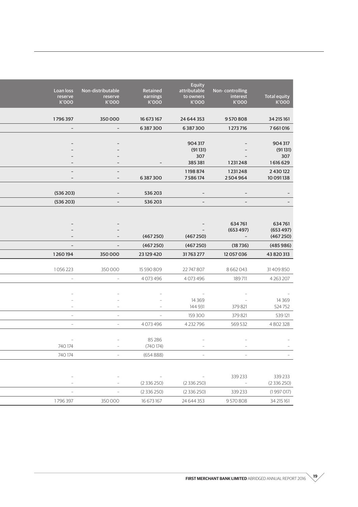|                                                                               |                                                                        | Equity                               |                          |                                                      |                          |
|-------------------------------------------------------------------------------|------------------------------------------------------------------------|--------------------------------------|--------------------------|------------------------------------------------------|--------------------------|
| Total equity                                                                  | Non-controlling<br>interest                                            | attributable<br>to owners            | Retained<br>earnings     | Non-distributable<br>reserve                         | Loan loss<br>reserve     |
| K'000                                                                         | K'000                                                                  | K'000                                | K'000                    | K'000                                                | K'000                    |
|                                                                               |                                                                        |                                      |                          |                                                      |                          |
| 34 215 161                                                                    | 9570808                                                                | 24 644 353                           | 16 673 167               | 350000                                               | 1796397                  |
| 7661016                                                                       | 1273 716                                                               | 6387300                              | 6387300                  | $\sim$                                               | $\sim$                   |
|                                                                               |                                                                        |                                      |                          |                                                      |                          |
| 904317                                                                        | $\overline{\phantom{a}}$                                               | 904317                               |                          | $\overline{\phantom{0}}$                             |                          |
| (91131)                                                                       |                                                                        | (91131)                              |                          |                                                      |                          |
| 307<br>1616629                                                                | $\overline{\phantom{a}}$<br>1231248                                    | 307<br>385 381                       | $\overline{\phantom{a}}$ | $\overline{\phantom{a}}$                             |                          |
| 2 4 3 0 1 2 2                                                                 | 1231248                                                                | 1198874                              |                          |                                                      |                          |
| 10 091 138                                                                    | 2504964                                                                | 7586174                              | 6387300                  | $\overline{\phantom{a}}$<br>$\overline{\phantom{a}}$ | $\overline{\phantom{a}}$ |
|                                                                               |                                                                        |                                      |                          |                                                      |                          |
|                                                                               |                                                                        |                                      | 536 203                  | $\overline{\phantom{a}}$                             | (536 203)                |
| $\sim$                                                                        | $\sim$                                                                 | $\sim$                               | 536 203                  | $\sim$                                               | (536 203)                |
|                                                                               |                                                                        |                                      |                          |                                                      |                          |
|                                                                               |                                                                        |                                      |                          |                                                      |                          |
| 634761                                                                        | 634761                                                                 | $\overline{\phantom{a}}$             |                          | $\overline{\phantom{0}}$                             |                          |
| (653 497)<br>(467250)                                                         | (653 497)<br>$\mathcal{L}_{\text{max}}$ and $\mathcal{L}_{\text{max}}$ | $\overline{\phantom{a}}$<br>(467250) | (467250)                 | $\overline{\phantom{a}}$<br>$\overline{\phantom{a}}$ |                          |
| (485986)                                                                      | (18736)                                                                | (467250)                             | (467250)                 | $\sim$                                               | $\sim$                   |
| 43 820 313                                                                    | 12 057 036                                                             | 31763277                             | 23 129 420               | 350000                                               | 1260194                  |
|                                                                               |                                                                        |                                      |                          |                                                      |                          |
| 31409850                                                                      | 8 6 6 2 0 4 3                                                          | 22747807                             | 15 590 809               | 350000                                               | 1056 223                 |
| 4 2 6 3 2 0 7                                                                 | 189711                                                                 | 4073496                              | 4073496                  | $\sim$                                               | $\sim$                   |
|                                                                               |                                                                        |                                      |                          |                                                      |                          |
|                                                                               | $\overline{\phantom{a}}$                                               | $\sim$                               |                          |                                                      |                          |
|                                                                               | $\mathcal{L} = \mathcal{L}$                                            | 14 3 6 9                             |                          |                                                      |                          |
|                                                                               |                                                                        |                                      |                          |                                                      |                          |
|                                                                               | 379 821                                                                | 144 931                              | $-$                      | $\overline{\phantom{a}}$                             |                          |
|                                                                               | 379 821                                                                | 159 300                              | $\sim$                   | $\overline{\phantom{a}}$                             | $\overline{\phantom{a}}$ |
|                                                                               | 569 532                                                                | 4 2 3 2 7 9 6                        | 4 0 73 4 96              | $\sim$                                               | $\sim$                   |
|                                                                               |                                                                        |                                      |                          |                                                      |                          |
|                                                                               |                                                                        |                                      | 85 2 86                  | $\overline{\phantom{a}}$                             |                          |
|                                                                               |                                                                        |                                      | (740174)                 |                                                      | 740 174                  |
|                                                                               | $\sim$                                                                 | $\sim$                               | (654888)                 | $\overline{\phantom{a}}$                             | 740 174                  |
|                                                                               |                                                                        |                                      |                          |                                                      |                          |
|                                                                               | 339 233                                                                | $\sim$                               | $\sim$                   | $\overline{\phantom{a}}$                             |                          |
|                                                                               | $\sim 100$                                                             | (2336250)                            | (2336250)                | $\overline{\phantom{a}}$                             |                          |
| 14 3 6 9<br>524 752<br>539121<br>4802328<br>339 233<br>(2336250)<br>(1997017) | 339 233                                                                | (2336250)                            | (2336250)                | $\sim$                                               | $\sim$                   |
| 34 215 161                                                                    | 9570808                                                                | 24 644 353                           | 16 673 167               | 350000                                               | 1796397                  |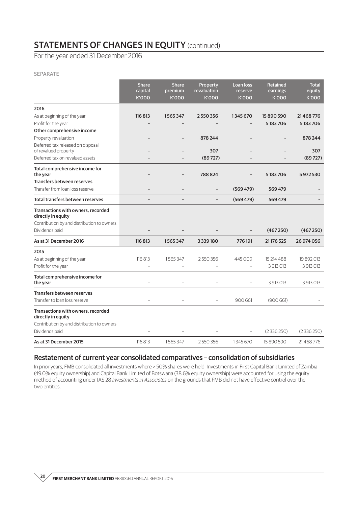# **STATEMENTS OF CHANGES IN EQUITY (continued)**

For the year ended 31 December 2016

#### SEPARATE

|                                                                          | <b>Share</b><br>capital<br><b>K'000</b> | <b>Share</b><br>premium<br><b>K'000</b> | Property<br>revaluation<br><b>K'000</b> | Loan loss<br>reserve<br><b>K'000</b> | <b>Retained</b><br>earnings<br><b>K'000</b> | <b>Total</b><br>equity<br><b>K'000</b> |
|--------------------------------------------------------------------------|-----------------------------------------|-----------------------------------------|-----------------------------------------|--------------------------------------|---------------------------------------------|----------------------------------------|
| 2016                                                                     |                                         |                                         |                                         |                                      |                                             |                                        |
| As at beginning of the year<br>Profit for the year                       | 116813                                  | 1565347                                 | 2550356                                 | 1345 670                             | 15890590<br>5183706                         | 21468776<br>5183706                    |
| Other comprehensive income                                               |                                         |                                         |                                         |                                      |                                             |                                        |
| Property revaluation                                                     |                                         |                                         | 878244                                  |                                      |                                             | 878 244                                |
| Deferred tax released on disposal                                        |                                         |                                         |                                         |                                      |                                             |                                        |
| of revalued property<br>Deferred tax on revalued assets                  |                                         |                                         | 307<br>(89727)                          |                                      |                                             | 307<br>(89727)                         |
|                                                                          |                                         |                                         |                                         |                                      |                                             |                                        |
| Total comprehensive income for<br>the year<br>Transfers between reserves |                                         |                                         | 788824                                  |                                      | 5183706                                     | 5972530                                |
| Transfer from loan loss reserve                                          |                                         | $\overline{\phantom{0}}$                | $\overline{\phantom{0}}$                | (569 479)                            | 569479                                      |                                        |
| Total transfers between reserves                                         |                                         | $\overline{\phantom{0}}$                | $\overline{\phantom{0}}$                | (569 479)                            | 569 479                                     |                                        |
| Transactions with owners, recorded<br>directly in equity                 |                                         |                                         |                                         |                                      |                                             |                                        |
| Contribution by and distribution to owners<br>Dividends paid             |                                         |                                         |                                         |                                      | (467250)                                    | (467250)                               |
| As at 31 December 2016                                                   | 116 813                                 | 1565347                                 | 3339180                                 | 776191                               | 21 176 525                                  | 26 974 056                             |
| 2015                                                                     |                                         |                                         |                                         |                                      |                                             |                                        |
| As at beginning of the year                                              | 116 813                                 | 1565347                                 | 2550356                                 | 445009                               | 15 214 488                                  | 19 892 013                             |
| Profit for the year                                                      |                                         |                                         |                                         | $\overline{\phantom{0}}$             | 3 913 013                                   | 3 913 013                              |
| Total comprehensive income for<br>the year                               |                                         |                                         |                                         |                                      | 3 913 013                                   | 3 913 013                              |
| <b>Transfers between reserves</b>                                        |                                         |                                         |                                         |                                      |                                             |                                        |
| Transfer to loan loss reserve                                            |                                         |                                         |                                         | 900 661                              | (900661)                                    |                                        |
| Transactions with owners, recorded<br>directly in equity                 |                                         |                                         |                                         |                                      |                                             |                                        |
| Contribution by and distribution to owners<br>Dividends paid             |                                         |                                         |                                         |                                      | (2336250)                                   | (2336250)                              |
| As at 31 December 2015                                                   | 116 813                                 | 1565347                                 | 2550356                                 | 1345670                              | 15 890 590                                  | 21468776                               |

# Restatement of current year consolidated comparatives – consolidation of subsidiaries

In prior years, FMB consolidated all investments where > 50% shares were held. Investments in First Capital Bank Limited of Zambia (49.0% equity ownership) and Capital Bank Limited of Botswana (38.6% equity ownership) were accounted for using the equity method of accounting under IAS 28 *Investments in Associates* on the grounds that FMB did not have effective control over the two entities.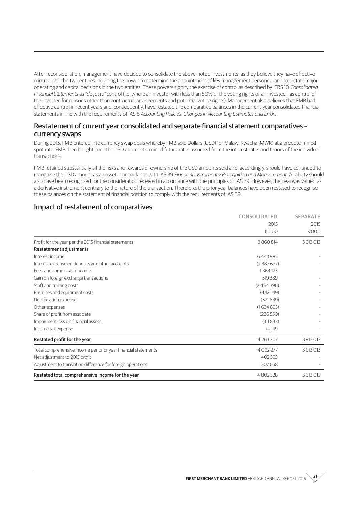After reconsideration, management have decided to consolidate the above-noted investments, as they believe they have effective control over the two entities including the power to determine the appointment of key management personnel and to dictate major operating and capital decisions in the two entities. These powers signify the exercise of control as described by IFRS 10 *Consolidated Financial Statements* as *"de facto"* control (i.e. where an investor with less than 50% of the voting rights of an investee has control of the investee for reasons other than contractual arrangements and potential voting rights). Management also believes that FMB had effective control in recent years and, consequently, have restated the comparative balances in the current year consolidated financial statements in line with the requirements of IAS 8 *Accounting Policies, Changes in Accounting Estimates and Errors.*

### Restatement of current year consolidated and separate financial statement comparatives – currency swaps

During 2015, FMB entered into currency swap deals whereby FMB sold Dollars (USD) for Malawi Kwacha (MWK) at a predetermined spot rate. FMB then bought back the USD at predetermined future rates assumed from the interest rates and tenors of the individual transactions.

FMB retained substantially all the risks and rewards of ownership of the USD amounts sold and, accordingly, should have continued to recognise the USD amount as an asset in accordance with IAS 39 *Financial Instruments: Recognition and Measurement*. A liability should also have been recognised for the consideration received in accordance with the principles of IAS 39. However, the deal was valued as a derivative instrument contrary to the nature of the transaction. Therefore, the prior year balances have been restated to recognise these balances on the statement of financial position to comply with the requirements of IAS 39.

### Impact of restatement of comparatives

|                                                                | <b>CONSOLIDATED</b> | <b>SEPARATE</b> |
|----------------------------------------------------------------|---------------------|-----------------|
|                                                                | 2015                | 2015            |
|                                                                | <b>K'000</b>        | <b>K'000</b>    |
| Profit for the year per the 2015 financial statements          | 3860814             | 3 913 013       |
| Restatement adjustments                                        |                     |                 |
| Interest income                                                | 6443993             |                 |
| Interest expense on deposits and other accounts                | (2387677)           |                 |
| Fees and commission income                                     | 1364123             |                 |
| Gain on foreign exchange transactions                          | 519389              |                 |
| Staff and training costs                                       | (2464396)           |                 |
| Premises and equipment costs                                   | (442249)            |                 |
| Depreciation expense                                           | (521649)            |                 |
| Other expenses                                                 | (1634893)           |                 |
| Share of profit from associate                                 | (236 550)           |                 |
| Impairment loss on financial assets                            | (311847)            |                 |
| Income tax expense                                             | 74149               |                 |
| Restated profit for the year                                   | 4 2 6 3 2 0 7       | 3 913 013       |
| Total comprehensive income per prior year financial statements | 4092277             | 3 913 013       |
| Net adjustment to 2015 profit                                  | 402393              |                 |
| Adjustment to translation difference for foreign operations    | 307658              |                 |
| Restated total comprehensive income for the year               | 4802328             | 3 913 013       |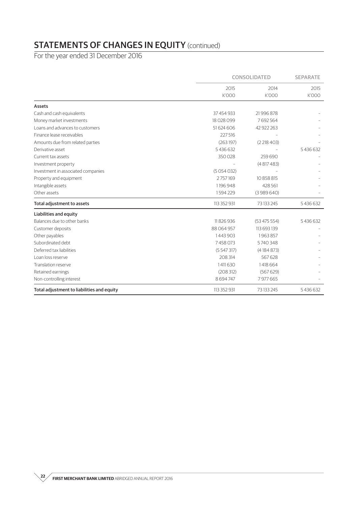# **STATEMENTS OF CHANGES IN EQUITY (continued)**

For the year ended 31 December 2016

|                                            |              | <b>CONSOLIDATED</b> |              |  |
|--------------------------------------------|--------------|---------------------|--------------|--|
|                                            | 2015         | 2014                | 2015         |  |
|                                            | <b>K'000</b> | <b>K'000</b>        | <b>K'000</b> |  |
| Assets                                     |              |                     |              |  |
| Cash and cash equivalents                  | 37 454 933   | 21996878            |              |  |
| Money market investments                   | 18 028 099   | 7692564             |              |  |
| Loans and advances to customers            | 51624606     | 42 922 263          |              |  |
| Finance lease receivables                  | 227516       |                     |              |  |
| Amounts due from related parties           | (263197)     | (2218403)           |              |  |
| Derivative asset                           | 5436632      |                     | 5436632      |  |
| Current tax assets                         | 350028       | 259690              |              |  |
| Investment property                        |              | (4817483)           |              |  |
| Investment in associated companies         | (5054032)    |                     |              |  |
| Property and equipment                     | 2757169      | 10 858 815          |              |  |
| Intangible assets                          | 1196948      | 428 561             |              |  |
| Other assets                               | 1594229      | (3989640)           |              |  |
| Total adjustment to assets                 | 113 352 931  | 73 133 245          | 5436632      |  |
| Liabilities and equity                     |              |                     |              |  |
| Balances due to other banks                | 11826936     | (53475554)          | 5436632      |  |
| Customer deposits                          | 88064957     | 113 693 139         |              |  |
| Other payables                             | 1443903      | 1963857             |              |  |
| Subordinated debt                          | 7458073      | 5740348             |              |  |
| Deferred tax liabilities                   | (5547317)    | (4184873)           |              |  |
| Loan loss reserve                          | 208 314      | 567628              |              |  |
| Translation reserve                        | 1411630      | 1418 664            |              |  |
| Retained earnings                          | (208312)     | (567629)            |              |  |
| Non-controlling interest                   | 8694747      | 7977665             |              |  |
| Total adjustment to liabilities and equity | 113 352 931  | 73 133 245          | 5436632      |  |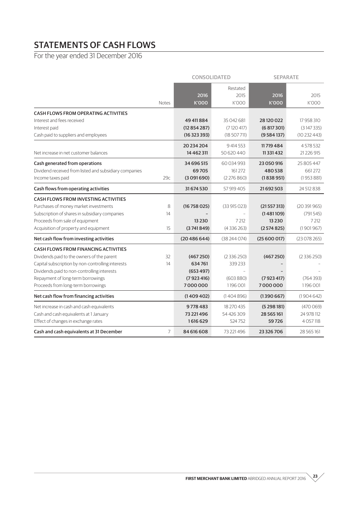# STATEMENTS OF CASH FLOWS

For the year ended 31 December 2016

|                                                        |       | CONSOLIDATED  |              | <b>SEPARATE</b> |                |
|--------------------------------------------------------|-------|---------------|--------------|-----------------|----------------|
|                                                        |       |               | Restated     |                 |                |
|                                                        |       | 2016          | 2015         | 2016            | 2015           |
|                                                        | Notes | <b>K'000</b>  | <b>K'000</b> | <b>K'000</b>    | K'000          |
| <b>CASH FLOWS FROM OPERATING ACTIVITIES</b>            |       |               |              |                 |                |
| Interest and fees received                             |       | 49 411 8 8 4  | 35 042 681   | 28 120 022      | 17 958 310     |
| Interest paid                                          |       | (12854287)    | (7120417)    | (6817301)       | (3147335)      |
| Cash paid to suppliers and employees                   |       | (16323393)    | (18507711)   | (9584137)       | (10232443)     |
|                                                        |       | 20 234 204    | 9 414 553    | 11719484        | 4578532        |
| Net increase in net customer balances                  |       | 14 4 6 2 3 11 | 50 620 440   | 11331432        | 21 2 2 6 9 1 5 |
| Cash generated from operations                         |       | 34 696 515    | 60 034 993   | 23 050 916      | 25 805 447     |
| Dividend received from listed and subsidiary companies |       | 69705         | 161272       | 480538          | 661272         |
| Income taxes paid                                      | 29c   | (3091690)     | (2276860)    | (1838951)       | (1953881)      |
| Cash flows from operating activities                   |       | 31674530      | 57 919 405   | 21692503        | 24 512 838     |
| <b>CASH FLOWS FROM INVESTING ACTIVITIES</b>            |       |               |              |                 |                |
| Purchases of money market investments                  | 8     | (16758025)    | (33915023)   | (21557313)      | (20391965)     |
| Subscription of shares in subsidiary companies         | 14    |               |              | (1481109)       | (791545)       |
| Proceeds from sale of equipment                        |       | 13 2 3 0      | 7 2 1 2      | 13 2 3 0        | 7 2 1 2        |
| Acquisition of property and equipment                  | 15    | (3741849)     | (4336263)    | (2574825)       | (1901967)      |
| Net cash flow from investing activities                |       | (20486644)    | (38244074)   | (25600017)      | (23078265)     |
| <b>CASH FLOWS FROM FINANCING ACTIVITIES</b>            |       |               |              |                 |                |
| Dividends paid to the owners of the parent             | 32    | (467250)      | (2336250)    | (467250)        | (2336250)      |
| Capital subscription by non-controlling interests      | 14    | 634761        | 339 233      |                 |                |
| Dividends paid to non-controlling interests            |       | (653 497)     |              |                 |                |
| Repayment of long-term borrowings                      |       | (7923416)     | (603880)     | (7923417)       | (764393)       |
| Proceeds from long-term borrowings                     |       | 7000000       | 1196 001     | 7000000         | 1196 001       |
| Net cash flow from financing activities                |       | (1409402)     | (1404896)    | (1390667)       | (1904642)      |
| Net increase in cash and cash equivalents              |       | 9778483       | 18 270 435   | (5298181)       | (470069)       |
| Cash and cash equivalents at 1 January                 |       | 73 221 496    | 54 426 309   | 28 5 65 161     | 24 978 112     |
| Effect of changes in exchange rates                    |       | 1616629       | 524752       | 59726           | 4 0 5 7 11 8   |
| Cash and cash equivalents at 31 December               | 7     | 84 616 608    | 73 221 496   | 23 326 706      | 28 5 65 161    |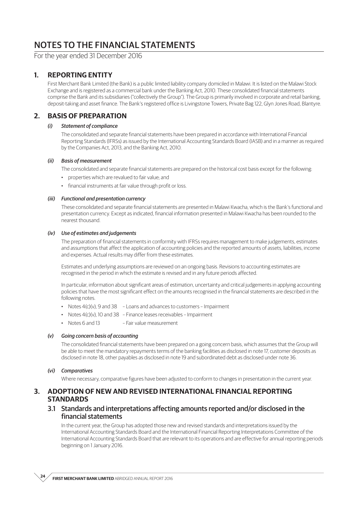# NOTES TO THE FINANCIAL STATEMENTS

For the year ended 31 December 2016

### **1. Reporting entity**

First Merchant Bank Limited (the Bank) is a public limited liability company domiciled in Malawi. It is listed on the Malawi Stock Exchange and is registered as a commercial bank under the Banking Act, 2010. These consolidated financial statements comprise the Bank and its subsidiaries ("collectively the Group"). The Group is primarily involved in corporate and retail banking, deposit-taking and asset finance. The Bank's registered office is Livingstone Towers, Private Bag 122, Glyn Jones Road, Blantyre.

# **2. Basis of preparation**

#### *(i) Statement of compliance*

The consolidated and separate financial statements have been prepared in accordance with International Financial Reporting Standards (IFRSs) as issued by the International Accounting Standards Board (IASB) and in a manner as required by the Companies Act, 2013, and the Banking Act, 2010.

#### *(ii) Basis of measurement*

The consolidated and separate financial statements are prepared on the historical cost basis except for the following:

- • properties which are revalued to fair value; and
- financial instruments at fair value through profit or loss.

#### *(iii) Functional and presentation currency*

These consolidated and separate financial statements are presented in Malawi Kwacha, which is the Bank's functional and presentation currency. Except as indicated, financial information presented in Malawi Kwacha has been rounded to the nearest thousand.

#### *(iv) Use of estimates and judgements*

The preparation of financial statements in conformity with IFRSs requires management to make judgements, estimates and assumptions that affect the application of accounting policies and the reported amounts of assets, liabilities, income and expenses. Actual results may differ from these estimates.

Estimates and underlying assumptions are reviewed on an ongoing basis. Revisions to accounting estimates are recognised in the period in which the estimate is revised and in any future periods affected.

In particular, information about significant areas of estimation, uncertainty and critical judgements in applying accounting policies that have the most significant effect on the amounts recognised in the financial statements are described in the following notes.

- Notes  $4(c)(v)$ , 9 and 38 Loans and advances to customers Impairment
- Notes 4(c)(y), 10 and 38 Finance leases receivables Impairment
- Notes 6 and 13 Fair value measurement

#### *(v) Going concern basis of accounting*

The consolidated financial statements have been prepared on a going concern basis, which assumes that the Group will be able to meet the mandatory repayments terms of the banking facilities as disclosed in note 17, customer deposits as disclosed in note 18, other payables as disclosed in note 19 and subordinated debt as disclosed under note 36.

#### *(vi) Comparatives*

Where necessary, comparative figures have been adjusted to conform to changes in presentation in the current year.

### **3. Adoption of new and revised International Financial Reporting Standards**

### 3.1 Standards and interpretations affecting amounts reported and/or disclosed in the financial statements

In the current year, the Group has adopted those new and revised standards and interpretations issued by the International Accounting Standards Board and the International Financial Reporting Interpretations Committee of the International Accounting Standards Board that are relevant to its operations and are effective for annual reporting periods beginning on 1 January 2016.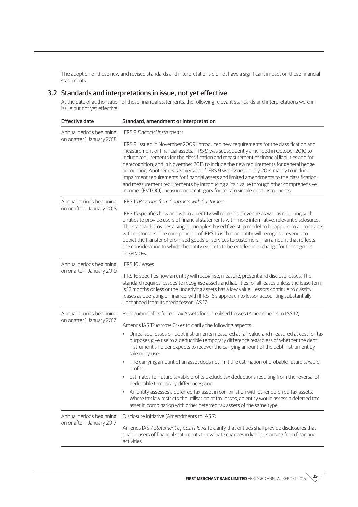The adoption of these new and revised standards and interpretations did not have a significant impact on these financial statements.

# 3.2 Standards and interpretations in issue, not yet effective

At the date of authorisation of these financial statements, the following relevant standards and interpretations were in issue but not yet effective:

| <b>Effective date</b>      | Standard, amendment or interpretation                                                                                                                                                                                                                                                                                                                                                                                                                                                                                                                                                                                                                                                                                                  |
|----------------------------|----------------------------------------------------------------------------------------------------------------------------------------------------------------------------------------------------------------------------------------------------------------------------------------------------------------------------------------------------------------------------------------------------------------------------------------------------------------------------------------------------------------------------------------------------------------------------------------------------------------------------------------------------------------------------------------------------------------------------------------|
| Annual periods beginning   | <b>IFRS 9 Financial Instruments</b>                                                                                                                                                                                                                                                                                                                                                                                                                                                                                                                                                                                                                                                                                                    |
| on or after 1 January 2018 | IFRS 9, issued in November 2009, introduced new requirements for the classification and<br>measurement of financial assets. IFRS 9 was subsequently amended in October 2010 to<br>include requirements for the classification and measurement of financial liabilities and for<br>derecognition, and in November 2013 to include the new requirements for general hedge<br>accounting. Another revised version of IFRS 9 was issued in July 2014 mainly to include<br>impairment requirements for financial assets and limited amendments to the classification<br>and measurement requirements by introducing a "fair value through other comprehensive<br>income" (FVTOCI) measurement category for certain simple debt instruments. |
| Annual periods beginning   | IFRS 15 Revenue from Contracts with Customers                                                                                                                                                                                                                                                                                                                                                                                                                                                                                                                                                                                                                                                                                          |
| on or after 1 January 2018 | IFRS 15 specifies how and when an entity will recognise revenue as well as requiring such<br>entities to provide users of financial statements with more informative, relevant disclosures.<br>The standard provides a single, principles-based five-step model to be applied to all contracts<br>with customers. The core principle of IFRS 15 is that an entity will recognise revenue to<br>depict the transfer of promised goods or services to customers in an amount that reflects<br>the consideration to which the entity expects to be entitled in exchange for those goods<br>or services.                                                                                                                                   |
| Annual periods beginning   | <b>IFRS 16 Leases</b>                                                                                                                                                                                                                                                                                                                                                                                                                                                                                                                                                                                                                                                                                                                  |
| on or after 1 January 2019 | IFRS 16 specifies how an entity will recognise, measure, present and disclose leases. The<br>standard requires lessees to recognise assets and liabilities for all leases unless the lease term<br>is 12 months or less or the underlying assets has a low value. Lessors continue to classify<br>leases as operating or finance, with IFRS 16's approach to lessor accounting substantially<br>unchanged from its predecessor, IAS 17.                                                                                                                                                                                                                                                                                                |
| Annual periods beginning   | Recognition of Deferred Tax Assets for Unrealised Losses (Amendments to IAS 12)                                                                                                                                                                                                                                                                                                                                                                                                                                                                                                                                                                                                                                                        |
| on or after 1 January 2017 | Amends IAS 12 Income Taxes to clarify the following aspects:                                                                                                                                                                                                                                                                                                                                                                                                                                                                                                                                                                                                                                                                           |
|                            | Unrealised losses on debt instruments measured at fair value and measured at cost for tax<br>$\bullet$<br>purposes give rise to a deductible temporary difference regardless of whether the debt<br>instrument's holder expects to recover the carrying amount of the debt instrument by<br>sale or by use;                                                                                                                                                                                                                                                                                                                                                                                                                            |
|                            | The carrying amount of an asset does not limit the estimation of probable future taxable<br>profits;                                                                                                                                                                                                                                                                                                                                                                                                                                                                                                                                                                                                                                   |
|                            | Estimates for future taxable profits exclude tax deductions resulting from the reversal of<br>deductible temporary differences; and                                                                                                                                                                                                                                                                                                                                                                                                                                                                                                                                                                                                    |
|                            | An entity assesses a deferred tax asset in combination with other deferred tax assets.<br>Where tax law restricts the utilisation of tax losses, an entity would assess a deferred tax<br>asset in combination with other deferred tax assets of the same type.                                                                                                                                                                                                                                                                                                                                                                                                                                                                        |
| Annual periods beginning   | Disclosure Initiative (Amendments to IAS 7)                                                                                                                                                                                                                                                                                                                                                                                                                                                                                                                                                                                                                                                                                            |
| on or after 1 January 2017 | Amends IAS 7 Statement of Cash Flows to clarify that entities shall provide disclosures that<br>enable users of financial statements to evaluate changes in liabilities arising from financing<br>activities.                                                                                                                                                                                                                                                                                                                                                                                                                                                                                                                          |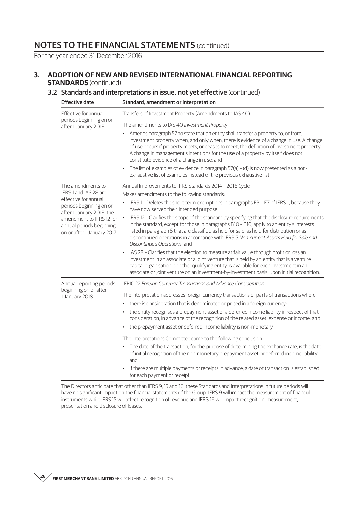# NOTES TO THE FINANCIAL STATEMENTS (continued)

For the year ended 31 December 2016

### **3. Adoption of new and revised International Financial Reporting STANDARDS** (continued)

## 3.2 Standards and interpretations in issue, not yet effective (continued)

| <b>Effective date</b>                                                                                                                                              | Standard, amendment or interpretation                                                                                                                                                                                                                                                                                                                                                                                          |
|--------------------------------------------------------------------------------------------------------------------------------------------------------------------|--------------------------------------------------------------------------------------------------------------------------------------------------------------------------------------------------------------------------------------------------------------------------------------------------------------------------------------------------------------------------------------------------------------------------------|
| Effective for annual                                                                                                                                               | Transfers of Investment Property (Amendments to IAS 40)                                                                                                                                                                                                                                                                                                                                                                        |
| periods beginning on or<br>after 1 January 2018                                                                                                                    | The amendments to IAS 40 Investment Property:                                                                                                                                                                                                                                                                                                                                                                                  |
|                                                                                                                                                                    | Amends paragraph 57 to state that an entity shall transfer a property to, or from,<br>$\bullet$<br>investment property when, and only when, there is evidence of a change in use. A change<br>of use occurs if property meets, or ceases to meet, the definition of investment property.<br>A change in management's intentions for the use of a property by itself does not<br>constitute evidence of a change in use; and    |
|                                                                                                                                                                    | The list of examples of evidence in paragraph 57(a) - (d) is now presented as a non-<br>exhaustive list of examples instead of the previous exhaustive list.                                                                                                                                                                                                                                                                   |
| The amendments to                                                                                                                                                  | Annual Improvements to IFRS Standards 2014 - 2016 Cycle                                                                                                                                                                                                                                                                                                                                                                        |
| IFRS 1 and IAS 28 are                                                                                                                                              | Makes amendments to the following standards:                                                                                                                                                                                                                                                                                                                                                                                   |
| effective for annual<br>periods beginning on or<br>after 1 January 2018, the<br>amendment to IFRS 12 for<br>annual periods beginning<br>on or after 1 January 2017 | IFRS 1 - Deletes the short-term exemptions in paragraphs E3 - E7 of IFRS 1, because they<br>have now served their intended purpose;                                                                                                                                                                                                                                                                                            |
|                                                                                                                                                                    | IFRS 12 - Clarifies the scope of the standard by specifying that the disclosure requirements<br>$\bullet$<br>in the standard, except for those in paragraphs B10 - B16, apply to an entity's interests<br>listed in paragraph 5 that are classified as held for sale, as held for distribution or as<br>discontinued operations in accordance with IFRS 5 Non-current Assets Held for Sale and<br>Discontinued Operations; and |
|                                                                                                                                                                    | IAS 28 - Clarifies that the election to measure at fair value through profit or loss an<br>$\bullet$<br>investment in an associate or a joint venture that is held by an entity that is a venture<br>capital organisation, or other qualifying entity, is available for each investment in an<br>associate or joint venture on an investment-by-investment basis, upon initial recognition.                                    |
| Annual reporting periods                                                                                                                                           | IFRIC 22 Foreign Currency Transactions and Advance Consideration                                                                                                                                                                                                                                                                                                                                                               |
| beginning on or after<br>1 January 2018                                                                                                                            | The interpretation addresses foreign currency transactions or parts of transactions where:                                                                                                                                                                                                                                                                                                                                     |
|                                                                                                                                                                    | there is consideration that is denominated or priced in a foreign currency;                                                                                                                                                                                                                                                                                                                                                    |
|                                                                                                                                                                    | the entity recognises a prepayment asset or a deferred income liability in respect of that<br>consideration, in advance of the recognition of the related asset, expense or income; and                                                                                                                                                                                                                                        |
|                                                                                                                                                                    | the prepayment asset or deferred income liability is non-monetary.                                                                                                                                                                                                                                                                                                                                                             |
|                                                                                                                                                                    | The Interpretations Committee came to the following conclusion:                                                                                                                                                                                                                                                                                                                                                                |
|                                                                                                                                                                    | The date of the transaction, for the purpose of determining the exchange rate, is the date<br>$\bullet$<br>of initial recognition of the non-monetary prepayment asset or deferred income liability;<br>and                                                                                                                                                                                                                    |
|                                                                                                                                                                    | If there are multiple payments or receipts in advance, a date of transaction is established<br>for each payment or receipt.                                                                                                                                                                                                                                                                                                    |

The Directors anticipate that other than IFRS 9, 15 and 16, these Standards and Interpretations in future periods will have no significant impact on the financial statements of the Group. IFRS 9 will impact the measurement of financial instruments while IFRS 15 will affect recognition of revenue and IFRS 16 will impact recognition, measurement, presentation and disclosure of leases.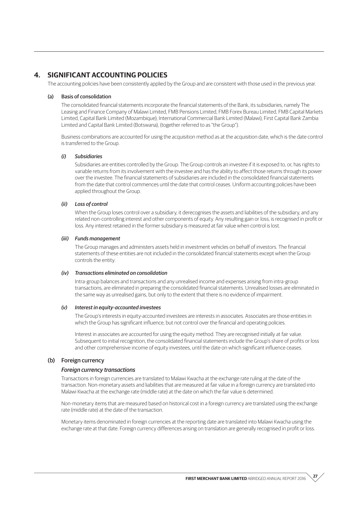# **4. Significant accounting policies**

The accounting policies have been consistently applied by the Group and are consistent with those used in the previous year.

#### (a) Basis of consolidation

The consolidated financial statements incorporate the financial statements of the Bank, its subsidiaries, namely The Leasing and Finance Company of Malawi Limited, FMB Pensions Limited, FMB Forex Bureau Limited, FMB Capital Markets Limited, Capital Bank Limited (Mozambique), International Commercial Bank Limited (Malawi), First Capital Bank Zambia Limited and Capital Bank Limited (Botswana), (together referred to as "the Group").

Business combinations are accounted for using the acquisition method as at the acquisition date, which is the date control is transferred to the Group.

#### *(i) Subsidiaries*

Subsidiaries are entities controlled by the Group. The Group controls an investee if it is exposed to, or, has rights to variable returns from its involvement with the investee and has the ability to affect those returns through its power over the investee. The financial statements of subsidiaries are included in the consolidated financial statements from the date that control commences until the date that control ceases. Uniform accounting policies have been applied throughout the Group.

#### *(ii) Loss of control*

When the Group loses control over a subsidiary, it derecognises the assets and liabilities of the subsidiary, and any related non-controlling interest and other components of equity. Any resulting gain or loss, is recognised in profit or loss. Any interest retained in the former subsidiary is measured at fair value when control is lost.

#### *(iii) Funds management*

The Group manages and administers assets held in investment vehicles on behalf of investors. The financial statements of these entities are not included in the consolidated financial statements except when the Group controls the entity.

#### *(iv) Transactions eliminated on consolidation*

Intra-group balances and transactions and any unrealised income and expenses arising from intra-group transactions, are eliminated in preparing the consolidated financial statements. Unrealised losses are eliminated in the same way as unrealised gains, but only to the extent that there is no evidence of impairment.

#### *(v) Interest in equity-accounted investees*

The Group's interests in equity-accounted investees are interests in associates. Associates are those entities in which the Group has significant influence, but not control over the financial and operating policies.

Interest in associates are accounted for using the equity method. They are recognised initially at fair value. Subsequent to initial recognition, the consolidated financial statements include the Group's share of profits or loss and other comprehensive income of equity investees, until the date on which significant influence ceases.

### (b) Foreign currency

#### *Foreign currency transactions*

Transactions in foreign currencies are translated to Malawi Kwacha at the exchange rate ruling at the date of the transaction. Non-monetary assets and liabilities that are measured at fair value in a foreign currency are translated into Malawi Kwacha at the exchange rate (middle rate) at the date on which the fair value is determined.

Non-monetary items that are measured based on historical cost in a foreign currency are translated using the exchange rate (middle rate) at the date of the transaction.

Monetary items denominated in foreign currencies at the reporting date are translated into Malawi Kwacha using the exchange rate at that date. Foreign currency differences arising on translation are generally recognised in profit or loss.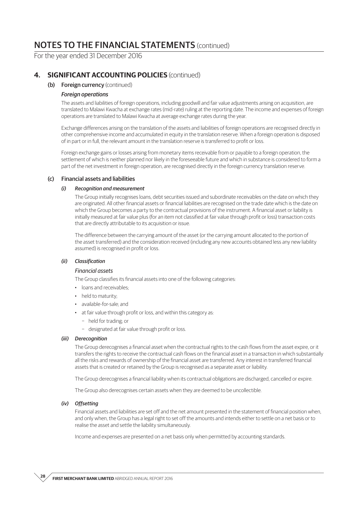# NOTES TO THE FINANCIAL STATEMENTS (continued)

For the year ended 31 December 2016

# **4. Significant accounting policies** (continued)

#### (b) Foreign currency (continued)

#### *Foreign operations*

The assets and liabilities of foreign operations, including goodwill and fair value adjustments arising on acquisition, are translated to Malawi Kwacha at exchange rates (mid-rate) ruling at the reporting date. The income and expenses of foreign operations are translated to Malawi Kwacha at average exchange rates during the year.

Exchange differences arising on the translation of the assets and liabilities of foreign operations are recognised directly in other comprehensive income and accumulated in equity in the translation reserve. When a foreign operation is disposed of in part or in full, the relevant amount in the translation reserve is transferred to profit or loss.

Foreign exchange gains or losses arising from monetary items receivable from or payable to a foreign operation, the settlement of which is neither planned nor likely in the foreseeable future and which in substance is considered to form a part of the net investment in foreign operation, are recognised directly in the foreign currency translation reserve.

#### (c) Financial assets and liabilities

#### *(i) Recognition and measurement*

The Group initially recognises loans, debt securities issued and subordinate receivables on the date on which they are originated. All other financial assets or financial liabilities are recognised on the trade date which is the date on which the Group becomes a party to the contractual provisions of the instrument. A financial asset or liability is initially measured at fair value plus (for an item not classified at fair value through profit or loss) transaction costs that are directly attributable to its acquisition or issue.

The difference between the carrying amount of the asset (or the carrying amount allocated to the portion of the asset transferred) and the consideration received (including any new accounts obtained less any new liability assumed) is recognised in profit or loss.

#### *(ii) Classification*

#### *Financial assets*

The Group classifies its financial assets into one of the following categories:

- loans and receivables:
- held to maturity:
- • available-for-sale; and
- at fair value through profit or loss, and within this category as:
	- − held for trading; or
	- − designated at fair value through profit or loss.

#### *(iii) Derecognition*

The Group derecognises a financial asset when the contractual rights to the cash flows from the asset expire, or it transfers the rights to receive the contractual cash flows on the financial asset in a transaction in which substantially all the risks and rewards of ownership of the financial asset are transferred. Any interest in transferred financial assets that is created or retained by the Group is recognised as a separate asset or liability.

The Group derecognises a financial liability when its contractual obligations are discharged, cancelled or expire.

The Group also derecognises certain assets when they are deemed to be uncollectible.

#### *(iv) Offsetting*

Financial assets and liabilities are set off and the net amount presented in the statement of financial position when, and only when, the Group has a legal right to set off the amounts and intends either to settle on a net basis or to realise the asset and settle the liability simultaneously.

Income and expenses are presented on a net basis only when permitted by accounting standards.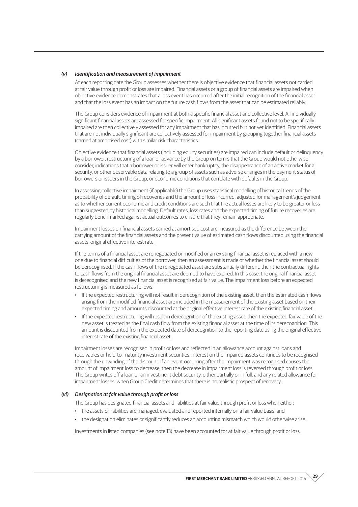#### *(v) Identification and measurement of impairment*

At each reporting date the Group assesses whether there is objective evidence that financial assets not carried at fair value through profit or loss are impaired. Financial assets or a group of financial assets are impaired when objective evidence demonstrates that a loss event has occurred after the initial recognition of the financial asset and that the loss event has an impact on the future cash flows from the asset that can be estimated reliably.

The Group considers evidence of impairment at both a specific financial asset and collective level. All individually significant financial assets are assessed for specific impairment. All significant assets found not to be specifically impaired are then collectively assessed for any impairment that has incurred but not yet identified. Financial assets that are not individually significant are collectively assessed for impairment by grouping together financial assets (carried at amortised cost) with similar risk characteristics.

Objective evidence that financial assets (including equity securities) are impaired can include default or delinquency by a borrower, restructuring of a loan or advance by the Group on terms that the Group would not otherwise consider, indications that a borrower or issuer will enter bankruptcy, the disappearance of an active market for a security, or other observable data relating to a group of assets such as adverse changes in the payment status of borrowers or issuers in the Group, or economic conditions that correlate with defaults in the Group.

In assessing collective impairment (if applicable) the Group uses statistical modelling of historical trends of the probability of default, timing of recoveries and the amount of loss incurred, adjusted for management's judgement as to whether current economic and credit conditions are such that the actual losses are likely to be greater or less than suggested by historical modelling. Default rates, loss rates and the expected timing of future recoveries are regularly benchmarked against actual outcomes to ensure that they remain appropriate.

Impairment losses on financial assets carried at amortised cost are measured as the difference between the carrying amount of the financial assets and the present value of estimated cash flows discounted using the financial assets' original effective interest rate.

If the terms of a financial asset are renegotiated or modified or an existing financial asset is replaced with a new one due to financial difficulties of the borrower, then an assessment is made of whether the financial asset should be derecognised. If the cash flows of the renegotiated asset are substantially different, then the contractual rights to cash flows from the original financial asset are deemed to have expired. In this case, the original financial asset is derecognised and the new financial asset is recognised at fair value. The impairment loss before an expected restructuring is measured as follows:

- • If the expected restructuring will not result in derecognition of the existing asset, then the estimated cash flows arising from the modified financial asset are included in the measurement of the existing asset based on their expected timing and amounts discounted at the original effective interest rate of the existing financial asset.
- If the expected restructuring will result in derecognition of the existing asset, then the expected fair value of the new asset is treated as the final cash flow from the existing financial asset at the time of its derecognition. This amount is discounted from the expected date of derecognition to the reporting date using the original effective interest rate of the existing financial asset.

Impairment losses are recognised in profit or loss and reflected in an allowance account against loans and receivables or held-to-maturity investment securities. Interest on the impaired assets continues to be recognised through the unwinding of the discount. If an event occurring after the impairment was recognised causes the amount of impairment loss to decrease, then the decrease in impairment loss is reversed through profit or loss. The Group writes off a loan or an investment debt security, either partially or in full, and any related allowance for impairment losses, when Group Credit determines that there is no realistic prospect of recovery.

#### *(vi) Designation at fair value through profit or loss*

The Group has designated financial assets and liabilities at fair value through profit or loss when either:

- the assets or liabilities are managed, evaluated and reported internally on a fair value basis; and
- the designation eliminates or significantly reduces an accounting mismatch which would otherwise arise.

Investments in listed companies (see note 13) have been accounted for at fair value through profit or loss.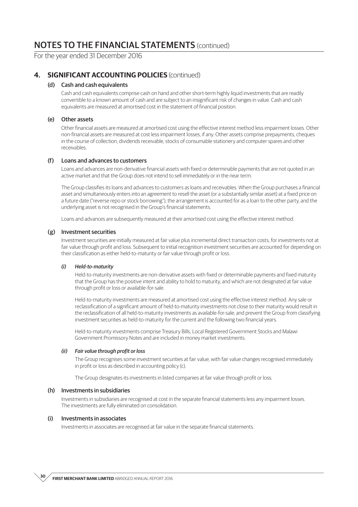# NOTES TO THE FINANCIAL STATEMENTS (continued)

For the year ended 31 December 2016

# **4. Significant accounting policies** (continued)

### (d) Cash and cash equivalents

Cash and cash equivalents comprise cash on hand and other short-term highly liquid investments that are readily convertible to a known amount of cash and are subject to an insignificant risk of changes in value. Cash and cash equivalents are measured at amortised cost in the statement of financial position.

#### (e) Other assets

Other financial assets are measured at amortised cost using the effective interest method less impairment losses. Other non-financial assets are measured at cost less impairment losses, if any. Other assets comprise prepayments, cheques in the course of collection, dividends receivable, stocks of consumable stationery and computer spares and other receivables.

#### (f) Loans and advances to customers

Loans and advances are non-derivative financial assets with fixed or determinable payments that are not quoted in an active market and that the Group does not intend to sell immediately or in the near term.

The Group classifies its loans and advances to customers as loans and receivables. When the Group purchases a financial asset and simultaneously enters into an agreement to resell the asset (or a substantially similar asset) at a fixed price on a future date ("reverse repo or stock borrowing"), the arrangement is accounted for as a loan to the other party, and the underlying asset is not recognised in the Group's financial statements.

Loans and advances are subsequently measured at their amortised cost using the effective interest method.

#### (g) Investment securities

Investment securities are initially measured at fair value plus incremental direct transaction costs, for investments not at fair value through profit and loss. Subsequent to initial recognition investment securities are accounted for depending on their classification as either held-to-maturity or fair value through profit or loss.

#### *(i) Held-to-maturity*

Held-to-maturity investments are non-derivative assets with fixed or determinable payments and fixed maturity that the Group has the positive intent and ability to hold to maturity, and which are not designated at fair value through profit or loss or available-for-sale.

Held-to-maturity investments are measured at amortised cost using the effective interest method. Any sale or reclassification of a significant amount of held-to-maturity investments not close to their maturity would result in the reclassification of all held-to-maturity investments as available-for-sale, and prevent the Group from classifying investment securities as held-to-maturity for the current and the following two financial years.

Held-to-maturity investments comprise Treasury Bills, Local Registered Government Stocks and Malawi Government Promissory Notes and are included in money market investments.

#### *(ii) Fair value through profit or loss*

The Group recognises some investment securities at fair value, with fair value changes recognised immediately in profit or loss as described in accounting policy (c).

The Group designates its investments in listed companies at fair value through profit or loss.

#### (h) Investments in subsidiaries

Investments in subsidiaries are recognised at cost in the separate financial statements less any impairment losses. The investments are fully eliminated on consolidation.

#### (i) Investments in associates

Investments in associates are recognised at fair value in the separate financial statements.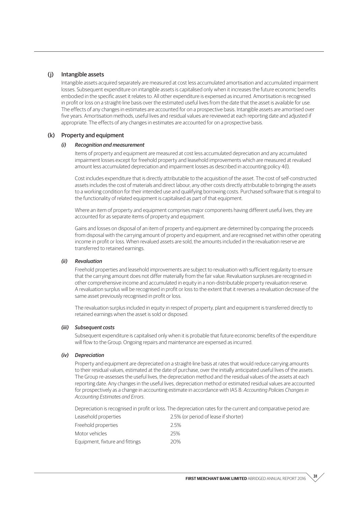### (j) Intangible assets

Intangible assets acquired separately are measured at cost less accumulated amortisation and accumulated impairment losses. Subsequent expenditure on intangible assets is capitalised only when it increases the future economic benefits embodied in the specific asset it relates to. All other expenditure is expensed as incurred. Amortisation is recognised in profit or loss on a straight-line basis over the estimated useful lives from the date that the asset is available for use. The effects of any changes in estimates are accounted for on a prospective basis. Intangible assets are amortised over five years. Amortisation methods, useful lives and residual values are reviewed at each reporting date and adjusted if appropriate. The effects of any changes in estimates are accounted for on a prospective basis.

#### (k) Property and equipment

#### *(i) Recognition and measurement*

Items of property and equipment are measured at cost less accumulated depreciation and any accumulated impairment losses except for freehold property and leasehold improvements which are measured at revalued amount less accumulated depreciation and impairment losses as described in accounting policy 4(l).

Cost includes expenditure that is directly attributable to the acquisition of the asset. The cost of self-constructed assets includes the cost of materials and direct labour, any other costs directly attributable to bringing the assets to a working condition for their intended use and qualifying borrowing costs. Purchased software that is integral to the functionality of related equipment is capitalised as part of that equipment.

Where an item of property and equipment comprises major components having different useful lives, they are accounted for as separate items of property and equipment.

Gains and losses on disposal of an item of property and equipment are determined by comparing the proceeds from disposal with the carrying amount of property and equipment, and are recognised net within other operating income in profit or loss. When revalued assets are sold, the amounts included in the revaluation reserve are transferred to retained earnings.

#### *(ii) Revaluation*

Freehold properties and leasehold improvements are subject to revaluation with sufficient regularity to ensure that the carrying amount does not differ materially from the fair value. Revaluation surpluses are recognised in other comprehensive income and accumulated in equity in a non-distributable property revaluation reserve. A revaluation surplus will be recognised in profit or loss to the extent that it reverses a revaluation decrease of the same asset previously recognised in profit or loss.

The revaluation surplus included in equity in respect of property, plant and equipment is transferred directly to retained earnings when the asset is sold or disposed.

#### *(iii) Subsequent costs*

Subsequent expenditure is capitalised only when it is probable that future economic benefits of the expenditure will flow to the Group. Ongoing repairs and maintenance are expensed as incurred.

#### *(iv) Depreciation*

Property and equipment are depreciated on a straight-line basis at rates that would reduce carrying amounts to their residual values, estimated at the date of purchase, over the initially anticipated useful lives of the assets. The Group re-assesses the useful lives, the depreciation method and the residual values of the assets at each reporting date. Any changes in the useful lives, depreciation method or estimated residual values are accounted for prospectively as a change in accounting estimate in accordance with IAS 8: *Accounting Policies Changes in Accounting Estimates and Errors*.

Depreciation is recognised in profit or loss. The depreciation rates for the current and comparative period are:

| 2.5% (or period of lease if shorter) |
|--------------------------------------|
| 25%                                  |
| 25%                                  |
| 20%                                  |
|                                      |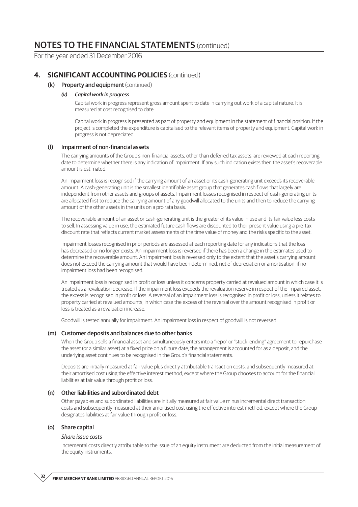# NOTES TO THE FINANCIAL STATEMENTS (continued)

For the year ended 31 December 2016

# **4. Significant accounting policies** (continued)

#### (k) Property and equipment (continued)

#### *(v) Capital work in progress*

Capital work in progress represent gross amount spent to date in carrying out work of a capital nature. It is measured at cost recognised to date.

Capital work in progress is presented as part of property and equipment in the statement of financial position. If the project is completed the expenditure is capitalised to the relevant items of property and equipment. Capital work in progress is not depreciated.

#### (l) Impairment of non-financial assets

The carrying amounts of the Group's non-financial assets, other than deferred tax assets, are reviewed at each reporting date to determine whether there is any indication of impairment. If any such indication exists then the asset's recoverable amount is estimated.

An impairment loss is recognised if the carrying amount of an asset or its cash-generating unit exceeds its recoverable amount. A cash-generating unit is the smallest identifiable asset group that generates cash flows that largely are independent from other assets and groups of assets. Impairment losses recognised in respect of cash-generating units are allocated first to reduce the carrying amount of any goodwill allocated to the units and then to reduce the carrying amount of the other assets in the units on a pro rata basis.

The recoverable amount of an asset or cash-generating unit is the greater of its value in use and its fair value less costs to sell. In assessing value in use, the estimated future cash flows are discounted to their present value using a pre-tax discount rate that reflects current market assessments of the time value of money and the risks specific to the asset.

Impairment losses recognised in prior periods are assessed at each reporting date for any indications that the loss has decreased or no longer exists. An impairment loss is reversed if there has been a change in the estimates used to determine the recoverable amount. An impairment loss is reversed only to the extent that the asset's carrying amount does not exceed the carrying amount that would have been determined, net of depreciation or amortisation, if no impairment loss had been recognised.

An impairment loss is recognised in profit or loss unless it concerns property carried at revalued amount in which case it is treated as a revaluation decrease. If the impairment loss exceeds the revaluation reserve in respect of the impaired asset, the excess is recognised in profit or loss. A reversal of an impairment loss is recognised in profit or loss, unless it relates to property carried at revalued amounts, in which case the excess of the reversal over the amount recognised in profit or loss is treated as a revaluation increase.

Goodwill is tested annually for impairment. An impairment loss in respect of goodwill is not reversed.

#### (m) Customer deposits and balances due to other banks

When the Group sells a financial asset and simultaneously enters into a "repo" or "stock lending" agreement to repurchase the asset (or a similar asset) at a fixed price on a future date, the arrangement is accounted for as a deposit, and the underlying asset continues to be recognised in the Group's financial statements.

Deposits are initially measured at fair value plus directly attributable transaction costs, and subsequently measured at their amortised cost using the effective interest method, except where the Group chooses to account for the financial liabilities at fair value through profit or loss.

#### (n) Other liabilities and subordinated debt

Other payables and subordinated liabilities are initially measured at fair value minus incremental direct transaction costs and subsequently measured at their amortised cost using the effective interest method, except where the Group designates liabilities at fair value through profit or loss.

#### (o) Share capital

#### *Share issue costs*

Incremental costs directly attributable to the issue of an equity instrument are deducted from the initial measurement of the equity instruments.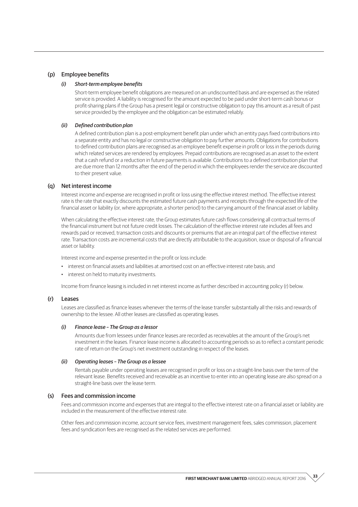#### (p) Employee benefits

#### *(i) Short-term employee benefits*

Short-term employee benefit obligations are measured on an undiscounted basis and are expensed as the related service is provided. A liability is recognised for the amount expected to be paid under short-term cash bonus or profit-sharing plans if the Group has a present legal or constructive obligation to pay this amount as a result of past service provided by the employee and the obligation can be estimated reliably.

#### *(ii) Defined contribution plan*

A defined contribution plan is a post-employment benefit plan under which an entity pays fixed contributions into a separate entity and has no legal or constructive obligation to pay further amounts. Obligations for contributions to defined contribution plans are recognised as an employee benefit expense in profit or loss in the periods during which related services are rendered by employees. Prepaid contributions are recognised as an asset to the extent that a cash refund or a reduction in future payments is available. Contributions to a defined contribution plan that are due more than 12 months after the end of the period in which the employees render the service are discounted to their present value.

#### (q) Net interest income

Interest income and expense are recognised in profit or loss using the effective interest method. The effective interest rate is the rate that exactly discounts the estimated future cash payments and receipts through the expected life of the financial asset or liability (or, where appropriate, a shorter period) to the carrying amount of the financial asset or liability.

When calculating the effective interest rate, the Group estimates future cash flows considering all contractual terms of the financial instrument but not future credit losses. The calculation of the effective interest rate includes all fees and rewards paid or received, transaction costs and discounts or premiums that are an integral part of the effective interest rate. Transaction costs are incremental costs that are directly attributable to the acquisition, issue or disposal of a financial asset or liability.

Interest income and expense presented in the profit or loss include:

- interest on financial assets and liabilities at amortised cost on an effective interest rate basis; and
- interest on held to maturity investments.

Income from finance leasing is included in net interest income as further described in accounting policy (r) below.

#### (r) Leases

Leases are classified as finance leases whenever the terms of the lease transfer substantially all the risks and rewards of ownership to the lessee. All other leases are classified as operating leases.

#### *(i) Finance lease – The Group as a lessor*

Amounts due from lessees under finance leases are recorded as receivables at the amount of the Group's net investment in the leases. Finance lease income is allocated to accounting periods so as to reflect a constant periodic rate of return on the Group's net investment outstanding in respect of the leases.

#### *(ii) Operating leases – The Group as a lessee*

Rentals payable under operating leases are recognised in profit or loss on a straight-line basis over the term of the relevant lease. Benefits received and receivable as an incentive to enter into an operating lease are also spread on a straight-line basis over the lease term.

#### (s) Fees and commission income

Fees and commission income and expenses that are integral to the effective interest rate on a financial asset or liability are included in the measurement of the effective interest rate.

Other fees and commission income, account service fees, investment management fees, sales commission, placement fees and syndication fees are recognised as the related services are performed.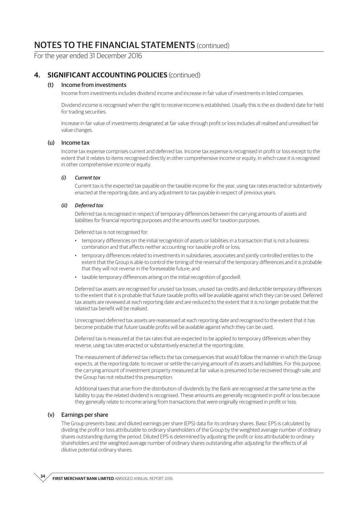# NOTES TO THE FINANCIAL STATEMENTS (continued)

For the year ended 31 December 2016

# **4. Significant accounting policies** (continued)

#### (t) Income from investments

Income from investments includes dividend income and increase in fair value of investments in listed companies.

Dividend income is recognised when the right to receive income is established. Usually this is the ex dividend date for held for trading securities.

Increase in fair value of investments designated at fair value through profit or loss includes all realised and unrealised fair value changes.

#### (u) Income tax

Income tax expense comprises current and deferred tax. Income tax expense is recognised in profit or loss except to the extent that it relates to items recognised directly in other comprehensive income or equity, in which case it is recognised in other comprehensive income or equity.

#### *(i) Current tax*

Current tax is the expected tax payable on the taxable income for the year, using tax rates enacted or substantively enacted at the reporting date, and any adjustment to tax payable in respect of previous years.

#### *(ii) Deferred tax*

Deferred tax is recognised in respect of temporary differences between the carrying amounts of assets and liabilities for financial reporting purposes and the amounts used for taxation purposes.

Deferred tax is not recognised for:

- • temporary differences on the initial recognition of assets or liabilities in a transaction that is not a business combination and that affects neither accounting nor taxable profit or loss;
- • temporary differences related to investments in subsidiaries, associates and jointly controlled entities to the extent that the Group is able to control the timing of the reversal of the temporary differences and it is probable that they will not reverse in the foreseeable future; and
- taxable temporary differences arising on the initial recognition of goodwill.

Deferred tax assets are recognised for unused tax losses, unused tax credits and deductible temporary differences to the extent that it is probable that future taxable profits will be available against which they can be used. Deferred tax assets are reviewed at each reporting date and are reduced to the extent that it is no longer probable that the related tax benefit will be realised.

Unrecognised deferred tax assets are reassessed at each reporting date and recognised to the extent that it has become probable that future taxable profits will be available against which they can be used.

Deferred tax is measured at the tax rates that are expected to be applied to temporary differences when they reverse, using tax rates enacted or substantively enacted at the reporting date.

The measurement of deferred tax reflects the tax consequences that would follow the manner in which the Group expects, at the reporting date, to recover or settle the carrying amount of its assets and liabilities. For this purpose, the carrying amount of investment property measured at fair value is presumed to be recovered through sale, and the Group has not rebutted this presumption.

Additional taxes that arise from the distribution of dividends by the Bank are recognised at the same time as the liability to pay the related dividend is recognised. These amounts are generally recognised in profit or loss because they generally relate to income arising from transactions that were originally recognised in profit or loss.

#### (v) Earnings per share

The Group presents basic and diluted earnings per share (EPS) data for its ordinary shares. Basic EPS is calculated by dividing the profit or loss attributable to ordinary shareholders of the Group by the weighted average number of ordinary shares outstanding during the period. Diluted EPS is determined by adjusting the profit or loss attributable to ordinary shareholders and the weighted average number of ordinary shares outstanding after adjusting for the effects of all dilutive potential ordinary shares.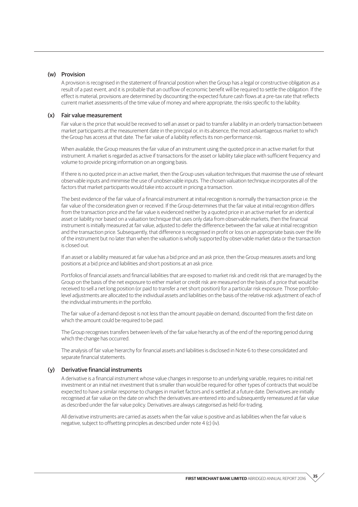#### (w) Provision

A provision is recognised in the statement of financial position when the Group has a legal or constructive obligation as a result of a past event, and it is probable that an outflow of economic benefit will be required to settle the obligation. If the effect is material, provisions are determined by discounting the expected future cash flows at a pre-tax rate that reflects current market assessments of the time value of money and where appropriate, the risks specific to the liability.

#### (x) Fair value measurement

Fair value is the price that would be received to sell an asset or paid to transfer a liability in an orderly transaction between market participants at the measurement date in the principal or, in its absence, the most advantageous market to which the Group has access at that date. The fair value of a liability reflects its non-performance risk.

When available, the Group measures the fair value of an instrument using the quoted price in an active market for that instrument. A market is regarded as active if transactions for the asset or liability take place with sufficient frequency and volume to provide pricing information on an ongoing basis.

If there is no quoted price in an active market, then the Group uses valuation techniques that maximise the use of relevant observable inputs and minimise the use of unobservable inputs. The chosen valuation technique incorporates all of the factors that market participants would take into account in pricing a transaction.

The best evidence of the fair value of a financial instrument at initial recognition is normally the transaction price i.e. the fair value of the consideration given or received. If the Group determines that the fair value at initial recognition differs from the transaction price and the fair value is evidenced neither by a quoted price in an active market for an identical asset or liability nor based on a valuation technique that uses only data from observable markets, then the financial instrument is initially measured at fair value, adjusted to defer the difference between the fair value at initial recognition and the transaction price. Subsequently, that difference is recognised in profit or loss on an appropriate basis over the life of the instrument but no later than when the valuation is wholly supported by observable market data or the transaction is closed out.

If an asset or a liability measured at fair value has a bid price and an ask price, then the Group measures assets and long positions at a bid price and liabilities and short positions at an ask price.

Portfolios of financial assets and financial liabilities that are exposed to market risk and credit risk that are managed by the Group on the basis of the net exposure to either market or credit risk are measured on the basis of a price that would be received to sell a net long position (or paid to transfer a net short position) for a particular risk exposure. Those portfoliolevel adjustments are allocated to the individual assets and liabilities on the basis of the relative risk adjustment of each of the individual instruments in the portfolio.

The fair value of a demand deposit is not less than the amount payable on demand, discounted from the first date on which the amount could be required to be paid.

The Group recognises transfers between levels of the fair value hierarchy as of the end of the reporting period during which the change has occurred.

The analysis of fair value hierarchy for financial assets and liabilities is disclosed in Note 6 to these consolidated and separate financial statements.

#### (y) Derivative financial instruments

A derivative is a financial instrument whose value changes in response to an underlying variable, requires no initial net investment or an initial net investment that is smaller than would be required for other types of contracts that would be expected to have a similar response to changes in market factors and is settled at a future date. Derivatives are initially recognised at fair value on the date on which the derivatives are entered into and subsequently remeasured at fair value as described under the fair value policy. Derivatives are always categorised as held-for-trading.

All derivative instruments are carried as assets when the fair value is positive and as liabilities when the fair value is negative, subject to offsetting principles as described under note 4 (c) (iv).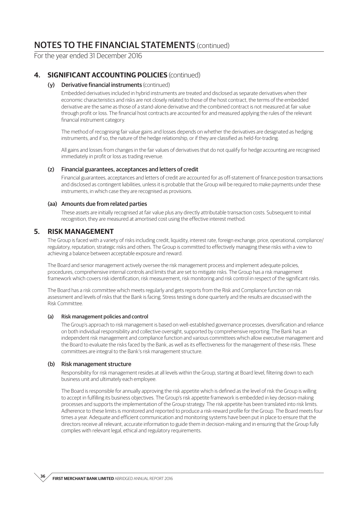For the year ended 31 December 2016

### **4. Significant accounting policies** (continued)

#### (y) Derivative financial instruments (continued)

Embedded derivatives included in hybrid instruments are treated and disclosed as separate derivatives when their economic characteristics and risks are not closely related to those of the host contract, the terms of the embedded derivative are the same as those of a stand-alone derivative and the combined contract is not measured at fair value through profit or loss. The financial host contracts are accounted for and measured applying the rules of the relevant financial instrument category.

The method of recognising fair value gains and losses depends on whether the derivatives are designated as hedging instruments, and if so, the nature of the hedge relationship, or if they are classified as held-for-trading.

All gains and losses from changes in the fair values of derivatives that do not qualify for hedge accounting are recognised immediately in profit or loss as trading revenue.

#### (z) Financial guarantees, acceptances and letters of credit

Financial guarantees, acceptances and letters of credit are accounted for as off-statement of finance position transactions and disclosed as contingent liabilities, unless it is probable that the Group will be required to make payments under these instruments, in which case they are recognised as provisions.

#### (aa) Amounts due from related parties

These assets are initially recognised at fair value plus any directly attributable transaction costs. Subsequent to initial recognition, they are measured at amortised cost using the effective interest method.

### **5. Risk Management**

The Group is faced with a variety of risks including credit, liquidity, interest rate, foreign exchange, price, operational, compliance/ regulatory, reputation, strategic risks and others. The Group is committed to effectively managing these risks with a view to achieving a balance between acceptable exposure and reward.

The Board and senior management actively oversee the risk management process and implement adequate policies, procedures, comprehensive internal controls and limits that are set to mitigate risks. The Group has a risk management framework which covers risk identification, risk measurement, risk monitoring and risk control in respect of the significant risks.

The Board has a risk committee which meets regularly and gets reports from the Risk and Compliance function on risk assessment and levels of risks that the Bank is facing. Stress testing is done quarterly and the results are discussed with the Risk Committee.

#### (a) Risk management policies and control

The Group's approach to risk management is based on well-established governance processes, diversification and reliance on both individual responsibility and collective oversight, supported by comprehensive reporting. The Bank has an independent risk management and compliance function and various committees which allow executive management and the Board to evaluate the risks faced by the Bank, as well as its effectiveness for the management of these risks. These committees are integral to the Bank's risk management structure.

#### (b) Risk management structure

Responsibility for risk management resides at all levels within the Group, starting at Board level, filtering down to each business unit and ultimately each employee.

The Board is responsible for annually approving the risk appetite which is defined as the level of risk the Group is willing to accept in fulfilling its business objectives. The Group's risk appetite framework is embedded in key decision-making processes and supports the implementation of the Group strategy. The risk appetite has been translated into risk limits. Adherence to these limits is monitored and reported to produce a risk-reward profile for the Group. The Board meets four times a year. Adequate and efficient communication and monitoring systems have been put in place to ensure that the directors receive all relevant, accurate information to guide them in decision-making and in ensuring that the Group fully complies with relevant legal, ethical and regulatory requirements.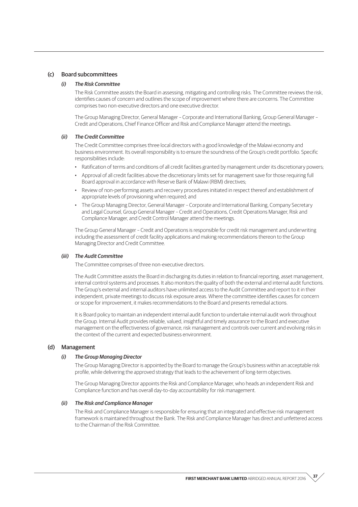#### (c) Board subcommittees

#### *(i) The Risk Committee*

The Risk Committee assists the Board in assessing, mitigating and controlling risks. The Committee reviews the risk, identifies causes of concern and outlines the scope of improvement where there are concerns. The Committee comprises two non-executive directors and one executive director.

The Group Managing Director, General Manager – Corporate and International Banking, Group General Manager – Credit and Operations, Chief Finance Officer and Risk and Compliance Manager attend the meetings.

#### *(ii) The Credit Committee*

The Credit Committee comprises three local directors with a good knowledge of the Malawi economy and business environment. Its overall responsibility is to ensure the soundness of the Group's credit portfolio. Specific responsibilities include:

- • Ratification of terms and conditions of all credit facilities granted by management under its discretionary powers;
- Approval of all credit facilities above the discretionary limits set for management save for those requiring full Board approval in accordance with Reserve Bank of Malawi (RBM) directives;
- Review of non-performing assets and recovery procedures initiated in respect thereof and establishment of appropriate levels of provisioning when required; and
- • The Group Managing Director, General Manager Corporate and International Banking, Company Secretary and Legal Counsel, Group General Manager – Credit and Operations, Credit Operations Manager, Risk and Compliance Manager, and Credit Control Manager attend the meetings.

The Group General Manager – Credit and Operations is responsible for credit risk management and underwriting including the assessment of credit facility applications and making recommendations thereon to the Group Managing Director and Credit Committee.

#### *(iii) The Audit Committee*

The Committee comprises of three non-executive directors.

The Audit Committee assists the Board in discharging its duties in relation to financial reporting, asset management, internal control systems and processes. It also monitors the quality of both the external and internal audit functions. The Group's external and internal auditors have unlimited access to the Audit Committee and report to it in their independent, private meetings to discuss risk exposure areas. Where the committee identifies causes for concern or scope for improvement, it makes recommendations to the Board and presents remedial actions.

It is Board policy to maintain an independent internal audit function to undertake internal audit work throughout the Group. Internal Audit provides reliable, valued, insightful and timely assurance to the Board and executive management on the effectiveness of governance, risk management and controls over current and evolving risks in the context of the current and expected business environment.

#### (d) Management

#### *(i) The Group Managing Director*

The Group Managing Director is appointed by the Board to manage the Group's business within an acceptable risk profile, while delivering the approved strategy that leads to the achievement of long-term objectives.

The Group Managing Director appoints the Risk and Compliance Manager, who heads an independent Risk and Compliance function and has overall day-to-day accountability for risk management.

#### *(ii) The Risk and Compliance Manager*

The Risk and Compliance Manager is responsible for ensuring that an integrated and effective risk management framework is maintained throughout the Bank. The Risk and Compliance Manager has direct and unfettered access to the Chairman of the Risk Committee.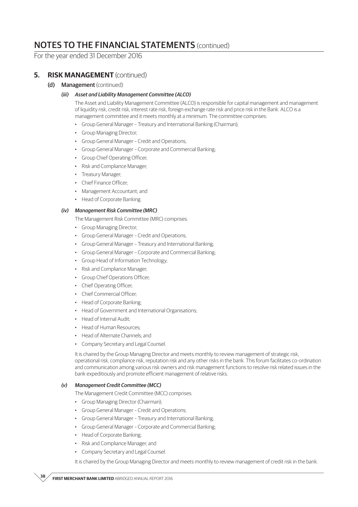For the year ended 31 December 2016

### **5. RISK MANAGEMENT** (continued)

#### (d) Management (continued)

#### *(iii) Asset and Liability Management Committee (ALCO)*

The Asset and Liability Management Committee (ALCO) is responsible for capital management and management of liquidity risk, credit risk, interest rate risk, foreign exchange rate risk and price risk in the Bank. ALCO is a management committee and it meets monthly at a minimum. The committee comprises:

- Group General Manager Treasury and International Banking (Chairman);
- Group Managing Director;
- Group General Manager Credit and Operations;
- Group General Manager Corporate and Commercial Banking;
- • Group Chief Operating Officer;
- Risk and Compliance Manager;
- Treasury Manager;
- Chief Finance Officer:
- • Management Accountant; and
- Head of Corporate Banking.

#### *(iv) Management Risk Committee (MRC)*

The Management Risk Committee (MRC) comprises:

- • Group Managing Director;
- Group General Manager Credit and Operations:
- Group General Manager Treasury and International Banking;
- Group General Manager Corporate and Commercial Banking;
- • Group Head of Information Technology;
- Risk and Compliance Manager;
- • Group Chief Operations Officer;
- • Chief Operating Officer;
- Chief Commercial Officer:
- Head of Corporate Banking;
- Head of Government and International Organisations;
- • Head of Internal Audit;
- Head of Human Resources:
- • Head of Alternate Channels; and
- • Company Secretary and Legal Counsel.

It is chaired by the Group Managing Director and meets monthly to review management of strategic risk, operational risk, compliance risk, reputation risk and any other risks in the bank. This forum facilitates co-ordination and communication among various risk owners and risk management functions to resolve risk related issues in the bank expeditiously and promote efficient management of relative risks.

#### *(v) Management Credit Committee (MCC)*

The Management Credit Committee (MCC) comprises:

- Group Managing Director (Chairman);
- Group General Manager Credit and Operations;
- Group General Manager Treasury and International Banking;
- Group General Manager Corporate and Commercial Banking;
- Head of Corporate Banking;
- • Risk and Compliance Manager; and
- • Company Secretary and Legal Counsel.

It is chaired by the Group Managing Director and meets monthly to review management of credit risk in the bank.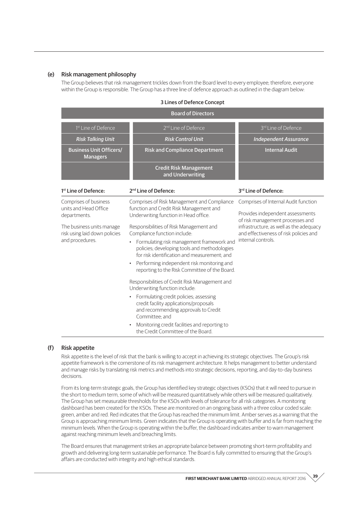#### (e) Risk management philosophy

The Group believes that risk management trickles down from the Board level to every employee; therefore, everyone within the Group is responsible. The Group has a three line of defence approach as outlined in the diagram below:

|                                                                               | <b>Board of Directors</b>                                                                                                                                                                                            |                                                                                                              |
|-------------------------------------------------------------------------------|----------------------------------------------------------------------------------------------------------------------------------------------------------------------------------------------------------------------|--------------------------------------------------------------------------------------------------------------|
| 1 <sup>st</sup> Line of Defence                                               | 2 <sup>nd</sup> Line of Defence                                                                                                                                                                                      | 3rd Line of Defence                                                                                          |
| <b>Risk Talking Unit</b>                                                      | <b>Risk Control Unit</b>                                                                                                                                                                                             | <b>Independent Assurance</b>                                                                                 |
| <b>Business Unit Officers/</b><br><b>Managers</b>                             | <b>Risk and Compliance Department</b>                                                                                                                                                                                | <b>Internal Audit</b>                                                                                        |
|                                                                               | <b>Credit Risk Management</b><br>and Underwriting                                                                                                                                                                    |                                                                                                              |
| 1 <sup>st</sup> Line of Defence:                                              | 2 <sup>nd</sup> Line of Defence:                                                                                                                                                                                     | 3rd Line of Defence:                                                                                         |
| Comprises of business<br>units and Head Office<br>departments.                | Comprises of Risk Management and Compliance<br>function and Credit Risk Management and<br>Underwriting function in Head office.                                                                                      | Comprises of Internal Audit function<br>Provides independent assessments<br>of risk management processes and |
| The business units manage<br>risk using laid down policies<br>and procedures. | Responsibilities of Risk Management and<br>Compliance function include:<br>Formulating risk management framework and<br>policies; developing tools and methodologies<br>for risk identification and measurement: and | infrastructure, as well as the adequacy<br>and effectiveness of risk policies and<br>internal controls.      |
|                                                                               | Performing independent risk monitoring and<br>reporting to the Risk Committee of the Board.                                                                                                                          |                                                                                                              |
|                                                                               | Responsibilities of Credit Risk Management and<br>Underwriting function include:                                                                                                                                     |                                                                                                              |
|                                                                               | Formulating credit policies; assessing<br>$\bullet$<br>credit facility applications/proposals<br>and recommending approvals to Credit<br>Committee: and                                                              |                                                                                                              |
|                                                                               | Monitoring credit facilities and reporting to<br>the Credit Committee of the Board.                                                                                                                                  |                                                                                                              |

#### 3 Lines of Defence Concept

### (f) Risk appetite

Risk appetite is the level of risk that the bank is willing to accept in achieving its strategic objectives. The Group's risk appetite framework is the cornerstone of its risk management architecture. It helps management to better understand and manage risks by translating risk metrics and methods into strategic decisions, reporting, and day-to-day business decisions.

From its long-term strategic goals, the Group has identified key strategic objectives (KSOs) that it will need to pursue in the short to medium term, some of which will be measured quantitatively while others will be measured qualitatively. The Group has set measurable thresholds for the KSOs with levels of tolerance for all risk categories. A monitoring dashboard has been created for the KSOs. These are monitored on an ongoing basis with a three colour coded scale: green, amber and red. Red indicates that the Group has reached the minimum limit. Amber serves as a warning that the Group is approaching minimum limits. Green indicates that the Group is operating with buffer and is far from reaching the minimum levels. When the Group is operating within the buffer, the dashboard indicates amber to warn management against reaching minimum levels and breaching limits.

The Board ensures that management strikes an appropriate balance between promoting short-term profitability and growth and delivering long-term sustainable performance. The Board is fully committed to ensuring that the Group's affairs are conducted with integrity and high ethical standards.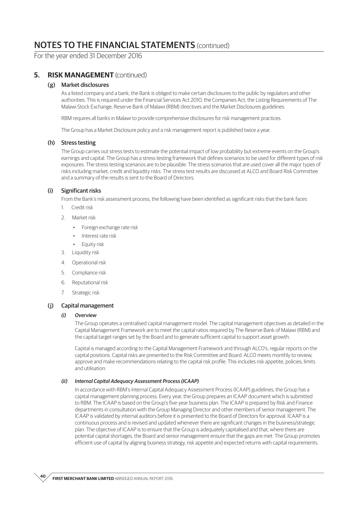For the year ended 31 December 2016

### **5. Risk Management** (continued)

### (g) Market disclosures

As a listed company and a bank, the Bank is obliged to make certain disclosures to the public by regulators and other authorities. This is required under the Financial Services Act 2010, the Companies Act, the Listing Requirements of The Malawi Stock Exchange, Reserve Bank of Malawi (RBM) directives and the Market Disclosures guidelines.

RBM requires all banks in Malawi to provide comprehensive disclosures for risk management practices.

The Group has a Market Disclosure policy and a risk management report is published twice a year.

#### (h) Stress testing

The Group carries out stress tests to estimate the potential impact of low probability but extreme events on the Group's earnings and capital. The Group has a stress testing framework that defines scenarios to be used for different types of risk exposures. The stress testing scenarios are to be plausible. The stress scenarios that are used cover all the major types of risks including market, credit and liquidity risks. The stress test results are discussed at ALCO and Board Risk Committee and a summary of the results is sent to the Board of Directors.

#### (i) Significant risks

From the Bank's risk assessment process, the following have been identified as significant risks that the bank faces:

- 1. Credit risk
- 2. Market risk
	- • Foreign exchange rate risk
	- Interest rate risk
	- **Equity risk**
- 3. Liquidity risk
- 4. Operational risk
- 5. Compliance risk
- 6. Reputational risk
- 7. Strategic risk

#### (j) Capital management

#### *(i) Overview*

The Group operates a centralised capital management model. The capital management objectives as detailed in the Capital Management Framework are to meet the capital ratios required by The Reserve Bank of Malawi (RBM) and the capital target ranges set by the Board and to generate sufficient capital to support asset growth.

Capital is managed according to the Capital Management Framework and through ALCO's, regular reports on the capital positions. Capital risks are presented to the Risk Committee and Board. ALCO meets monthly to review, approve and make recommendations relating to the capital risk profile. This includes risk appetite, policies, limits and utilisation.

#### *(ii) Internal Capital Adequacy Assessment Process (ICAAP)*

In accordance with RBM's Internal Capital Adequacy Assessment Process (ICAAP) guidelines, the Group has a capital management planning process. Every year, the Group prepares an ICAAP document which is submitted to RBM. The ICAAP is based on the Group's five-year business plan. The ICAAP is prepared by Risk and Finance departments in consultation with the Group Managing Director and other members of senior management. The ICAAP is validated by internal auditors before it is presented to the Board of Directors for approval. ICAAP is a continuous process and is revised and updated whenever there are significant changes in the business/strategic plan. The objective of ICAAP is to ensure that the Group is adequately capitalised and that, where there are potential capital shortages, the Board and senior management ensure that the gaps are met. The Group promotes efficient use of capital by aligning business strategy, risk appetite and expected returns with capital requirements.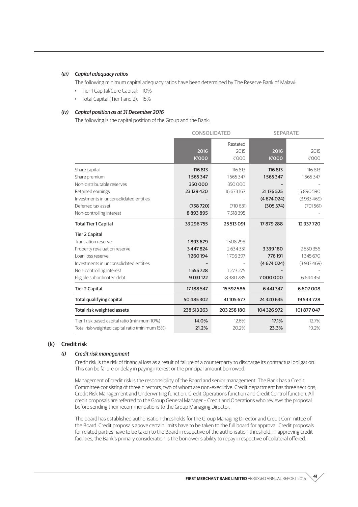#### *(iii) Capital adequacy ratios*

The following minimum capital adequacy ratios have been determined by The Reserve Bank of Malawi:

- • Tier 1 Capital/Core Capital: 10%
- Total Capital (Tier 1 and 2): 15%

#### *(iv) Capital position as at 31 December 2016*

The following is the capital position of the Group and the Bank:

|                                                 | <b>CONSOLIDATED</b> |              | <b>SEPARATE</b> |            |
|-------------------------------------------------|---------------------|--------------|-----------------|------------|
|                                                 |                     | Restated     |                 |            |
|                                                 | 2016                | 2015         | 2016            | 2015       |
|                                                 | <b>K'000</b>        | <b>K'000</b> | <b>K'000</b>    | K'000      |
| Share capital                                   | 116813              | 116813       | 116813          | 116813     |
| Share premium                                   | 1565347             | 1565347      | 1565347         | 1565347    |
| Non-distributable reserves                      | 350000              | 350000       |                 |            |
| Retained earnings                               | 23 129 420          | 16 673 167   | 21176525        | 15 890 590 |
| Investments in unconsolidated entities          |                     |              | (4674024)       | (3933469)  |
| Deferred tax asset                              | (758720)            | (710631)     | (305374)        | (701561)   |
| Non-controlling interest                        | 8893895             | 7518395      |                 |            |
| <b>Total Tier 1 Capital</b>                     | 33 296 755          | 25 513 091   | 17879288        | 12 937 720 |
| <b>Tier 2 Capital</b>                           |                     |              |                 |            |
| Translation reserve                             | 1893679             | 1508298      |                 |            |
| Property revaluation reserve                    | 3447824             | 2634331      | 3339180         | 2550356    |
| Loan loss reserve                               | 1260194             | 1796397      | 776191          | 1345 670   |
| Investments in unconsolidated entities          |                     |              | (4674024)       | (3933469)  |
| Non-controlling interest                        | 1555728             | 1273275      |                 |            |
| Eligible subordinated debt                      | 9 0 31 1 22         | 8380285      | 7000000         | 6644451    |
| <b>Tier 2 Capital</b>                           | 17188547            | 15 592 586   | 6441347         | 6607008    |
| Total qualifying capital                        | 50485302            | 41105677     | 24 320 635      | 19544728   |
| Total risk weighted assets                      | 238 513 263         | 203 258 180  | 104 326 972     | 101877047  |
| Tier 1 risk based capital ratio (minimum 10%)   | 14.0%               | 12.6%        | 17.1%           | 12.7%      |
| Total risk-weighted capital ratio (minimum 15%) | 21.2%               | 20.2%        | 23.3%           | 19.2%      |

#### (k) Credit risk

#### *(i) Credit risk management*

Credit risk is the risk of financial loss as a result of failure of a counterparty to discharge its contractual obligation. This can be failure or delay in paying interest or the principal amount borrowed.

Management of credit risk is the responsibility of the Board and senior management. The Bank has a Credit Committee consisting of three directors, two of whom are non-executive. Credit department has three sections; Credit Risk Management and Underwriting function, Credit Operations function and Credit Control function. All credit proposals are referred to the Group General Manager – Credit and Operations who reviews the proposal before sending their recommendations to the Group Managing Director.

The board has established authorisation thresholds for the Group Managing Director and Credit Committee of the Board. Credit proposals above certain limits have to be taken to the full board for approval. Credit proposals for related parties have to be taken to the Board irrespective of the authorisation threshold. In approving credit facilities, the Bank's primary consideration is the borrower's ability to repay irrespective of collateral offered.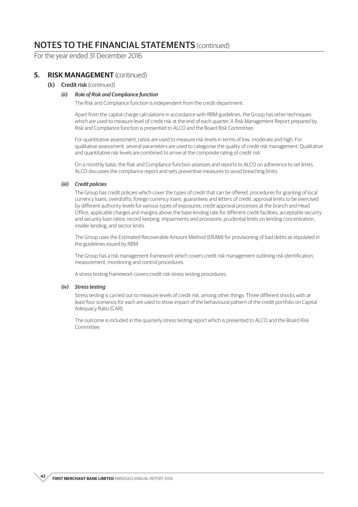For the year ended 31 December 2016

### **5. Risk Management** (continued)

#### (k) Credit risk (continued)

#### *(ii) Role of Risk and Compliance function*

The Risk and Compliance function is independent from the credit department.

Apart from the capital charge calculations in accordance with RBM guidelines, the Group has other techniques which are used to measure level of credit risk at the end of each quarter. A Risk Management Report prepared by Risk and Compliance function is presented to ALCO and the Board Risk Committee.

For quantitative assessment, ratios are used to measure risk levels in terms of low, moderate and high. For qualitative assessment, several parameters are used to categorise the quality of credit risk management. Qualitative and quantitative risk levels are combined to arrive at the composite rating of credit risk.

On a monthly basis, the Risk and Compliance function assesses and reports to ALCO on adherence to set limits. ALCO discusses the compliance report and sets preventive measures to avoid breaching limits.

#### *(iii) Credit policies*

The Group has credit policies which cover the types of credit that can be offered, procedures for granting of local currency loans, overdrafts, foreign currency loans, guarantees and letters of credit; approval limits to be exercised by different authority levels for various types of exposures; credit approval processes at the branch and Head Office; applicable charges and margins above the base lending rate for different credit facilities; acceptable security and security loan ratios; record keeping; impairments and provisions; prudential limits on lending concentration; insider lending; and sector limits.

The Group uses the Estimated Recoverable Amount Method (ERAM) for provisioning of bad debts as stipulated in the guidelines issued by RBM.

The Group has a risk management framework which covers credit risk management outlining risk identification, measurement, monitoring and control procedures.

A stress testing framework covers credit risk stress testing procedures.

#### *(iv) Stress testing*

Stress testing is carried out to measure levels of credit risk, among other things. Three different shocks with at least four scenarios for each are used to show impact of the behavioural pattern of the credit portfolio on Capital Adequacy Ratio (CAR).

The outcome is included in the quarterly stress testing report which is presented to ALCO and the Board Risk Committee.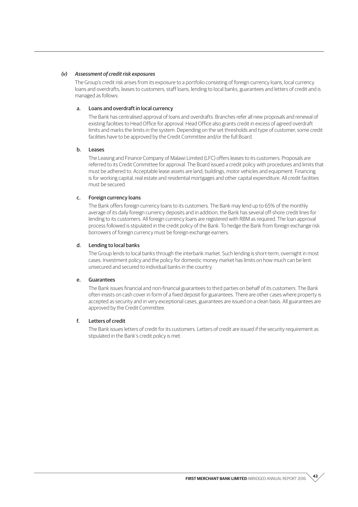#### *(v) Assessment of credit risk exposures*

The Group's credit risk arises from its exposure to a portfolio consisting of foreign currency loans, local currency loans and overdrafts, leases to customers, staff loans, lending to local banks, guarantees and letters of credit and is managed as follows:

#### a. Loans and overdraft in local currency

The Bank has centralised approval of loans and overdrafts. Branches refer all new proposals and renewal of existing facilities to Head Office for approval. Head Office also grants credit in excess of agreed overdraft limits and marks the limits in the system. Depending on the set thresholds and type of customer, some credit facilities have to be approved by the Credit Committee and/or the full Board.

#### b. Leases

The Leasing and Finance Company of Malawi Limited (LFC) offers leases to its customers. Proposals are referred to its Credit Committee for approval. The Board issued a credit policy with procedures and limits that must be adhered to. Acceptable lease assets are land, buildings, motor vehicles and equipment. Financing is for working capital, real estate and residential mortgages and other capital expenditure. All credit facilities must be secured.

#### c. Foreign currency loans

The Bank offers foreign currency loans to its customers. The Bank may lend up to 65% of the monthly average of its daily foreign currency deposits and in addition, the Bank has several off-shore credit lines for lending to its customers. All foreign currency loans are registered with RBM as required. The loan approval process followed is stipulated in the credit policy of the Bank. To hedge the Bank from foreign exchange risk borrowers of foreign currency must be foreign exchange earners.

#### d. Lending to local banks

The Group lends to local banks through the interbank market. Such lending is short-term, overnight in most cases. Investment policy and the policy for domestic money market has limits on how much can be lent unsecured and secured to individual banks in the country.

#### e. Guarantees

The Bank issues financial and non-financial guarantees to third parties on behalf of its customers. The Bank often insists on cash cover in form of a fixed deposit for guarantees. There are other cases where property is accepted as security and in very exceptional cases, guarantees are issued on a clean basis. All guarantees are approved by the Credit Committee.

#### f. Letters of credit

The Bank issues letters of credit for its customers. Letters of credit are issued if the security requirement as stipulated in the Bank's credit policy is met.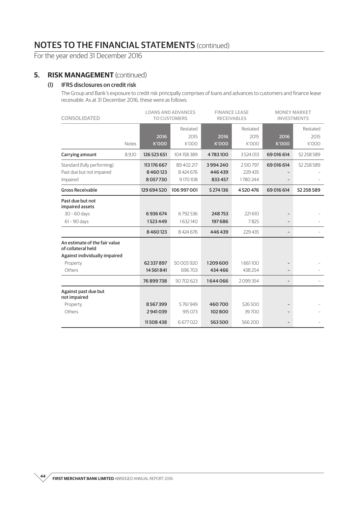For the year ended 31 December 2016

### **5. RISK MANAGEMENT** (continued)

#### (l) IFRS disclosures on credit risk

The Group and Bank's exposure to credit risk principally comprises of loans and advances to customers and finance lease receivable. As at 31 December 2016, these were as follows:

| <b>CONSOLIDATED</b>                                                     |              |                                   | <b>LOANS AND ADVANCES</b><br><b>TO CUSTOMERS</b> | <b>FINANCE LEASE</b><br><b>RECEIVABLES</b> |                                | <b>MONEY MARKET</b><br><b>INVESTMENTS</b> |                           |
|-------------------------------------------------------------------------|--------------|-----------------------------------|--------------------------------------------------|--------------------------------------------|--------------------------------|-------------------------------------------|---------------------------|
|                                                                         | <b>Notes</b> | 2016<br><b>K'000</b>              | Restated<br>2015<br><b>K'000</b>                 | 2016<br><b>K'000</b>                       | Restated<br>2015<br>K'000      | 2016<br><b>K'000</b>                      | Restated<br>2015<br>K'000 |
| Carrying amount                                                         | 8,9,10       | 126 523 651                       | 104158389                                        | 4783100                                    | 3 5 2 4 0 1 3                  | 69 016 614                                | 52 258 589                |
| Standard (fully performing)<br>Past due but not impaired<br>Impaired    |              | 113 176 667<br>8460123<br>8057730 | 89402217<br>8424676<br>9170108                   | 3994240<br>446439<br>833457                | 2510797<br>229 435<br>1780 244 | 69 016 614                                | 52 258 589                |
| <b>Gross Receivable</b>                                                 |              | 129 694 520                       | 106 997 001                                      | 5 2 7 4 1 3 6                              | 4520476                        | 69 016 614                                | 52 258 589                |
| Past due but not<br>impaired assets<br>$30 - 60$ days<br>$61 - 90$ days |              | 6936674<br>1523449<br>8460123     | 6792536<br>1632140<br>8424676                    | 248753<br>197686<br>446439                 | 221610<br>7825<br>229 435      |                                           |                           |
| An estimate of the fair value<br>of collateral held                     |              |                                   |                                                  |                                            |                                |                                           |                           |
| Against individually impaired                                           |              |                                   |                                                  |                                            |                                |                                           |                           |
| Property<br>Others                                                      |              | 62337897<br>14 5 61 8 41          | 50005920<br>696703                               | 1209600<br>434466                          | 1661100<br>438 254             |                                           |                           |
|                                                                         |              | 76 899 738                        | 50702623                                         | 1644066                                    | 2099354                        |                                           |                           |
| Against past due but<br>not impaired                                    |              |                                   |                                                  |                                            |                                |                                           |                           |
| Property<br>Others                                                      |              | 8567399<br>2941039                | 5761949<br>915 073                               | 460700<br>102800                           | 526 500<br>39700               |                                           |                           |
|                                                                         |              | 11508438                          | 6677022                                          | 563500                                     | 566200                         |                                           |                           |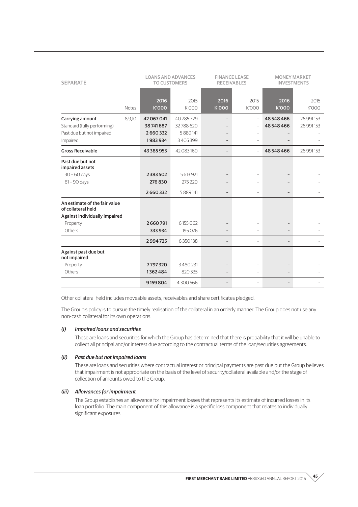| <b>SEPARATE</b>                                                                                            |        | <b>LOANS AND ADVANCES</b><br><b>TO CUSTOMERS</b> |                                              | <b>FINANCE LEASE</b><br><b>RECEIVABLES</b> |                      | <b>MONEY MARKET</b><br><b>INVESTMENTS</b> |                          |
|------------------------------------------------------------------------------------------------------------|--------|--------------------------------------------------|----------------------------------------------|--------------------------------------------|----------------------|-------------------------------------------|--------------------------|
|                                                                                                            | Notes  | 2016<br><b>K'000</b>                             | 2015<br><b>K'000</b>                         | 2016<br><b>K'000</b>                       | 2015<br><b>K'000</b> | 2016<br><b>K'000</b>                      | 2015<br>K'000            |
| Carrying amount<br>Standard (fully performing)<br>Past due but not impaired<br>Impaired                    | 8,9,10 | 42067041<br>38 741 687<br>2660332<br>1983934     | 40 285 729<br>32788620<br>5889141<br>3405399 |                                            |                      | 48548466<br>48548466                      | 26 991 153<br>26 991 153 |
| <b>Gross Receivable</b>                                                                                    |        | 43 385 953                                       | 42 083 160                                   |                                            |                      | 48548466                                  | 26 991 153               |
| Past due but not<br>impaired assets<br>$30 - 60$ days<br>$61 - 90$ days                                    |        | 2383502<br>276830<br>2660332                     | 5 613 921<br>275 220<br>5 8 8 9 1 4 1        |                                            |                      |                                           |                          |
| An estimate of the fair value<br>of collateral held<br>Against individually impaired<br>Property<br>Others |        | 2660791<br>333 934<br>2994725                    | 6155062<br>195 076<br>6350138                | $\overline{\phantom{0}}$                   | -                    |                                           |                          |
| Against past due but<br>not impaired<br>Property<br>Others                                                 |        | 7797320<br>1362484<br>9159804                    | 3480231<br>820335<br>4300566                 | $\overline{\phantom{0}}$                   |                      |                                           |                          |

Other collateral held includes moveable assets, receivables and share certificates pledged.

The Group's policy is to pursue the timely realisation of the collateral in an orderly manner. The Group does not use any non-cash collateral for its own operations.

#### *(i) Impaired loans and securities*

These are loans and securities for which the Group has determined that there is probability that it will be unable to collect all principal and/or interest due according to the contractual terms of the loan/securities agreements.

#### *(ii) Past due but not impaired loans*

These are loans and securities where contractual interest or principal payments are past due but the Group believes that impairment is not appropriate on the basis of the level of security/collateral available and/or the stage of collection of amounts owed to the Group.

#### *(iii) Allowances for impairment*

The Group establishes an allowance for impairment losses that represents its estimate of incurred losses in its loan portfolio. The main component of this allowance is a specific loss component that relates to individually significant exposures.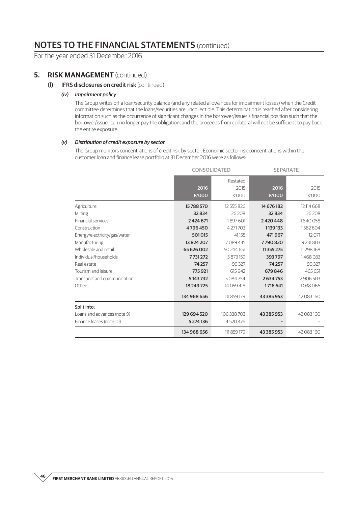For the year ended 31 December 2016

### **5. RISK MANAGEMENT** (continued)

#### (l) IFRS disclosures on credit risk (continued)

#### *(iv) Impairment policy*

The Group writes off a loan/security balance (and any related allowances for impairment losses) when the Credit committee determines that the loans/securities are uncollectible. This determination is reached after considering information such as the occurrence of significant changes in the borrower/issuer's financial position such that the borrower/issuer can no longer pay the obligation, and the proceeds from collateral will not be sufficient to pay back the entire exposure.

#### *(v) Distribution of credit exposure by sector*

The Group monitors concentrations of credit risk by sector. Economic sector risk concentrations within the customer loan and finance lease portfolio at 31 December 2016 were as follows:

|                              |                      | <b>CONSOLIDATED</b>              | <b>SEPARATE</b>      |               |
|------------------------------|----------------------|----------------------------------|----------------------|---------------|
|                              | 2016<br><b>K'000</b> | Restated<br>2015<br><b>K'000</b> | 2016<br><b>K'000</b> | 2015<br>K'000 |
| Agriculture                  | 15788570             | 12 555 826                       | 14 676 182           | 12 114 6 68   |
| Mining                       | 32834                | 26 208                           | 32834                | 26208         |
| <b>Financial services</b>    | 2424671              | 1897601                          | 2420448              | 1840058       |
| Construction                 | 4796450              | 4 2 7 1 7 0 3                    | 1139133              | 1582604       |
| Energy/electricity/gas/water | 501015               | 41155                            | 471967               | 12071         |
| Manufacturing                | 13824207             | 17089435                         | 7790820              | 9 2 3 1 8 0 3 |
| Wholesale and retail         | 65 626 002           | 50 244 651                       | 11355275             | 11298168      |
| Individual/households        | 7731272              | 5873159                          | 393797               | 1468033       |
| Real estate                  | 74 257               | 99.327                           | 74 257               | 99327         |
| Tourism and leisure          | 775921               | 615942                           | 679846               | 465651        |
| Transport and communication  | 5143732              | 5084754                          | 2634753              | 2906503       |
| Others                       | 18 249 725           | 14 059 418                       | 1716 641             | 1038066       |
|                              | 134 968 656          | 111 859 179                      | 43 385 953           | 42 083 160    |
| Split into:                  |                      |                                  |                      |               |
| Loans and advances (note 9)  | 129 694 520          | 106 338 703                      | 43 385 953           | 42 083 160    |
| Finance leases (note 10)     | 5 2 7 4 1 3 6        | 4520476                          |                      |               |
|                              | 134 968 656          | 111 859 179                      | 43 385 953           | 42 083 160    |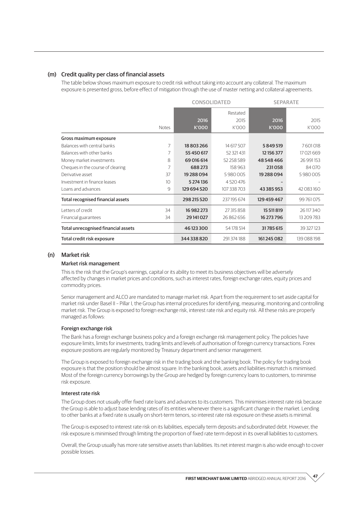#### (m) Credit quality per class of financial assets

The table below shows maximum exposure to credit risk without taking into account any collateral. The maximum exposure is presented gross, before effect of mitigation through the use of master netting and collateral agreements.

|                                     |              |               | <b>CONSOLIDATED</b> | <b>SEPARATE</b> |             |  |  |
|-------------------------------------|--------------|---------------|---------------------|-----------------|-------------|--|--|
|                                     |              | 2016          | Restated<br>2015    | 2016            | 2015        |  |  |
|                                     | <b>Notes</b> | <b>K'000</b>  | <b>K'000</b>        | <b>K'000</b>    | K'000       |  |  |
| Gross maximum exposure              |              |               |                     |                 |             |  |  |
| Balances with central banks         | 7            | 18803266      | 14 617 507          | 5849519         | 7601018     |  |  |
| Balances with other banks           | 7            | 55 450 617    | 52 321 431          | 12 156 377      | 17021669    |  |  |
| Money market investments            | 8            | 69 016 614    | 52 258 589          | 48548466        | 26 991 153  |  |  |
| Cheques in the course of clearing   | 7            | 688273        | 158963              | 231058          | 84070       |  |  |
| Derivative asset                    | 37           | 19288094      | 5980005             | 19288094        | 5980005     |  |  |
| Investment in finance leases        | 10           | 5 2 7 4 1 3 6 | 4520476             |                 |             |  |  |
| Loans and advances                  | 9            | 129 694 520   | 107 338 703         | 43 385 953      | 42083160    |  |  |
| Total recognised financial assets   |              | 298 215 520   | 237 195 674         | 129 459 467     | 99 761 075  |  |  |
| Letters of credit                   | 34           | 16982273      | 27 315 858          | 15 511 819      | 26 117 340  |  |  |
| Financial guarantees                | 34           | 29 141 027    | 26 862 656          | 16 273 796      | 13 209 783  |  |  |
| Total unrecognised financial assets |              | 46 123 300    | 54 178 514          | 31785615        | 39 327 123  |  |  |
| Total credit risk exposure          |              | 344 338 820   | 291374188           | 161245082       | 139 088 198 |  |  |

#### (n) Market risk

#### Market risk management

This is the risk that the Group's earnings, capital or its ability to meet its business objectives will be adversely affected by changes in market prices and conditions, such as interest rates, foreign exchange rates, equity prices and commodity prices.

Senior management and ALCO are mandated to manage market risk. Apart from the requirement to set aside capital for market risk under Basel II – Pillar I, the Group has internal procedures for identifying, measuring, monitoring and controlling market risk. The Group is exposed to foreign exchange risk, interest rate risk and equity risk. All these risks are properly managed as follows:

#### Foreign exchange risk

The Bank has a foreign exchange business policy and a foreign exchange risk management policy. The policies have exposure limits, limits for investments, trading limits and levels of authorisation of foreign currency transactions. Forex exposure positions are regularly monitored by Treasury department and senior management.

The Group is exposed to foreign exchange risk in the trading book and the banking book. The policy for trading book exposure is that the position should be almost square. In the banking book, assets and liabilities mismatch is minimised. Most of the foreign currency borrowings by the Group are hedged by foreign currency loans to customers, to minimise risk exposure.

#### Interest rate risk

The Group does not usually offer fixed rate loans and advances to its customers. This minimises interest rate risk because the Group is able to adjust base lending rates of its entities whenever there is a significant change in the market. Lending to other banks at a fixed rate is usually on short-term tenors, so interest rate risk exposure on these assets is minimal.

The Group is exposed to interest rate risk on its liabilities, especially term deposits and subordinated debt. However, the risk exposure is minimised through limiting the proportion of fixed rate term deposit in its overall liabilities to customers.

Overall, the Group usually has more rate sensitive assets than liabilities. Its net interest margin is also wide enough to cover possible losses.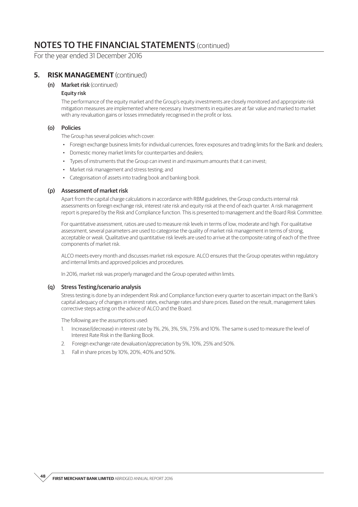For the year ended 31 December 2016

### **5. Risk Management** (continued)

#### (n) Market risk (continued)

#### Equity risk

The performance of the equity market and the Group's equity investments are closely monitored and appropriate risk mitigation measures are implemented where necessary. Investments in equities are at fair value and marked to market with any revaluation gains or losses immediately recognised in the profit or loss.

#### (o) Policies

The Group has several policies which cover:

- Foreign exchange business limits for individual currencies, forex exposures and trading limits for the Bank and dealers;
- Domestic money market limits for counterparties and dealers;
- • Types of instruments that the Group can invest in and maximum amounts that it can invest;
- Market risk management and stress testing; and
- Categorisation of assets into trading book and banking book.

#### (p) Assessment of market risk

Apart from the capital charge calculations in accordance with RBM guidelines, the Group conducts internal risk assessments on foreign exchange risk, interest rate risk and equity risk at the end of each quarter. A risk management report is prepared by the Risk and Compliance function. This is presented to management and the Board Risk Committee.

For quantitative assessment, ratios are used to measure risk levels in terms of low, moderate and high. For qualitative assessment, several parameters are used to categorise the quality of market risk management in terms of strong, acceptable or weak. Qualitative and quantitative risk levels are used to arrive at the composite rating of each of the three components of market risk.

ALCO meets every month and discusses market risk exposure. ALCO ensures that the Group operates within regulatory and internal limits and approved policies and procedures.

In 2016, market risk was properly managed and the Group operated within limits.

#### (q) Stress Testing/scenario analysis

Stress testing is done by an independent Risk and Compliance function every quarter to ascertain impact on the Bank's capital adequacy of changes in interest rates, exchange rates and share prices. Based on the result, management takes corrective steps acting on the advice of ALCO and the Board.

The following are the assumptions used:

- 1. Increase/(decrease) in interest rate by 1%, 2%, 3%, 5%, 7.5% and 10%. The same is used to measure the level of Interest Rate Risk in the Banking Book.
- 2. Foreign exchange rate devaluation/appreciation by 5%, 10%, 25% and 50%.
- 3. Fall in share prices by 10%, 20%, 40% and 50%.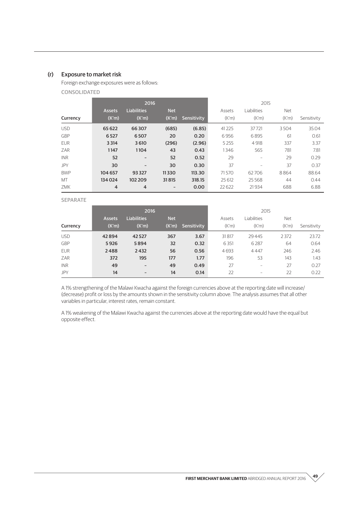### (r) Exposure to market risk

Foreign exchange exposures were as follows:

Consolidated

|            |                | 2016               |            |             | 2015   |             |       |             |
|------------|----------------|--------------------|------------|-------------|--------|-------------|-------|-------------|
|            | <b>Assets</b>  | <b>Liabilities</b> | <b>Net</b> |             | Assets | Liabilities | Net   |             |
| Currency   | (K'm)          | (K'm)              | (K'm)      | Sensitivity | (K'm)  | (K'm)       | (K'm) | Sensitivity |
| <b>USD</b> | 65 622         | 66307              | (685)      | (6.85)      | 41225  | 37721       | 3504  | 35.04       |
| GBP        | 6527           | 6507               | 20         | 0.20        | 6956   | 6895        | 61    | 0.61        |
| <b>EUR</b> | 3 3 1 4        | 3 6 10             | (296)      | (2.96)      | 5255   | 4 9 1 8     | 337   | 3.37        |
| ZAR        | 1147           | 1104               | 43         | 0.43        | 346    | 565         | 781   | 7.81        |
| <b>INR</b> | 52             | $\qquad \qquad$    | 52         | 0.52        | 29     |             | 29    | 0.29        |
| <b>JPY</b> | 30             | $\qquad \qquad$    | 30         | 0.30        | 37     | -           | 37    | 0.37        |
| <b>BWP</b> | 104 657        | 93327              | 11330      | 113.30      | 71570  | 62706       | 8864  | 88.64       |
| MT         | 134 024        | 102 209            | 31815      | 318.15      | 25 612 | 25 5 6 8    | 44    | 0.44        |
| ZMK        | $\overline{4}$ | $\overline{4}$     |            | 0.00        | 22622  | 21934       | 688   | 6.88        |

Separate

|            |               | 2016                     |            | 2015        |         |             |            |             |
|------------|---------------|--------------------------|------------|-------------|---------|-------------|------------|-------------|
|            | <b>Assets</b> | <b>Liabilities</b>       | <b>Net</b> |             | Assets  | Liabilities | <b>Net</b> |             |
| Currency   | (K'm)         | (K'm)                    | (K'm)      | Sensitivity | (K'm)   | (K'm)       | (K'm)      | Sensitivity |
| <b>USD</b> | 42894         | 42527                    | 367        | 3.67        | 31817   | 29445       | 2372       | 23.72       |
| GBP        | 5926          | 5894                     | 32         | 0.32        | 6 3 5 1 | 6287        | 64         | 0.64        |
| <b>EUR</b> | 2488          | 2432                     | 56         | 0.56        | 4693    | 4447        | 246        | 2.46        |
| ZAR        | 372           | 195                      | 177        | 1.77        | 196     | 53          | 143        | 1.43        |
| <b>INR</b> | 49            | $\qquad \qquad$          | 49         | 0.49        | 27      | $\equiv$    | 27         | 0.27        |
| <b>JPY</b> | 14            | $\overline{\phantom{a}}$ | 14         | 0.14        | 22      | -           | 22         | 0.22        |

A 1% strengthening of the Malawi Kwacha against the foreign currencies above at the reporting date will increase/ (decrease) profit or loss by the amounts shown in the sensitivity column above. The analysis assumes that all other variables in particular, interest rates, remain constant.

A 1% weakening of the Malawi Kwacha against the currencies above at the reporting date would have the equal but opposite effect.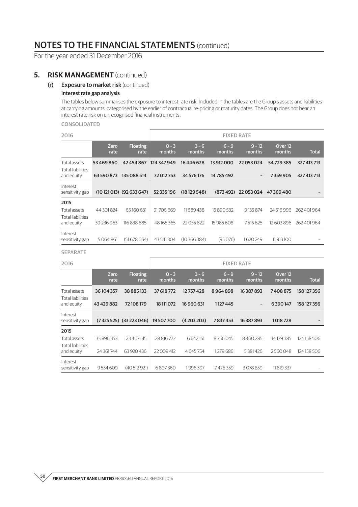For the year ended 31 December 2016

### **5. RISK MANAGEMENT** (continued)

### (r) Exposure to market risk (continued)

#### Interest rate gap analysis

The tables below summarises the exposure to interest rate risk. Included in the tables are the Group's assets and liabilities at carrying amounts, categorised by the earlier of contractual re-pricing or maturity dates. The Group does not bear an interest rate risk on unrecognised financial instruments.

Consolidated

Total liabilities

Interest

| 2016                                                           |                          |                           |                           |                        |                          | <b>FIXED RATE</b>                      |                              |                            |
|----------------------------------------------------------------|--------------------------|---------------------------|---------------------------|------------------------|--------------------------|----------------------------------------|------------------------------|----------------------------|
|                                                                | Zero<br>rate             | <b>Floating</b><br>rate   | $0 - 3$<br>months         | $3 - 6$<br>months      | $6 - 9$<br>months        | $9 - 12$<br>months                     | Over <sub>12</sub><br>months | <b>Total</b>               |
| Total assets<br><b>Total liabilities</b><br>and equity         | 53 469 860<br>63590873   | 42 454 867<br>135 088 514 | 124 347 949<br>72 012 753 | 16446628<br>34 576 176 | 13 912 000<br>14785492   | 22 053 024<br>$\overline{\phantom{a}}$ | 54729385<br>7359905          | 327 413 713<br>327 413 713 |
| Interest<br>sensitivity gap                                    |                          | $(10121013)$ $(92633647)$ | 52 335 196                | (18129548)             |                          | (873 492) 22 053 024                   | 47369480                     |                            |
| 2015<br>Total assets<br><b>Total liabilities</b><br>and equity | 44 301 824<br>39 236 963 | 65160631<br>116 838 685   | 91706669<br>48 165 365    | 11689438<br>22 055 822 | 15 890 532<br>15 985 608 | 9135874<br>7515625                     | 24 516 996<br>12 603 896     | 262 401 964<br>262 401 964 |
| Interest<br>sensitivity gap                                    | 5064861                  | (51678054)                | 43 541 304                | (10366384)             | (95076)                  | 1620249                                | 11913100                     |                            |
| <b>SEPARATE</b>                                                |                          |                           |                           |                        |                          |                                        |                              |                            |
| 2016                                                           |                          |                           |                           |                        |                          | <b>FIXED RATE</b>                      |                              |                            |
|                                                                | Zero<br>rate             | <b>Floating</b><br>rate   | $0 - 3$<br>months         | $3 - 6$<br>months      | $6 - 9$<br>months        | $9 - 12$<br>months                     | Over <sub>12</sub><br>months | <b>Total</b>               |
| Total assets<br><b>Total liabilities</b><br>and equity         | 36 104 357<br>43 429 882 | 38 885 133<br>72108179    | 37 618 772<br>18 111 072  | 12757428<br>16 960 631 | 8964898<br>1127445       | 16 387 893                             | 7408875<br>6390147           | 158 127 356<br>158 127 356 |
| Interest<br>sensitivity gap                                    |                          | $(7325525)$ $(33223046)$  | 19507700                  | (4203203)              | 7837453                  | 16 387 893                             | 1018728                      |                            |
| 2015                                                           |                          |                           |                           |                        |                          |                                        |                              |                            |

Total assets 33 896 353 23 407 515 28 816 772 6 642 151 8 756 045 8 460 285 14 179 385 124 158 506

and equity 24 361 744 63 920 436 22 009 412 4 645 754 1 279 686 5 381 426 2 560 048 124 158 506

sensitivity gap 9 534 609 (40 512 921) 6 807 360 1996 397 7 476 359 3 078 859 11 619 337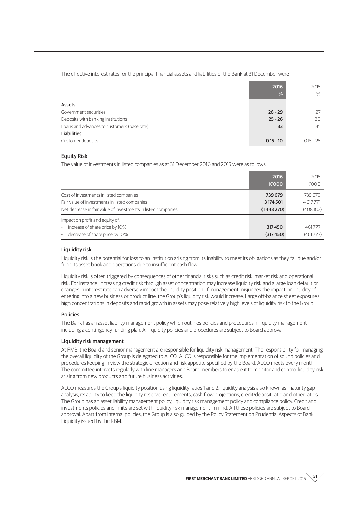The effective interest rates for the principal financial assets and liabilities of the Bank at 31 December were:

|                                             | 2016        | 2015        |
|---------------------------------------------|-------------|-------------|
|                                             | %           | %           |
| Assets                                      |             |             |
| Government securities                       | $26 - 29$   | 27          |
| Deposits with banking institutions          | $25 - 26$   | 20          |
| Loans and advances to customers (base rate) | 33          | 35          |
| Liabilities                                 |             |             |
| Customer deposits                           | $0.15 - 10$ | $0.15 - 25$ |

#### Equity Risk

The value of investments in listed companies as at 31 December 2016 and 2015 were as follows:

|                                                               | 2016         | 2015         |
|---------------------------------------------------------------|--------------|--------------|
|                                                               | <b>K'000</b> | <b>K'000</b> |
| Cost of investments in listed companies                       | 739 679      | 739679       |
| Fair value of investments in listed companies                 | 3 174 501    | 4617771      |
| Net decrease in fair value of investments in listed companies | (1443270)    | (408102)     |
| Impact on profit and equity of:                               |              |              |
| increase of share price by 10%<br>$\bullet$                   | 317450       | 461777       |
| decrease of share price by 10%<br>$\bullet$                   | (317 450)    | (461777)     |

#### Liquidity risk

Liquidity risk is the potential for loss to an institution arising from its inability to meet its obligations as they fall due and/or fund its asset book and operations due to insufficient cash flow.

Liquidity risk is often triggered by consequences of other financial risks such as credit risk, market risk and operational risk. For instance, increasing credit risk through asset concentration may increase liquidity risk and a large loan default or changes in interest rate can adversely impact the liquidity position. If management misjudges the impact on liquidity of entering into a new business or product line, the Group's liquidity risk would increase. Large off-balance sheet exposures, high concentrations in deposits and rapid growth in assets may pose relatively high levels of liquidity risk to the Group.

#### Policies

The Bank has an asset liability management policy which outlines policies and procedures in liquidity management including a contingency funding plan. All liquidity policies and procedures are subject to Board approval.

#### Liquidity risk management

At FMB, the Board and senior management are responsible for liquidity risk management. The responsibility for managing the overall liquidity of the Group is delegated to ALCO. ALCO is responsible for the implementation of sound policies and procedures keeping in view the strategic direction and risk appetite specified by the Board. ALCO meets every month. The committee interacts regularly with line managers and Board members to enable it to monitor and control liquidity risk arising from new products and future business activities.

ALCO measures the Group's liquidity position using liquidity ratios 1 and 2, liquidity analysis also known as maturity gap analysis, its ability to keep the liquidity reserve requirements, cash flow projections, credit/deposit ratio and other ratios. The Group has an asset liability management policy, liquidity risk management policy and compliance policy. Credit and investments policies and limits are set with liquidity risk management in mind. All these policies are subject to Board approval. Apart from internal policies, the Group is also guided by the Policy Statement on Prudential Aspects of Bank Liquidity issued by the RBM.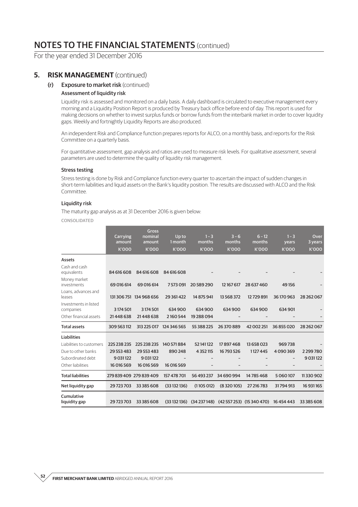For the year ended 31 December 2016

### **5. Risk Management** (continued)

#### (r) Exposure to market risk (continued)

#### Assessment of liquidity risk

Liquidity risk is assessed and monitored on a daily basis. A daily dashboard is circulated to executive management every morning and a Liquidity Position Report is produced by Treasury back office before end of day. This report is used for making decisions on whether to invest surplus funds or borrow funds from the interbank market in order to cover liquidity gaps. Weekly and fortnightly Liquidity Reports are also produced.

An independent Risk and Compliance function prepares reports for ALCO, on a monthly basis, and reports for the Risk Committee on a quarterly basis.

For quantitative assessment, gap analysis and ratios are used to measure risk levels. For qualitative assessment, several parameters are used to determine the quality of liquidity risk management.

#### Stress testing

Stress testing is done by Risk and Compliance function every quarter to ascertain the impact of sudden changes in short-term liabilities and liquid assets on the Bank's liquidity position. The results are discussed with ALCO and the Risk Committee.

#### Liquidity risk

The maturity gap analysis as at 31 December 2016 is given below:

Consolidated

|                                    | Carrying<br>amount<br><b>K'000</b> | Gross<br>nominal<br>amount<br><b>K'000</b> | Up to<br>1 month<br><b>K'000</b> | $1 - 3$<br>months<br><b>K'000</b> | $3 - 6$<br>months<br><b>K'000</b>                   | $6 - 12$<br>months<br><b>K'000</b> | $1 - 3$<br>years<br><b>K'000</b> | Over<br>3 years<br><b>K'000</b> |
|------------------------------------|------------------------------------|--------------------------------------------|----------------------------------|-----------------------------------|-----------------------------------------------------|------------------------------------|----------------------------------|---------------------------------|
| Assets                             |                                    |                                            |                                  |                                   |                                                     |                                    |                                  |                                 |
| Cash and cash                      |                                    |                                            |                                  |                                   |                                                     |                                    |                                  |                                 |
| equivalents                        | 84 616 608                         | 84 616 608                                 | 84 616 608                       |                                   |                                                     |                                    |                                  |                                 |
| Money market<br>investments        | 69 016 614                         | 69 016 614                                 | 7573091                          | 20589290                          | 12 167 617                                          | 28 637 460                         | 49 156                           |                                 |
| Loans, advances and<br>leases      |                                    | 131 306 751 134 968 656                    | 29 361 422                       | 14 875 941                        | 13 5 68 372                                         | 12729891                           | 36 170 963                       | 28 26 2 0 6 7                   |
| Investments in listed<br>companies | 3 174 501                          | 3 174 501                                  | 634900                           | 634900                            | 634900                                              | 634900                             | 634 901                          |                                 |
| Other financial assets             | 21448638                           | 21448638                                   | 2160544                          | 19 288 094                        |                                                     |                                    |                                  |                                 |
| <b>Total assets</b>                | 309 563 112                        | 313 225 017                                | 124 346 565                      | 55 388 225                        | 26 370 889                                          | 42 002 251                         | 36 855 020                       | 28 26 2 0 6 7                   |
| Liabilities                        |                                    |                                            |                                  |                                   |                                                     |                                    |                                  |                                 |
| Liabilities to customers           | 225 238 235                        | 225 238 235                                | 140 571 884                      | 52 141 122                        | 17897468                                            | 13 658 023                         | 969738                           |                                 |
| Due to other banks                 | 29 553 483                         | 29 553 483                                 | 890248                           | 4 3 5 2 1 1 5                     | 16 793 526                                          | 1127445                            | 4090369                          | 2299780                         |
| Subordinated debt                  | 9 0 31 1 22                        | 9 0 31 1 22                                |                                  |                                   |                                                     |                                    | $\qquad \qquad -$                | 9 0 31 1 22                     |
| Other liabilities                  | 16 016 569                         | 16 016 569                                 | 16 016 569                       |                                   |                                                     |                                    |                                  |                                 |
| <b>Total liabilities</b>           |                                    | 279 839 409 279 839 409                    | 157 478 701                      | 56 493 237                        | 34 690 994                                          | 14785468                           | 5060107                          | 11330902                        |
| Net liquidity gap                  | 29 723 703                         | 33 385 608                                 | (33132136)                       | (1105012)                         | (8320105)                                           | 27 216 783                         | 31794913                         | 16 931 165                      |
| Cumulative<br>liquidity gap        | 29 723 703                         | 33 385 608                                 |                                  |                                   | $(33132136)$ $(34237148)$ $(42557253)$ $(15340470)$ |                                    | 16 454 443                       | 33 385 608                      |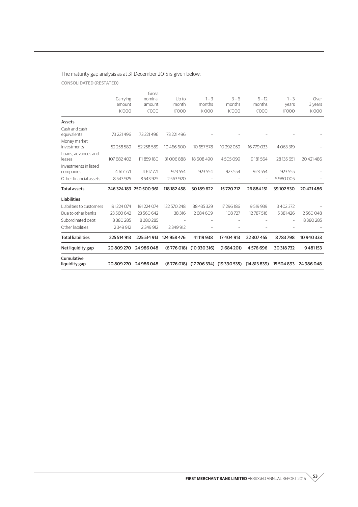### The maturity gap analysis as at 31 December 2015 is given below:

Consolidated (restated)

| 20 809 270                         | 24986048                                   |                                  |                                   |                                   | (6 776 018) (17 706 334) (19 390 535) (14 813 839) | 15 5 0 4 8 9 3                   | 24 986 048                      |
|------------------------------------|--------------------------------------------|----------------------------------|-----------------------------------|-----------------------------------|----------------------------------------------------|----------------------------------|---------------------------------|
| 20809270                           | 24 986 048                                 | (6776018)                        | (10930316)                        | (1684201)                         | 4576696                                            | 30 318 732                       | 9481153                         |
| 225 514 913                        | 225 514 913                                | 124 958 476                      | 41119938                          | 17404913                          | 22 307 455                                         | 8783798                          | 10 940 333                      |
| 2349912                            | 2349912                                    | 2349912                          |                                   |                                   |                                                    |                                  |                                 |
| 8380285                            | 8380285                                    |                                  |                                   |                                   |                                                    | $\overline{\phantom{m}}$         | 8380285                         |
| 23 560 642                         | 23 560 642                                 | 38 316                           | 2684609                           | 108727                            | 12787516                                           | 5 381 426                        | 2560048                         |
| 191 224 074                        | 191 224 074                                | 122 570 248                      | 38 435 329                        | 17 29 6 18 6                      | 9519939                                            | 3402372                          |                                 |
|                                    |                                            | 118 182 458                      | 30 189 622                        | 15 720 712                        | 26 884 151                                         | 39 102 530                       | 20 421 486                      |
| 8543925                            | 8543925                                    | 2563920                          |                                   |                                   | $\overline{a}$                                     | 5980005                          |                                 |
| 4 617 771                          | 4 617 771                                  | 923 554                          | 923 554                           | 923 554                           | 923 554                                            | 923 555                          |                                 |
| 107 682 402                        | 111 859 180                                | 31006888                         | 18 608 490                        | 4505099                           | 9181564                                            | 28 135 651                       | 20 421 486                      |
| 52 258 589                         | 52 258 589                                 | 10466600                         | 10 657 578                        | 10 292 059                        | 16779033                                           | 4063319                          |                                 |
| 73 221 496                         | 73 221 496                                 | 73 221 496                       |                                   |                                   |                                                    |                                  |                                 |
| Carrying<br>amount<br><b>K'000</b> | Gross<br>nominal<br>amount<br><b>K'000</b> | Up to<br>1 month<br><b>K'000</b> | $1 - 3$<br>months<br><b>K'000</b> | $3 - 6$<br>months<br><b>K'000</b> | $6 - 12$<br>months<br><b>K'000</b>                 | $1 - 3$<br>years<br><b>K'000</b> | Over<br>3 years<br><b>K'000</b> |
|                                    |                                            | 246 324 183 250 500 961          |                                   |                                   |                                                    |                                  |                                 |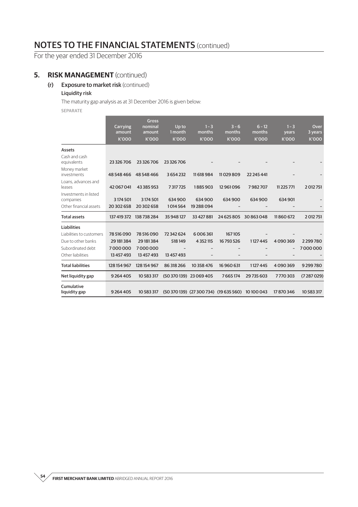For the year ended 31 December 2016

### **5. RISK MANAGEMENT** (continued)

(r) Exposure to market risk (continued)

#### Liquidity risk

The maturity gap analysis as at 31 December 2016 is given below:

Separate

|                                    | Carrying<br>amount<br><b>K'000</b> | Gross<br>nominal<br>amount<br><b>K'000</b> | Up to<br>1 month<br><b>K'000</b> | $1 - 3$<br>months<br><b>K'000</b> | $3 - 6$<br>months<br><b>K'000</b>                 | $6 - 12$<br>months<br><b>K'000</b> | $1 - 3$<br>years<br><b>K'000</b> | Over<br>3 years<br><b>K'000</b> |
|------------------------------------|------------------------------------|--------------------------------------------|----------------------------------|-----------------------------------|---------------------------------------------------|------------------------------------|----------------------------------|---------------------------------|
| Assets                             |                                    |                                            |                                  |                                   |                                                   |                                    |                                  |                                 |
| Cash and cash<br>equivalents       | 23 326 706                         | 23 326 706                                 | 23 326 706                       |                                   |                                                   |                                    |                                  |                                 |
| Money market<br>investments        | 48 548 466                         | 48 548 466                                 | 3654232                          | 11 618 984                        | 11029809                                          | 22 245 441                         |                                  |                                 |
| Loans, advances and<br>leases      | 42 067 041                         | 43 385 953                                 | 7317725                          | 1885903                           | 12 961 096                                        | 7982707                            | 11 2 2 5 7 7 1                   | 2012751                         |
| Investments in listed<br>companies | 3 174 501                          | 3 174 501                                  | 634900                           | 634900                            | 634900                                            | 634900                             | 634 901                          |                                 |
| Other financial assets             | 20 302 658                         | 20 302 658                                 | 1014564                          | 19 288 094                        |                                                   |                                    |                                  |                                 |
| <b>Total assets</b>                | 137 419 372                        | 138 738 284                                | 35 948 127                       | 33 427 881                        | 24 625 805                                        | 30 863 048                         | 11860672                         | 2 012 751                       |
| Liabilities                        |                                    |                                            |                                  |                                   |                                                   |                                    |                                  |                                 |
| Liabilities to customers           | 78 516 090                         | 78 516 090                                 | 72 342 624                       | 6006361                           | 167105                                            |                                    |                                  |                                 |
| Due to other banks                 | 29 181 384                         | 29 181 384                                 | 518 149                          | 4 3 5 2 1 1 5                     | 16793526                                          | 1127445                            | 4090369                          | 2299780                         |
| Subordinated debt                  | 7000000                            | 7000000                                    |                                  |                                   |                                                   |                                    |                                  | 7000000                         |
| Other liabilities                  | 13 457 493                         | 13 457 493                                 | 13 457 493                       |                                   |                                                   |                                    |                                  |                                 |
| <b>Total liabilities</b>           | 128 154 967                        | 128 154 967                                | 86 318 266                       | 10 358 476                        | 16 960 631                                        | 1127445                            | 4090369                          | 9299780                         |
| Net liquidity gap                  | 9264405                            | 10 583 317                                 |                                  | (50 370 139) 23 069 405           | 7665174                                           | 29 735 603                         | 7770303                          | (7287029)                       |
| Cumulative<br>liquidity gap        | 9264405                            | 10 5 8 3 3 1 7                             |                                  |                                   | (50 370 139) (27 300 734) (19 635 560) 10 100 043 |                                    | 17870346                         | 10 583 317                      |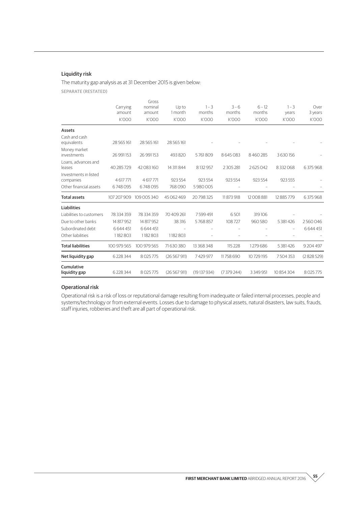#### Liquidity risk

The maturity gap analysis as at 31 December 2015 is given below:

Separate (restated)

|                                    | Carrying<br>amount | Gross<br>nominal<br>amount | Up to<br>1 month | $1 - 3$<br>months | $3 - 6$<br>months | $6 - 12$<br>months | $1 - 3$<br>years         | Over<br>3 years |
|------------------------------------|--------------------|----------------------------|------------------|-------------------|-------------------|--------------------|--------------------------|-----------------|
|                                    | <b>K'000</b>       | <b>K'000</b>               | <b>K'000</b>     | <b>K'000</b>      | <b>K'000</b>      | <b>K'000</b>       | <b>K'000</b>             | <b>K'000</b>    |
| Assets                             |                    |                            |                  |                   |                   |                    |                          |                 |
| Cash and cash<br>equivalents       | 28 5 65 1 61       | 28 5 65 161                | 28 5 65 161      |                   |                   |                    |                          |                 |
| Money market<br>investments        | 26 991 153         | 26 991 153                 | 493820           | 5761809           | 8645083           | 8460285            | 3630156                  |                 |
| Loans, advances and<br>leases      | 40 285 729         | 42083160                   | 14 311 844       | 8132957           | 2 3 0 5 2 8 1     | 2625042            | 8332068                  | 6375968         |
| Investments in listed<br>companies | 4 617 771          | 4 617 771                  | 923 554          | 923 554           | 923 554           | 923 554            | 923 555                  |                 |
| Other financial assets             | 6748095            | 6748095                    | 768090           | 5980005           |                   |                    |                          |                 |
| <b>Total assets</b>                | 107 207 909        | 109 005 340                | 45 062 469       | 20798325          | 11873918          | 12008881           | 12885779                 | 6375968         |
| Liabilities                        |                    |                            |                  |                   |                   |                    |                          |                 |
| Liabilities to customers           | 78 334 359         | 78 334 359                 | 70 409 261       | 7599491           | 6501              | 319106             |                          |                 |
| Due to other banks                 | 14 817 952         | 14 817 952                 | 38 316           | 5768857           | 108727            | 960 580            | 5 381 426                | 2560046         |
| Subordinated debt                  | 6 6 4 4 4 5 1      | 6 6 4 4 4 5 1              |                  |                   |                   |                    | $\overline{\phantom{0}}$ | 6 6 4 4 4 5 1   |
| Other liabilities                  | 1182803            | 1182803                    | 1182803          |                   |                   |                    |                          |                 |
| <b>Total liabilities</b>           | 100 979 565        | 100 979 565                | 71630380         | 13 3 68 3 48      | 115 228           | 1279686            | 5381426                  | 9 2 0 4 4 9 7   |
| Net liquidity gap                  | 6 2 2 3 3 4 4      | 8025775                    | (26 567 911)     | 7429977           | 11758 690         | 10729195           | 7504353                  | (2828529)       |
| Cumulative<br>liquidity gap        | 6 2 2 3 3 4 4      | 8025775                    | (26567911)       | (19137934)        | (7379244)         | 3 3 4 9 9 5 1      | 10 854 304               | 8025775         |

#### Operational risk

Operational risk is a risk of loss or reputational damage resulting from inadequate or failed internal processes, people and systems/technology or from external events. Losses due to damage to physical assets, natural disasters, law suits, frauds, staff injuries, robberies and theft are all part of operational risk.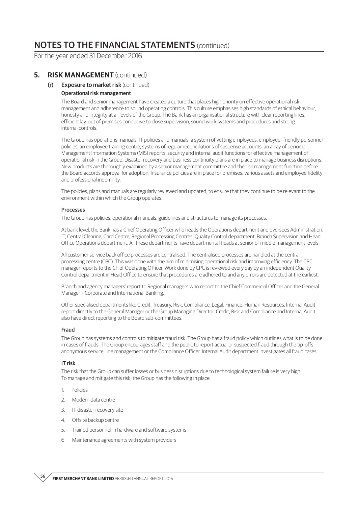For the year ended 31 December 2016

### **5. Risk Management** (continued)

#### (r) Exposure to market risk (continued)

#### Operational risk management

The Board and senior management have created a culture that places high priority on effective operational risk management and adherence to sound operating controls. This culture emphasises high standards of ethical behaviour, honesty and integrity at all levels of the Group. The Bank has an organisational structure with clear reporting lines, efficient lay-out of premises conducive to close supervision, sound work systems and procedures and strong internal controls.

The Group has operations manuals, IT policies and manuals, a system of vetting employees, employee- friendly personnel policies, an employee training centre, systems of regular reconciliations of suspense accounts, an array of periodic Management Information Systems (MIS) reports, security and internal audit functions for effective management of operational risk in the Group. Disaster recovery and business continuity plans are in place to manage business disruptions. New products are thoroughly examined by a senior management committee and the risk management function before the Board accords approval for adoption. Insurance policies are in place for premises, various assets and employee fidelity and professional indemnity.

The policies, plans and manuals are regularly reviewed and updated, to ensure that they continue to be relevant to the environment within which the Group operates.

#### Processes

The Group has policies, operational manuals, guidelines and structures to manage its processes.

At bank level, the Bank has a Chief Operating Officer who heads the Operations department and oversees Administration, IT, Central Clearing, Card Centre, Regional Processing Centres, Quality Control department, Branch Supervision and Head Office Operations department. All these departments have departmental heads at senior or middle management levels.

All customer service back office processes are centralised. The centralised processes are handled at the central processing centre (CPC). This was done with the aim of minimising operational risk and improving efficiency. The CPC manager reports to the Chief Operating Officer. Work done by CPC is reviewed every day by an independent Quality Control department in Head Office to ensure that procedures are adhered to and any errors are detected at the earliest.

Branch and agency managers' report to Regional managers who report to the Chief Commercial Officer and the General Manager – Corporate and International Banking.

Other specialised departments like Credit, Treasury, Risk, Compliance, Legal, Finance, Human Resources, Internal Audit report directly to the General Manager or the Group Managing Director. Credit, Risk and Compliance and Internal Audit also have direct reporting to the Board sub-committees.

#### Fraud

The Group has systems and controls to mitigate fraud risk. The Group has a fraud policy which outlines what is to be done in cases of frauds. The Group encourages staff and the public to report actual or suspected fraud through the tip-offs anonymous service, line management or the Compliance Officer. Internal Audit department investigates all fraud cases.

#### IT risk

The risk that the Group can suffer losses or business disruptions due to technological system failure is very high. To manage and mitigate this risk, the Group has the following in place:

- 1. Policies
- 2. Modern data centre
- 3. IT disaster recovery site
- 4. Offsite backup centre
- 5. Trained personnel in hardware and software systems
- 6. Maintenance agreements with system providers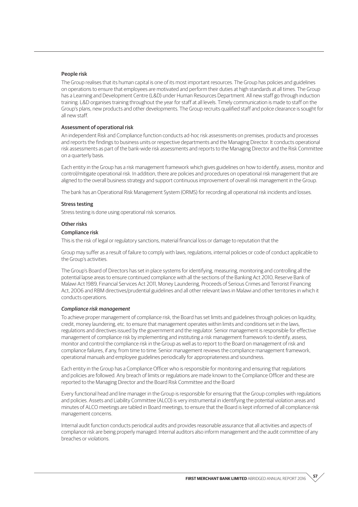#### People risk

The Group realises that its human capital is one of its most important resources. The Group has policies and guidelines on operations to ensure that employees are motivated and perform their duties at high standards at all times. The Group has a Learning and Development Centre (L&D) under Human Resources Department. All new staff go through induction training. L&D organises training throughout the year for staff at all levels. Timely communication is made to staff on the Group's plans, new products and other developments. The Group recruits qualified staff and police clearance is sought for all new staff.

#### Assessment of operational risk

An independent Risk and Compliance function conducts ad-hoc risk assessments on premises, products and processes and reports the findings to business units or respective departments and the Managing Director. It conducts operational risk assessments as part of the bank-wide risk assessments and reports to the Managing Director and the Risk Committee on a quarterly basis.

Each entity in the Group has a risk management framework which gives guidelines on how to identify, assess, monitor and control/mitigate operational risk. In addition, there are policies and procedures on operational risk management that are aligned to the overall business strategy and support continuous improvement of overall risk management in the Group.

The bank has an Operational Risk Management System (ORMS) for recording all operational risk incidents and losses.

#### Stress testing

Stress testing is done using operational risk scenarios.

#### Other risks

#### Compliance risk

This is the risk of legal or regulatory sanctions, material financial loss or damage to reputation that the

Group may suffer as a result of failure to comply with laws, regulations, internal policies or code of conduct applicable to the Group's activities.

The Group's Board of Directors has set in place systems for identifying, measuring, monitoring and controlling all the potential lapse areas to ensure continued compliance with all the sections of the Banking Act 2010, Reserve Bank of Malawi Act 1989, Financial Services Act 2011, Money Laundering, Proceeds of Serious Crimes and Terrorist Financing Act, 2006 and RBM directives/prudential guidelines and all other relevant laws in Malawi and other territories in which it conducts operations.

#### *Compliance risk management*

To achieve proper management of compliance risk, the Board has set limits and guidelines through policies on liquidity, credit, money laundering, etc. to ensure that management operates within limits and conditions set in the laws, regulations and directives issued by the government and the regulator. Senior management is responsible for effective management of compliance risk by implementing and instituting a risk management framework to identify, assess, monitor and control the compliance risk in the Group as well as to report to the Board on management of risk and compliance failures, if any, from time to time. Senior management reviews the compliance management framework, operational manuals and employee guidelines periodically for appropriateness and soundness.

Each entity in the Group has a Compliance Officer who is responsible for monitoring and ensuring that regulations and policies are followed. Any breach of limits or regulations are made known to the Compliance Officer and these are reported to the Managing Director and the Board Risk Committee and the Board

Every functional head and line manager in the Group is responsible for ensuring that the Group complies with regulations and policies. Assets and Liability Committee (ALCO) is very instrumental in identifying the potential violation areas and minutes of ALCO meetings are tabled in Board meetings, to ensure that the Board is kept informed of all compliance risk management concerns.

Internal audit function conducts periodical audits and provides reasonable assurance that all activities and aspects of compliance risk are being properly managed. Internal auditors also inform management and the audit committee of any breaches or violations.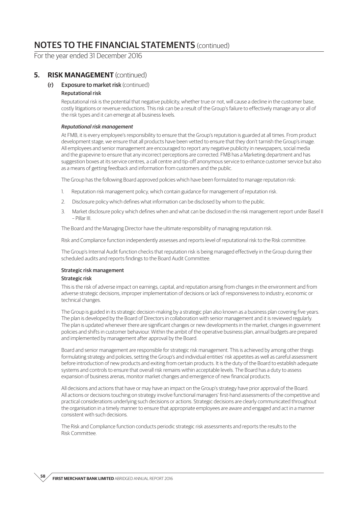For the year ended 31 December 2016

### **5. Risk Management** (continued)

#### (r) Exposure to market risk (continued)

#### Reputational risk

Reputational risk is the potential that negative publicity, whether true or not, will cause a decline in the customer base, costly litigations or revenue reductions. This risk can be a result of the Group's failure to effectively manage any or all of the risk types and it can emerge at all business levels.

#### *Reputational risk management*

At FMB, it is every employee's responsibility to ensure that the Group's reputation is guarded at all times. From product development stage, we ensure that all products have been vetted to ensure that they don't tarnish the Group's image. All employees and senior management are encouraged to report any negative publicity in newspapers, social media and the grapevine to ensure that any incorrect perceptions are corrected. FMB has a Marketing department and has suggestion boxes at its service centres, a call centre and tip-off anonymous service to enhance customer service but also as a means of getting feedback and information from customers and the public.

The Group has the following Board approved policies which have been formulated to manage reputation risk:

- 1. Reputation risk management policy, which contain guidance for management of reputation risk.
- 2. Disclosure policy which defines what information can be disclosed by whom to the public.
- 3. Market disclosure policy which defines when and what can be disclosed in the risk management report under Basel II – Pillar III.

The Board and the Managing Director have the ultimate responsibility of managing reputation risk.

Risk and Compliance function independently assesses and reports level of reputational risk to the Risk committee.

The Group's Internal Audit function checks that reputation risk is being managed effectively in the Group during their scheduled audits and reports findings to the Board Audit Committee.

#### Strategic risk management

#### Strategic risk

This is the risk of adverse impact on earnings, capital, and reputation arising from changes in the environment and from adverse strategic decisions, improper implementation of decisions or lack of responsiveness to industry, economic or technical changes.

The Group is guided in its strategic decision-making by a strategic plan also known as a business plan covering five years. The plan is developed by the Board of Directors in collaboration with senior management and it is reviewed regularly. The plan is updated whenever there are significant changes or new developments in the market, changes in government policies and shifts in customer behaviour. Within the ambit of the operative business plan, annual budgets are prepared and implemented by management after approval by the Board.

Board and senior management are responsible for strategic risk management. This is achieved by among other things formulating strategy and policies, setting the Group's and individual entities' risk appetites as well as careful assessment before introduction of new products and exiting from certain products. It is the duty of the Board to establish adequate systems and controls to ensure that overall risk remains within acceptable levels. The Board has a duty to assess expansion of business arenas, monitor market changes and emergence of new financial products.

All decisions and actions that have or may have an impact on the Group's strategy have prior approval of the Board. All actions or decisions touching on strategy involve functional managers' first-hand assessments of the competitive and practical considerations underlying such decisions or actions. Strategic decisions are clearly communicated throughout the organisation in a timely manner to ensure that appropriate employees are aware and engaged and act in a manner consistent with such decisions.

The Risk and Compliance function conducts periodic strategic risk assessments and reports the results to the Risk Committee.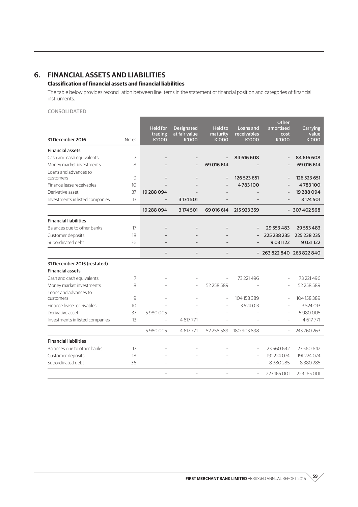# **6. Financial assets and liabilities**

### **Classification of financial assets and financial liabilities**

The table below provides reconciliation between line items in the statement of financial position and categories of financial instruments.

#### Consolidated

|                                 |              | <b>Held for</b>          | <b>Designated</b>        | <b>Held to</b> | Loans and    | Other<br>amortised       | Carrying        |
|---------------------------------|--------------|--------------------------|--------------------------|----------------|--------------|--------------------------|-----------------|
|                                 |              | trading                  | at fair value            | maturity       | receivables  | cost                     | value           |
| 31 December 2016                | <b>Notes</b> | <b>K'000</b>             | <b>K'000</b>             | <b>K'000</b>   | <b>K'000</b> | <b>K'000</b>             | <b>K'000</b>    |
| <b>Financial assets</b>         |              |                          |                          |                |              |                          |                 |
| Cash and cash equivalents       | 7            |                          |                          |                | 84 616 608   |                          | 84 616 608      |
| Money market investments        | 8            |                          |                          | 69 016 614     |              |                          | 69 016 614      |
| Loans and advances to           |              |                          |                          |                |              |                          |                 |
| customers                       | 9            |                          |                          |                | 126 523 651  | $\overline{\phantom{0}}$ | 126 523 651     |
| Finance lease receivables       | 10           |                          |                          |                | 4783100      |                          | 4783100         |
| Derivative asset                | 37           | 19 288 094               |                          |                |              |                          | 19 288 094      |
| Investments in listed companies | 13           |                          | 3 174 501                |                |              |                          | 3 174 501       |
|                                 |              | 19 288 094               | 3 174 501                | 69 016 614     | 215 923 359  |                          | $-307402568$    |
| <b>Financial liabilities</b>    |              |                          |                          |                |              |                          |                 |
| Balances due to other banks     | 17           |                          |                          |                |              | 29 553 483               | 29 553 483      |
| Customer deposits               | 18           |                          |                          |                |              | 225 238 235              | 225 238 235     |
| Subordinated debt               | 36           |                          |                          |                |              | 9 0 31 1 22              | 9 0 31 1 22     |
|                                 |              |                          |                          |                |              |                          |                 |
|                                 |              | $\overline{\phantom{0}}$ | $\overline{\phantom{a}}$ |                |              | $-263822840263822840$    |                 |
| 31 December 2015 (restated)     |              |                          |                          |                |              |                          |                 |
| <b>Financial assets</b>         |              |                          |                          |                |              |                          |                 |
| Cash and cash equivalents       | 7            |                          |                          |                | 73 221 496   |                          | 73 221 496      |
| Money market investments        | 8            |                          |                          | 52 258 589     |              |                          | 52 258 589      |
| Loans and advances to           |              |                          |                          |                |              |                          |                 |
| customers                       | 9            |                          |                          |                | 104 158 389  |                          | 104158389       |
| Finance lease receivables       | 10           |                          |                          |                | 3 5 24 0 13  |                          | 3 5 24 0 13     |
| Derivative asset                | 37           | 5980005                  |                          |                |              |                          | 5980005         |
| Investments in listed companies | 13           |                          | 4 617 771                |                |              |                          | 4617771         |
|                                 |              | 5980005                  | 4 617 771                | 52 258 589     | 180 903 898  | $\bar{ }$                | 243760263       |
| <b>Financial liabilities</b>    |              |                          |                          |                |              |                          |                 |
| Balances due to other banks     | 17           |                          |                          |                | $\sim$       | 23 560 642               | 23 560 642      |
| Customer deposits               | 18           |                          |                          |                | $\sim$       | 191 224 074              | 191 2 2 4 0 7 4 |
| Subordinated debt               | 36           |                          |                          |                |              | 8380285                  | 8380285         |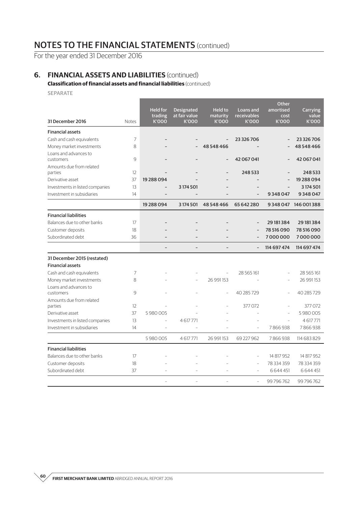For the year ended 31 December 2016

### **6. Financial assets and liabilities** (continued)

**Classification of financial assets and financial liabilities** (continued)

Separate

| 31 December 2016                | <b>Notes</b> | <b>Held for</b><br>trading<br><b>K'000</b> | Designated<br>at fair value<br><b>K'000</b> | <b>Held to</b><br>maturity<br><b>K'000</b> | Loans and<br>receivables<br><b>K'000</b> | Other<br>amortised<br>cost<br><b>K'000</b> | Carrying<br>value<br><b>K'000</b> |
|---------------------------------|--------------|--------------------------------------------|---------------------------------------------|--------------------------------------------|------------------------------------------|--------------------------------------------|-----------------------------------|
| <b>Financial assets</b>         |              |                                            |                                             |                                            |                                          |                                            |                                   |
| Cash and cash equivalents       | 7            |                                            |                                             | $\overline{a}$                             | 23 326 706                               | $\overline{a}$                             | 23 326 706                        |
| Money market investments        | 8            |                                            |                                             | 48548466                                   |                                          |                                            | 48548466                          |
| Loans and advances to           |              |                                            |                                             |                                            |                                          |                                            |                                   |
| customers                       | 9            |                                            |                                             |                                            | 42 067 041                               |                                            | 42 067 041                        |
| Amounts due from related        |              |                                            |                                             |                                            |                                          |                                            |                                   |
| parties                         | 12           |                                            |                                             |                                            | 248533                                   |                                            | 248533                            |
| Derivative asset                | 37           | 19 288 094                                 |                                             |                                            |                                          |                                            | 19 288 094                        |
| Investments in listed companies | 13           |                                            | 3 174 501                                   |                                            |                                          |                                            | 3 174 501                         |
| Investment in subsidiaries      | 14           |                                            |                                             |                                            |                                          | 9348047                                    | 9348047                           |
|                                 |              | 19 288 094                                 | 3 174 501                                   | 48 548 466                                 | 65 642 280                               |                                            | 9348047 146001388                 |
| <b>Financial liabilities</b>    |              |                                            |                                             |                                            |                                          |                                            |                                   |
| Balances due to other banks     | 17           |                                            |                                             |                                            | $\overline{a}$                           | 29 181 384                                 | 29 181 384                        |
| Customer deposits               | 18           |                                            |                                             |                                            |                                          | 78 516 090                                 | 78 516 090                        |
| Subordinated debt               | 36           |                                            |                                             |                                            |                                          | 7000000                                    | 7000000                           |
|                                 |              |                                            | L,                                          |                                            | $\overline{\phantom{a}}$                 | 114 697 474                                | 114 697 474                       |
| 31 December 2015 (restated)     |              |                                            |                                             |                                            |                                          |                                            |                                   |
| <b>Financial assets</b>         |              |                                            |                                             |                                            |                                          |                                            |                                   |
| Cash and cash equivalents       | 7            |                                            |                                             |                                            | 28 5 65 161                              |                                            | 28 5 65 161                       |
| Money market investments        | 8            |                                            |                                             | 26 991 153                                 |                                          |                                            | 26 991 153                        |
| Loans and advances to           |              |                                            |                                             |                                            |                                          |                                            |                                   |
| customers                       | 9            |                                            |                                             |                                            | 40 285 729                               | L                                          | 40 285 729                        |
| Amounts due from related        |              |                                            |                                             |                                            |                                          |                                            | 377072                            |
| parties                         | 12<br>37     |                                            |                                             |                                            | 377072<br>÷                              | L                                          |                                   |
| Derivative asset                |              | 5980005                                    |                                             |                                            |                                          |                                            | 5980005                           |
| Investments in listed companies |              |                                            |                                             |                                            |                                          |                                            |                                   |
|                                 | 13           |                                            | 4617771                                     |                                            |                                          |                                            | 4617771                           |
| Investment in subsidiaries      | 14           | ÷                                          |                                             |                                            | ÷                                        | 7866938                                    | 7866938                           |
|                                 |              | 5980005                                    | 4617771                                     | 26 991 153                                 | 69 227 962                               | 7866938                                    | 114 683 829                       |
| <b>Financial liabilities</b>    |              |                                            |                                             |                                            |                                          |                                            |                                   |
| Balances due to other banks     | 17           |                                            |                                             |                                            | ۷                                        | 14 817 952                                 | 14 817 952                        |
| Customer deposits               | 18           |                                            |                                             |                                            | L,                                       | 78 334 359                                 | 78 334 359                        |
| Subordinated debt               | 37           |                                            |                                             |                                            |                                          | 6 6 4 4 4 5 1                              | 6644451                           |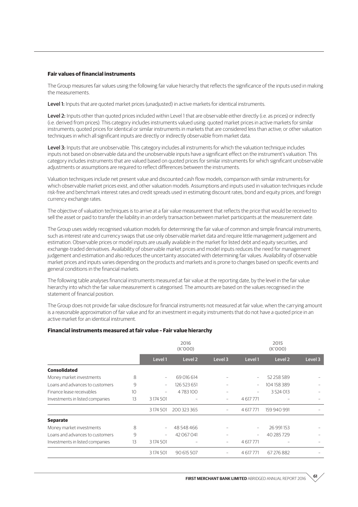#### **Fair values of financial instruments**

The Group measures fair values using the following fair value hierarchy that reflects the significance of the inputs used in making the measurements.

Level 1: Inputs that are quoted market prices (unadjusted) in active markets for identical instruments.

Level 2: Inputs other than quoted prices included within Level 1 that are observable either directly (i.e. as prices) or indirectly (i.e. derived from prices). This category includes instruments valued using: quoted market prices in active markets for similar instruments; quoted prices for identical or similar instruments in markets that are considered less than active; or other valuation techniques in which all significant inputs are directly or indirectly observable from market data.

Level 3: Inputs that are unobservable. This category includes all instruments for which the valuation technique includes inputs not based on observable data and the unobservable inputs have a significant effect on the instrument's valuation. This category includes instruments that are valued based on quoted prices for similar instruments for which significant unobservable adjustments or assumptions are required to reflect differences between the instruments.

Valuation techniques include net present value and discounted cash flow models, comparison with similar instruments for which observable market prices exist, and other valuation models. Assumptions and inputs used in valuation techniques include risk-free and benchmark interest rates and credit spreads used in estimating discount rates, bond and equity prices, and foreign currency exchange rates.

The objective of valuation techniques is to arrive at a fair value measurement that reflects the price that would be received to sell the asset or paid to transfer the liability in an orderly transaction between market participants at the measurement date.

The Group uses widely recognised valuation models for determining the fair value of common and simple financial instruments, such as interest rate and currency swaps that use only observable market data and require little management judgement and estimation. Observable prices or model inputs are usually available in the market for listed debt and equity securities, and exchange-traded derivatives. Availability of observable market prices and model inputs reduces the need for management judgement and estimation and also reduces the uncertainty associated with determining fair values. Availability of observable market prices and inputs varies depending on the products and markets and is prone to changes based on specific events and general conditions in the financial markets.

The following table analyses financial instruments measured at fair value at the reporting date, by the level in the fair value hierarchy into which the fair value measurement is categorised. The amounts are based on the values recognised in the statement of financial position.

The Group does not provide fair value disclosure for financial instruments not measured at fair value, when the carrying amount is a reasonable approximation of fair value and for an investment in equity instruments that do not have a quoted price in an active market for an identical instrument.

### **Financial instruments measured at fair value – Fair value hierarchy**

|                                 |    | 2016<br>(K'000)          |                    |                          |                          | 2015<br>(K'000)    |         |  |
|---------------------------------|----|--------------------------|--------------------|--------------------------|--------------------------|--------------------|---------|--|
|                                 |    | Level 1                  | Level <sub>2</sub> | Level 3                  | Level 1                  | Level <sub>2</sub> | Level 3 |  |
| <b>Consolidated</b>             |    |                          |                    |                          |                          |                    |         |  |
| Money market investments        | 8  | $\overline{\phantom{0}}$ | 69 016 614         | $\overline{\phantom{a}}$ | $\overline{\phantom{a}}$ | 52 258 589         |         |  |
| Loans and advances to customers | 9  | $\overline{\phantom{0}}$ | 126 523 651        |                          |                          | 104158389          |         |  |
| Finance lease receivables       | 10 | $\overline{\phantom{0}}$ | 4783100            |                          | $\qquad \qquad =$        | 3 5 24 0 13        |         |  |
| Investments in listed companies | 13 | 3 174 501                |                    | $\overline{\phantom{a}}$ | 4617771                  |                    |         |  |
|                                 |    | 3 174 501                | 200 323 365        | -                        | 4 6 17 7 7 1             | 159 940 991        |         |  |
| <b>Separate</b>                 |    |                          |                    |                          |                          |                    |         |  |
| Money market investments        | 8  | $\overline{\phantom{0}}$ | 48548466           |                          |                          | 26 991 153         |         |  |
| Loans and advances to customers | 9  | $\overline{\phantom{0}}$ | 42 067 041         | $\overline{\phantom{m}}$ | $\qquad \qquad =$        | 40 285 729         |         |  |
| Investments in listed companies | 13 | 3 174 501                |                    | -                        | 4 617 771                |                    |         |  |
|                                 |    | 3 174 501                | 90 615 507         | $\qquad \qquad -$        | 4 6 17 7 7 1             | 67276882           |         |  |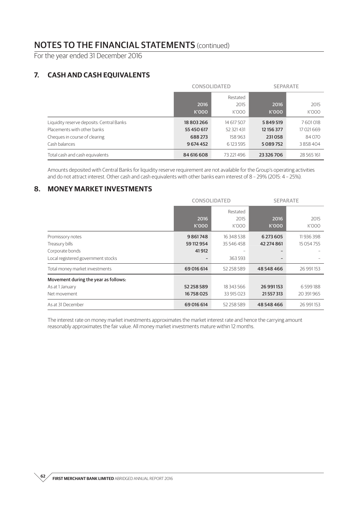For the year ended 31 December 2016

### **7. Cash and cash equivalents**

|                                           |              | <b>CONSOLIDATED</b> | <b>SEPARATE</b> |              |
|-------------------------------------------|--------------|---------------------|-----------------|--------------|
|                                           |              | Restated            |                 |              |
|                                           | 2016         | 2015                | 2016            | 2015         |
|                                           | <b>K'000</b> | <b>K'000</b>        | <b>K'000</b>    | K'000        |
| Liquidity reserve deposits: Central Banks | 18803266     | 14 617 507          | 5849519         | 7601018      |
| Placements with other banks               | 55 450 617   | 52 321 431          | 12 15 6 377     | 17021669     |
| Cheques in course of clearing             | 688 273      | 158 963             | 231058          | 84070        |
| Cash balances                             | 9674452      | 6123595             | 5089752         | 3858404      |
| Total cash and cash equivalents           | 84 616 608   | 73 221 496          | 23 326 706      | 28 5 65 1 61 |

Amounts deposited with Central Banks for liquidity reserve requirement are not available for the Group's operating activities and do not attract interest. Other cash and cash equivalents with other banks earn interest of 8 – 29% (2015: 4 – 25%).

### **8. Money market investments**

|                                      | <b>CONSOLIDATED</b>  |                           | <b>SEPARATE</b>      |                |
|--------------------------------------|----------------------|---------------------------|----------------------|----------------|
|                                      | 2016<br><b>K'000</b> | Restated<br>2015<br>K'000 | 2016<br><b>K'000</b> | 2015<br>K'000  |
| Promissory notes                     | 9861748              | 16 348 538                | 6273605              | 11936398       |
| Treasury bills                       | 59 112 954           | 35 546 458                | 42 274 861           | 15 0 5 4 7 5 5 |
| Corporate bonds                      | 41912                | -                         |                      |                |
| Local registered government stocks   |                      | 363 593                   |                      |                |
| Total money market investments       | 69 016 614           | 52 258 589                | 48548466             | 26 991 153     |
| Movement during the year as follows: |                      |                           |                      |                |
| As at 1 January                      | 52 258 589           | 18 343 566                | 26 991 153           | 6599188        |
| Net movement                         | 16758025             | 33 915 023                | 21 5 5 7 3 1 3       | 20 391 965     |
| As at 31 December                    | 69 016 614           | 52 258 589                | 48 548 466           | 26 991 153     |

The interest rate on money market investments approximates the market interest rate and hence the carrying amount reasonably approximates the fair value. All money market investments mature within 12 months.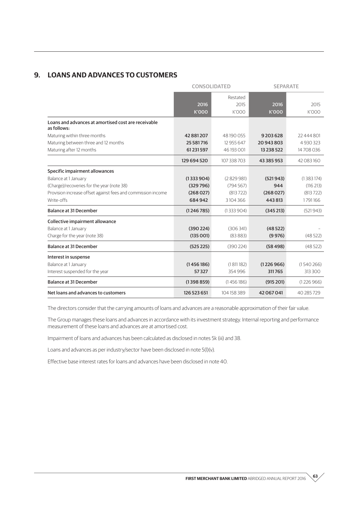## **9. Loans and advances to customers**

|                                                                    | <b>CONSOLIDATED</b>  |                                  |                      | <b>SEPARATE</b> |  |
|--------------------------------------------------------------------|----------------------|----------------------------------|----------------------|-----------------|--|
|                                                                    | 2016<br><b>K'000</b> | Restated<br>2015<br><b>K'000</b> | 2016<br><b>K'000</b> | 2015<br>K'000   |  |
| Loans and advances at amortised cost are receivable<br>as follows: |                      |                                  |                      |                 |  |
| Maturing within three months                                       | 42 881 207           | 48 190 055                       | 9 203 6 28           | 22 444 801      |  |
| Maturing between three and 12 months                               | 25 581 716           | 12 955 647                       | 20 943 803           | 4 9 3 0 3 2 3   |  |
| Maturing after 12 months                                           | 61231597             | 46 193 001                       | 13 238 522           | 14708036        |  |
|                                                                    | 129 694 520          | 107 338 703                      | 43 385 953           | 42083160        |  |
| Specific impairment allowances                                     |                      |                                  |                      |                 |  |
| Balance at 1 January                                               | (1333904)            | (2829981)                        | (521943)             | (1383174)       |  |
| (Charge)/recoveries for the year (note 38)                         | (329796)             | (794567)                         | 944                  | (116 213)       |  |
| Provision increase offset against fees and commission income       | (268027)             | (813722)                         | (268027)             | (813722)        |  |
| Write-offs                                                         | 684942               | 3104366                          | 443813               | 1791166         |  |
| <b>Balance at 31 December</b>                                      | (1246785)            | (1333904)                        | (345213)             | (521943)        |  |
| Collective impairment allowance                                    |                      |                                  |                      |                 |  |
| Balance at 1 January                                               | (390 224)            | (306341)                         | (48522)              |                 |  |
| Charge for the year (note 38)                                      | (135001)             | (83883)                          | (9976)               | (48522)         |  |
| <b>Balance at 31 December</b>                                      | (525 225)            | (390224)                         | (58498)              | (48522)         |  |
| Interest in suspense                                               |                      |                                  |                      |                 |  |
| Balance at 1 January                                               | (1456186)            | (1811182)                        | (1226966)            | (1540266)       |  |
| Interest suspended for the year                                    | 57327                | 354 996                          | 311765               | 313 300         |  |
| <b>Balance at 31 December</b>                                      | (1398859)            | (1456186)                        | (915 201)            | (1226966)       |  |
| Net loans and advances to customers                                | 126 523 651          | 104158389                        | 42 067 041           | 40 285 729      |  |

The directors consider that the carrying amounts of loans and advances are a reasonable approximation of their fair value.

The Group manages these loans and advances in accordance with its investment strategy. Internal reporting and performance measurement of these loans and advances are at amortised cost.

Impairment of loans and advances has been calculated as disclosed in notes 5k (iii) and 38.

Loans and advances as per industry/sector have been disclosed in note 5(l)(v).

Effective base interest rates for loans and advances have been disclosed in note 40.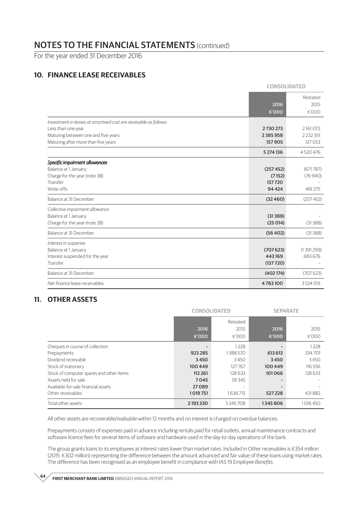For the year ended 31 December 2016

### **10. Finance lease receivables**

|                                                                                                                                                                       |                                       | <b>CONSOLIDATED</b>                |
|-----------------------------------------------------------------------------------------------------------------------------------------------------------------------|---------------------------------------|------------------------------------|
|                                                                                                                                                                       | 2016<br><b>K'000</b>                  | Restated<br>2015<br><b>K'000</b>   |
| Investment in leases at amortised cost are receivable as follows:<br>Less than one year<br>Maturing between one and five years<br>Maturing after more than five years | 2730273<br>2385958<br>157905          | 2161072<br>2 2 3 2 3 5 1<br>127053 |
|                                                                                                                                                                       | 5 2 7 4 1 3 6                         | 4520476                            |
| Specific impairment allowances<br>Balance at 1 January<br>Charge for the year (note 38)<br>Transfer<br>Write-offs                                                     | (257452)<br>(7152)<br>137720<br>94424 | (671787)<br>(76940)<br>491275      |
| Balance at 31 December                                                                                                                                                | (32460)                               | (257 452)                          |
| Collective impairment allowance<br>Balance at 1 January<br>Charge for the year (note 38)                                                                              | (31388)<br>(25014)                    | (31388)                            |
| Balance at 31 December                                                                                                                                                | (56 402)                              | (31388)                            |
| Interest in suspense:<br>Balance at 1 January<br>Interest suspended for the year<br>Transfer                                                                          | (707623)<br>443169<br>(137720)        | (1391299)<br>683 676               |
| Balance at 31 December                                                                                                                                                | (402174)                              | (707623)                           |
| Net finance lease receivables                                                                                                                                         | 4783100                               | 3 5 24 0 13                        |

## **11. Other assets**

|                                          | <b>CONSOLIDATED</b> |               |              | <b>SEPARATE</b> |
|------------------------------------------|---------------------|---------------|--------------|-----------------|
|                                          | Restated            |               |              |                 |
|                                          | 2016                | 2015          | 2016         | 2015            |
|                                          | <b>K'000</b>        | K'000         | <b>K'000</b> | <b>K'000</b>    |
| Cheques in course of collection          |                     | 1228          |              | 1228            |
| Prepayments                              | 923 285             | 1388570       | 613 613      | 334701          |
| Dividend receivable                      | 3450                | 3450          | 3450         | 3450            |
| Stock of stationery                      | 100449              | 127767        | 100449       | 116 556         |
| Stock of computer spares and other items | 112 2 61            | 128 633       | 101066       | 128 633         |
| Assets held for sale                     | 7045                | 59345         |              |                 |
| Available-for-sale financial assets      | 27089               | -             |              |                 |
| Other receivables                        | 1019751             | 1636715       | 527228       | 431882          |
| Total other assets                       | 2193330             | 3 3 4 5 7 0 8 | 1345806      | 1016450         |

All other assets are recoverable/realisable within 12 months and no interest is charged on overdue balances.

Prepayments consists of expenses paid in advance including rentals paid for retail outlets, annual maintenance contracts and software licence fees for several items of software and hardware used in the day-to-day operations of the bank

The group grants loans to its employees at interest rates lower than market rates. Included in Other receivables is K354 million (2015: K302 million) representing the difference between the amount advanced and fair value of these loans using market rates. The difference has been recognised as an employee benefit in compliance with IAS 19 *Employee Benefits*.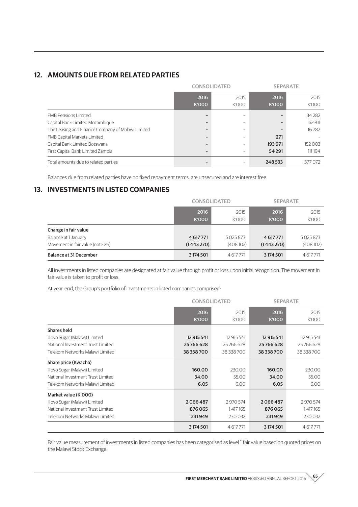## **12. Amounts due from related parties**

|                                                   | <b>CONSOLIDATED</b>  |                          |                      | <b>SEPARATE</b>      |
|---------------------------------------------------|----------------------|--------------------------|----------------------|----------------------|
|                                                   | 2016<br><b>K'000</b> | 2015<br><b>K'000</b>     | 2016<br><b>K'000</b> | 2015<br><b>K'000</b> |
| <b>FMB Pensions Limited</b>                       |                      | -                        |                      | 34 2 82              |
| Capital Bank Limited Mozambique                   |                      | $\overline{\phantom{a}}$ |                      | 62 811               |
| The Leasing and Finance Company of Malawi Limited |                      | $\overline{\phantom{a}}$ |                      | 16782                |
| FMB Capital Markets Limited                       |                      | $\overline{\phantom{a}}$ | 271                  |                      |
| Capital Bank Limited Botswana                     |                      | -                        | 193 971              | 152003               |
| First Capital Bank Limited Zambia                 |                      | -                        | 54 291               | 111 194              |
| Total amounts due to related parties              |                      |                          | 248 533              | 377072               |

Balances due from related parties have no fixed repayment terms, are unsecured and are interest free.

## **13. Investments in listed companies**

|                                  |                      | <b>CONSOLIDATED</b>  | <b>SEPARATE</b>      |                      |  |
|----------------------------------|----------------------|----------------------|----------------------|----------------------|--|
|                                  | 2016<br><b>K'000</b> | 2015<br><b>K'000</b> | 2016<br><b>K'000</b> | 2015<br><b>K'000</b> |  |
| Change in fair value             |                      |                      |                      |                      |  |
| Balance at 1 January             | 4 6 17 7 7 1         | 5025873              | 4 6 17 7 7 1         | 5 0 2 5 8 7 3        |  |
| Movement in fair value (note 26) | (1443270)            | (408102)             | (1443270)            | (408102)             |  |
| <b>Balance at 31 December</b>    | 3 174 501            | 4617771              | 3 174 501            | 4 617 771            |  |

All investments in listed companies are designated at fair value through profit or loss upon initial recognition. The movement in fair value is taken to profit or loss.

At year-end, the Group's portfolio of investments in listed companies comprised:

|                                   |              | <b>CONSOLIDATED</b> | <b>SEPARATE</b> |              |  |
|-----------------------------------|--------------|---------------------|-----------------|--------------|--|
|                                   | 2016         | 2015                | 2016            | 2015         |  |
|                                   | <b>K'000</b> | K'000               | <b>K'000</b>    | K'000        |  |
| Shares held                       |              |                     |                 |              |  |
| Illovo Sugar (Malawi) Limited     | 12 915 541   | 12 915 541          | 12 915 541      | 12 915 541   |  |
| National Investment Trust Limited | 25766628     | 25766628            | 25766628        | 25766628     |  |
| Telekom Networks Malawi Limited   | 38338700     | 38 338 700          | 38338700        | 38 338 700   |  |
| Share price (Kwacha)              |              |                     |                 |              |  |
| Illovo Sugar (Malawi) Limited     | 160.00       | 230.00              | 160.00          | 230.00       |  |
| National Investment Trust Limited | 34.00        | 55.00               | 34.00           | 55.00        |  |
| Telekom Networks Malawi Limited   | 6.05         | 6.00                | 6.05            | 6.00         |  |
| Market value (K'000)              |              |                     |                 |              |  |
| Illovo Sugar (Malawi) Limited     | 2066487      | 2970574             | 2066487         | 2970574      |  |
| National Investment Trust Limited | 876065       | 1417165             | 876065          | 1417165      |  |
| Telekom Networks Malawi Limited   | 231949       | 230 032             | 231949          | 230 032      |  |
|                                   | 3 174 501    | 4 617 771           | 3 174 501       | 4 6 17 7 7 1 |  |

Fair value measurement of investments in listed companies has been categorised as level 1 fair value based on quoted prices on the Malawi Stock Exchange.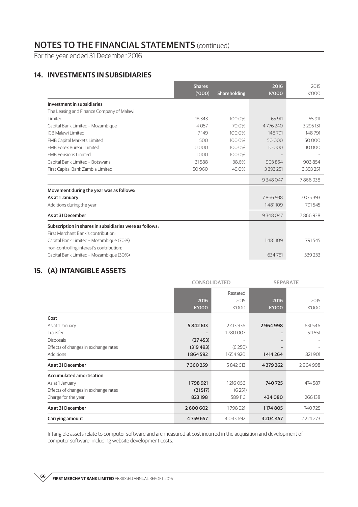For the year ended 31 December 2016

### **14. Investments in subsidiaries**

|                                                         | <b>Shares</b><br>(000) | Shareholding | 2016<br><b>K'000</b> | 2015<br>K'000 |
|---------------------------------------------------------|------------------------|--------------|----------------------|---------------|
| Investment in subsidiaries                              |                        |              |                      |               |
| The Leasing and Finance Company of Malawi               |                        |              |                      |               |
| Limited                                                 | 18.343                 | 100.0%       | 65 911               | 65 911        |
| Capital Bank Limited - Mozambique                       | 4057                   | 70.0%        | 4776240              | 3 2 9 5 1 3 1 |
| <b>ICB Malawi Limited</b>                               | 7149                   | 100.0%       | 148791               | 148791        |
| FMB Capital Markets Limited                             | 500                    | 100.0%       | 50000                | 50000         |
| <b>FMB Forex Bureau Limited</b>                         | 10000                  | 100.0%       | 10 0 0 0             | 10 000        |
| <b>FMB Pensions Limited</b>                             | 1000                   | 100.0%       |                      |               |
| Capital Bank Limited - Botswana                         | 31588                  | 38.6%        | 903854               | 903854        |
| First Capital Bank Zambia Limited                       | 50960                  | 49.0%        | 3 3 9 3 2 5 1        | 3 3 9 3 2 5 1 |
|                                                         |                        |              | 9348047              | 7866938       |
| Movement during the year was as follows:                |                        |              |                      |               |
| As at 1 January                                         |                        |              | 7866938              | 7075393       |
| Additions during the year                               |                        |              | 1481109              | 791545        |
| As at 31 December                                       |                        |              | 9348047              | 7866938       |
| Subscription in shares in subsidiaries were as follows: |                        |              |                      |               |
| First Merchant Bank's contribution:                     |                        |              |                      |               |
| Capital Bank Limited - Mozambique (70%)                 |                        |              | 1481109              | 791545        |
| non-controlling interest's contribution:                |                        |              |                      |               |
| Capital Bank Limited - Mozambique (30%)                 |                        |              | 634761               | 339 233       |

## **15. (a) Intangible Assets**

|                                      | <b>CONSOLIDATED</b>  |                           | <b>SEPARATE</b>      |                   |
|--------------------------------------|----------------------|---------------------------|----------------------|-------------------|
|                                      | 2016<br><b>K'000</b> | Restated<br>2015<br>K'000 | 2016<br><b>K'000</b> | 2015<br>K'000     |
| Cost                                 |                      |                           |                      |                   |
| As at 1 January<br>Transfer          | 5 842 613            | 2 413 936<br>1780007      | 2964998              | 631546<br>1511551 |
| <b>Disposals</b>                     | (27453)              |                           |                      |                   |
| Effects of changes in exchange rates | (319 493)            | (6250)                    |                      |                   |
| Additions                            | 1864592              | 1654920                   | 1414 264             | 821901            |
| As at 31 December                    | 7360259              | 5 842 613                 | 4379262              | 2964998           |
| Accumulated amortisation             |                      |                           |                      |                   |
| As at 1 January                      | 1798921              | 1216056                   | 740725               | 474 587           |
| Effects of changes in exchange rates | (21517)              | (6251)                    |                      |                   |
| Charge for the year                  | 823198               | 589116                    | 434080               | 266138            |
| As at 31 December                    | 2600602              | 1798921                   | 1174805              | 740725            |
| Carrying amount                      | 4759657              | 4043692                   | 3 2 0 4 4 5 7        | 2 2 2 4 2 7 3     |

Intangible assets relate to computer software and are measured at cost incurred in the acquisition and development of computer software, including website development costs.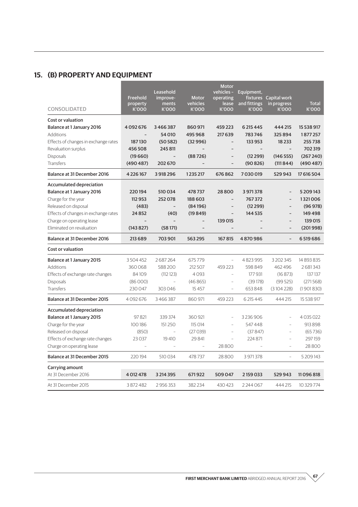# **15. (b) Property and equipment**

|                                                               | Freehold<br><b>property</b> | Leasehold<br>improve-<br>ments | <b>Motor</b><br>vehicles | <b>Motor</b><br>vehicles -<br>operating<br>lease | Equipment,<br>and fittings | fixtures Capital work<br>in progress | <b>Total</b>        |
|---------------------------------------------------------------|-----------------------------|--------------------------------|--------------------------|--------------------------------------------------|----------------------------|--------------------------------------|---------------------|
| <b>CONSOLIDATED</b>                                           | <b>K'000</b>                | <b>K'000</b>                   | <b>K'000</b>             | <b>K'000</b>                                     | <b>K'000</b>               | <b>K'000</b>                         | <b>K'000</b>        |
| Cost or valuation                                             |                             |                                |                          |                                                  |                            |                                      |                     |
| Balance at 1 January 2016                                     | 4092676                     | 3466387                        | 860 971                  | 459 223                                          | 6 215 4 45                 | 444 215                              | 15 538 917          |
| Additions                                                     | $\overline{a}$              | 54 010                         | 495 968                  | 217 639<br>$\overline{a}$                        | 783746                     | 325894                               | 1877257             |
| Effects of changes in exchange rates<br>Revaluation surplus   | 187130<br>456508            | (50582)<br>245 811             | (32996)                  |                                                  | 133 953                    | 18 2 3 3                             | 255738<br>702319    |
| Disposals                                                     | (19660)                     |                                | (88726)                  |                                                  | (12 299)                   | (146555)                             | (267240)            |
| Transfers                                                     | (490487)                    | 202670                         |                          |                                                  | (90826)                    | (111844)                             | (490487)            |
| Balance at 31 December 2016                                   | 4 2 2 6 1 6 7               | 3918296                        | 1235 217                 | 676862                                           | 7030019                    | 529 943                              | 17 616 504          |
| Accumulated depreciation                                      |                             |                                |                          |                                                  |                            |                                      |                     |
| Balance at 1 January 2016                                     | 220 194                     | 510034                         | 478737                   | 28800                                            | 3971378                    | L,                                   | 5 209 143           |
| Charge for the year                                           | 112 953                     | 252078                         | 188603                   | $\overline{\phantom{0}}$                         | 767372                     | $\overline{\phantom{0}}$             | 1321006             |
| Released on disposal                                          | (483)                       | $\overline{a}$                 | (84196)                  |                                                  | (12 299)                   | L,                                   | (96978)             |
| Effects of changes in exchange rates                          | 24852                       | (40)                           | (19849)                  |                                                  | 144535                     |                                      | 149498              |
| Charge on operating lease<br>Eliminated on revaluation        | (143827)                    | (58171)                        | $\overline{\phantom{0}}$ | 139 015<br>$\overline{\phantom{a}}$              |                            | L,<br>÷,                             | 139 015<br>(201998) |
|                                                               |                             |                                |                          |                                                  |                            |                                      |                     |
| Balance at 31 December 2016                                   | 213 689                     | 703 901                        | 563295                   | 167815                                           | 4870986                    |                                      | 6519686             |
| Cost or valuation                                             |                             |                                |                          |                                                  |                            |                                      |                     |
| Balance at 1 January 2015                                     | 3504452                     | 2687264                        | 675779                   |                                                  | 4823995                    | 3 2 0 2 3 4 5                        | 14 893 835          |
| Additions                                                     | 360068                      | 588200                         | 212 507                  | 459 223                                          | 598849                     | 462496                               | 2681343             |
| Effects of exchange rate changes                              | 84109                       | (112123)                       | 4093                     | $\overline{a}$                                   | 177931                     | (16873)                              | 137137              |
| <b>Disposals</b>                                              | (86000)                     | $\frac{1}{2}$                  | (46865)                  | L,                                               | (39178)                    | (99525)                              | (271568)            |
| Transfers                                                     | 230 047                     | 303046                         | 15 4 5 7                 | $\overline{a}$                                   | 653848                     | (3104228)                            | (1901830)           |
| Balance at 31 December 2015                                   | 4092676                     | 3466387                        | 860 971                  | 459 223                                          | 6 2 15 4 45                | 444 215                              | 15 538 917          |
| <b>Accumulated depreciation</b>                               |                             |                                |                          |                                                  |                            |                                      |                     |
| Balance at 1 January 2015                                     | 97821                       | 339 374                        | 360 921                  |                                                  | 3236906                    | i.                                   | 4 0 3 5 0 2 2       |
| Charge for the year                                           | 100186                      | 151250                         | 115 014                  |                                                  | 547448                     |                                      | 913898              |
| Released on disposal                                          | (850)                       |                                | (27039)                  |                                                  | (37847)                    |                                      | (65736)             |
| Effects of exchange rate changes<br>Charge on operating lease | 23037                       | 19410                          | 29 841                   | 28800                                            | 224 871                    |                                      | 297159<br>28800     |
|                                                               |                             |                                |                          |                                                  |                            |                                      |                     |
| Balance at 31 December 2015                                   | 220194                      | 510034                         | 478737                   | 28800                                            | 3 971 378                  |                                      | 5 2 0 9 1 4 3       |
| Carrying amount                                               |                             |                                |                          |                                                  |                            |                                      |                     |
|                                                               |                             |                                |                          |                                                  |                            |                                      |                     |
| At 31 December 2016                                           | 4 012 478                   | 3 2 14 3 9 5                   | 671922                   | 509047                                           | 2159033                    | 529 943                              | 11096818            |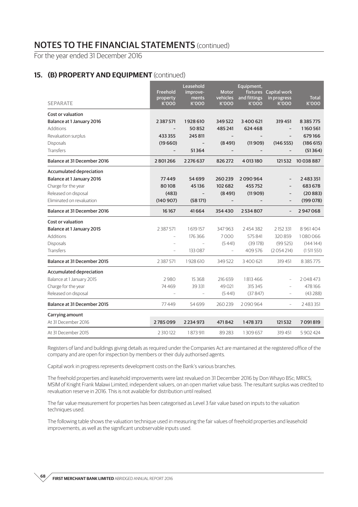For the year ended 31 December 2016

### **15. (b) Property and equipment** (continued)

| <b>SEPARATE</b>             | Freehold<br>property<br><b>K'000</b> | Leasehold<br>improve-<br>ments<br><b>K'000</b> | <b>Motor</b><br>vehicles<br><b>K'000</b> | Equipment,<br>and fittings<br><b>K'000</b> | fixtures Capital work<br>in progress<br><b>K'000</b> | <b>Total</b><br><b>K'000</b> |
|-----------------------------|--------------------------------------|------------------------------------------------|------------------------------------------|--------------------------------------------|------------------------------------------------------|------------------------------|
| Cost or valuation           |                                      |                                                |                                          |                                            |                                                      |                              |
| Balance at 1 January 2016   | 2 3 8 7 5 7 1                        | 1928 610                                       | 349522                                   | 3400621                                    | 319 451                                              | 8385775                      |
| <b>Additions</b>            |                                      | 50852                                          | 485 241                                  | 624468                                     |                                                      | 1160 561                     |
| Revaluation surplus         | 433355                               | 245 811                                        |                                          |                                            |                                                      | 679166                       |
| <b>Disposals</b>            | (19660)                              | $\qquad \qquad -$                              | (8491)                                   | (11909)                                    | (146555)                                             | (186 615)                    |
| Transfers                   |                                      | 51364                                          |                                          |                                            |                                                      | (51364)                      |
| Balance at 31 December 2016 | 2801266                              | 2 2 7 6 6 3 7                                  | 826 272                                  | 4 013 180                                  |                                                      | 121 532 10 038 887           |
| Accumulated depreciation    |                                      |                                                |                                          |                                            |                                                      |                              |
| Balance at 1 January 2016   | 77449                                | 54 699                                         | 260 239                                  | 2090964                                    | $\overline{\phantom{a}}$                             | 2483351                      |
| Charge for the year         | 80108                                | 45 136                                         | 102 682                                  | 455752                                     |                                                      | 683 678                      |
| Released on disposal        | (483)                                |                                                | (8491)                                   | (11909)                                    |                                                      | (20883)                      |
| Eliminated on revaluation   | (140907)                             | (58171)                                        |                                          |                                            |                                                      | (199078)                     |
| Balance at 31 December 2016 | 16167                                | 41664                                          | 354430                                   | 2534807                                    |                                                      | 2947068                      |
| Cost or valuation           |                                      |                                                |                                          |                                            |                                                      |                              |
| Balance at 1 January 2015   | 2 3 8 7 5 7 1                        | 1619157                                        | 347963                                   | 2454382                                    | 2152331                                              | 8961404                      |
| Additions                   | $\qquad \qquad -$                    | 176 366                                        | 7000                                     | 575 841                                    | 320859                                               | 1080066                      |
| Disposals                   |                                      |                                                | (5441)                                   | (39178)                                    | (99525)                                              | (144144)                     |
| Transfers                   |                                      | 133087                                         |                                          | 409 576                                    | (2054214)                                            | (1511551)                    |
| Balance at 31 December 2015 | 2 3 8 7 5 7 1                        | 1928 610                                       | 349522                                   | 3400621                                    | 319 451                                              | 8385775                      |
| Accumulated depreciation    |                                      |                                                |                                          |                                            |                                                      |                              |
| Balance at 1 January 2015   | 2980                                 | 15 3 6 8                                       | 216 659                                  | 1813466                                    |                                                      | 2048473                      |
| Charge for the year         | 74469                                | 39 331                                         | 49 021                                   | 315 345                                    |                                                      | 478 166                      |
| Released on disposal        |                                      |                                                | (5441)                                   | (37847)                                    | $\overline{\phantom{a}}$                             | (43288)                      |
| Balance at 31 December 2015 | 77449                                | 54699                                          | 260 239                                  | 2090964                                    | $\overline{\phantom{0}}$                             | 2483351                      |
| Carrying amount             |                                      |                                                |                                          |                                            |                                                      |                              |
| At 31 December 2016         | 2785099                              | 2 2 3 4 9 7 3                                  | 471842                                   | 1478373                                    | 121532                                               | 7091819                      |
| At 31 December 2015         | 2 3 1 0 1 2 2                        | 1873911                                        | 89283                                    | 1309 657                                   | 319451                                               | 5902424                      |

Registers of land and buildings giving details as required under the Companies Act are maintained at the registered office of the company and are open for inspection by members or their duly authorised agents.

Capital work in progress represents development costs on the Bank's various branches.

The freehold properties and leasehold improvements were last revalued on 31 December 2016 by Don Whayo BSc; MRICS; MSIM of Knight Frank Malawi Limited, independent valuers, on an open market value basis. The resultant surplus was credited to revaluation reserve in 2016. This is not available for distribution until realised.

The fair value measurement for properties has been categorised as Level 3 fair value based on inputs to the valuation techniques used.

The following table shows the valuation technique used in measuring the fair values of freehold properties and leasehold improvements, as well as the significant unobservable inputs used.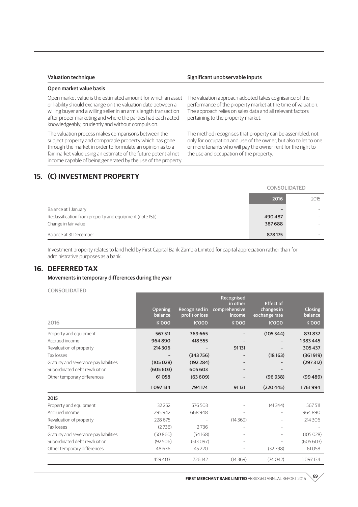#### Open market value basis

Open market value is the estimated amount for which an asset The valuation approach adopted takes cognisance of the or liability should exchange on the valuation date between a willing buyer and a willing seller in an arm's length transaction after proper marketing and where the parties had each acted knowledgeably, prudently and without compulsion.

The valuation process makes comparisons between the subject property and comparable property which has gone through the market in order to formulate an opinion as to a fair market value using an estimate of the future potential net income capable of being generated by the use of the property.

#### Valuation technique The Significant unobservable inputs

performance of the property market at the time of valuation. The approach relies on sales data and all relevant factors pertaining to the property market.

The method recognises that property can be assembled, not only for occupation and use of the owner, but also to let to one or more tenants who will pay the owner rent for the right to the use and occupation of the property.

### **15. (c) Investment property**

#### **CONSOLIDATED**

|                                                         | 2016   | 2015 |
|---------------------------------------------------------|--------|------|
| Balance at 1 January                                    |        |      |
| Reclassification from property and equipment (note 15b) | 490487 |      |
| Change in fair value                                    | 387688 |      |
| Balance at 31 December                                  | 878175 |      |

Investment property relates to land held by First Capital Bank Zambia Limited for capital appreciation rather than for administrative purposes as a bank.

### **16. Deferred tax**

#### Movements in temporary differences during the year

**CONSOLIDATED** 

| 2016                                   | <b>Opening</b><br>balance<br><b>K'000</b> | <b>Recognised in</b><br>profit or loss<br><b>K'000</b> | Recognised<br>in other<br>comprehensive<br>income<br><b>K'000</b> | <b>Effect of</b><br>changes in<br>exchange rate<br><b>K'000</b> | Closing<br>balance<br><b>K'000</b> |
|----------------------------------------|-------------------------------------------|--------------------------------------------------------|-------------------------------------------------------------------|-----------------------------------------------------------------|------------------------------------|
| Property and equipment                 | 567 511                                   | 369665                                                 |                                                                   | (105344)                                                        | 831832                             |
| Accrued income                         | 964890                                    | 418 555                                                |                                                                   |                                                                 | 1383445                            |
| Revaluation of property                | 214 306                                   |                                                        | 91131                                                             |                                                                 | 305437                             |
| Tax losses                             |                                           | (343756)                                               |                                                                   | (18163)                                                         | (361919)                           |
| Gratuity and severance pay liabilities | (105028)                                  | (192284)                                               |                                                                   |                                                                 | (297312)                           |
| Subordinated debt revaluation          | (605603)                                  | 605 603                                                |                                                                   |                                                                 |                                    |
| Other temporary differences            | 61058                                     | (63609)                                                |                                                                   | (96938)                                                         | (99489)                            |
|                                        | 1097134                                   | 794174                                                 | 91131                                                             | (220445)                                                        | 1761994                            |
| 2015                                   |                                           |                                                        |                                                                   |                                                                 |                                    |
| Property and equipment                 | 32 252                                    | 576503                                                 |                                                                   | (41244)                                                         | 567511                             |
| Accrued income                         | 295 942                                   | 668948                                                 |                                                                   |                                                                 | 964890                             |
| Revaluation of property                | 228675                                    |                                                        | (14369)                                                           |                                                                 | 214 306                            |
| Tax losses                             | (2736)                                    | 2736                                                   |                                                                   |                                                                 |                                    |
| Gratuity and severance pay liabilities | (50860)                                   | (54168)                                                |                                                                   |                                                                 | (105 028)                          |
| Subordinated debt revaluation          | (92506)                                   | (513097)                                               |                                                                   |                                                                 | (605603)                           |
| Other temporary differences            | 48636                                     | 45 2 20                                                |                                                                   | (32798)                                                         | 61058                              |
|                                        | 459403                                    | 726142                                                 | (14369)                                                           | (74042)                                                         | 1097134                            |

**<sup>69</sup> FIRST MERCHANT BANK LIMITED** ABRIDGED ANNUAL REPORT 2016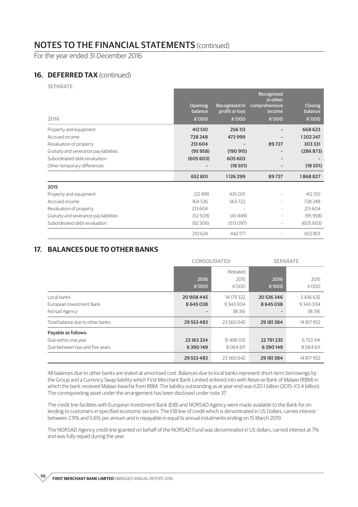For the year ended 31 December 2016

### **16. DEFERRED TAX (continued)**

**SEPARATE** 

| 2016                                   | <b>Opening</b><br>balance<br><b>K'000</b> | Recognised in<br>profit or loss<br><b>K'000</b> | Recognised<br>in other<br>comprehensive<br>income<br><b>K'000</b> | Closing<br>balance<br><b>K'000</b> |
|----------------------------------------|-------------------------------------------|-------------------------------------------------|-------------------------------------------------------------------|------------------------------------|
| Property and equipment                 | 412 510                                   | 256 113                                         |                                                                   | 668 623                            |
| Accrued income                         | 728 248                                   | 473999                                          |                                                                   | 1202247                            |
| Revaluation of property                | 213 604                                   |                                                 | 89727                                                             | 303 331                            |
| Gratuity and severance pay liabilities | (95958)                                   | (190915)                                        |                                                                   | (286 873)                          |
| Subordinated debt revaluation          | (605603)                                  | 605 603                                         |                                                                   |                                    |
| Other temporary differences            |                                           | (18501)                                         |                                                                   | (18501)                            |
|                                        | 652801                                    | 1126 299                                        | 89727                                                             | 1868827                            |
| 2015                                   |                                           |                                                 |                                                                   |                                    |
| Property and equipment                 | (22491)                                   | 435 001                                         |                                                                   | 412 510                            |
| Accrued income                         | 164526                                    | 563722                                          |                                                                   | 728 248                            |
| Revaluation of property                | 213 604                                   |                                                 | $\overline{\phantom{0}}$                                          | 213 604                            |
| Gratuity and severance pay liabilities | (52509)                                   | (43449)                                         |                                                                   | (95958)                            |
| Subordinated debt revaluation          | (92506)                                   | (513097)                                        | -                                                                 | (605603)                           |
|                                        | 210 624                                   | 442177                                          |                                                                   | 652801                             |

## **17. Balances due to other banks**

|                                  |                | <b>CONSOLIDATED</b> | <b>SEPARATE</b> |              |  |
|----------------------------------|----------------|---------------------|-----------------|--------------|--|
|                                  |                | Restated            |                 |              |  |
|                                  | 2016           | 2015                | 2016            | 2015         |  |
|                                  | <b>K'000</b>   | <b>K'000</b>        | <b>K'000</b>    | <b>K'000</b> |  |
| Local banks                      | 20 908 445     | 14 179 322          | 20536346        | 5436632      |  |
| European Investment Bank         | 8645038        | 9343004             | 8645038         | 9343004      |  |
| Norsad Agency                    |                | 38 316              |                 | 38 316       |  |
| Total balance due to other banks | 29 553 483     | 23560642            | 29 181 384      | 14 817 952   |  |
| Payable as follows:              |                |                     |                 |              |  |
| Due within one year              | 23 163 334     | 15 496 031          | 22 791 235      | 6753341      |  |
| Due between two and five years   | 6390149        | 8 0 6 4 6 11        |                 | 8064611      |  |
|                                  | 29 5 5 3 4 8 3 | 23 5 6 0 6 4 2      | 29 181 384      | 14 817 952   |  |

All balances due to other banks are stated at amortised cost. Balances due to local banks represent short-term borrowings by the Group and a Currency Swap liability which First Merchant Bank Limited entered into with Reserve Bank of Malawi (RBM) in which the bank received Malawi Kwacha from RBM. The liability outstanding as at year-end was K20.1 billion (2015: K5.4 billion). The corresponding asset under the arrangement has been disclosed under note 37.

The credit line facilities with European Investment Bank (EIB) and NORSAD Agency were made available to the Bank for on lending to customers in specified economic sectors. The EIB line of credit which is denominated in US Dollars, carries interest between 2.9% and 5.6% per annum and is repayable in equal bi annual instalments ending on 15 March 2019.

The NORSAD Agency credit line granted on behalf of the NORSAD Fund was denominated in US dollars, carried interest at 7% and was fully repaid during the year.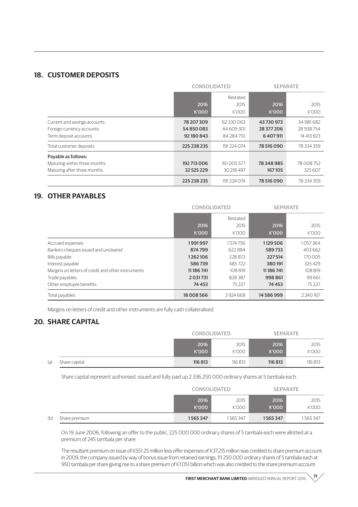# **18. Customer deposits**

|                                                                                    |                                      | <b>CONSOLIDATED</b>                    |                                   | <b>SEPARATE</b>                        |
|------------------------------------------------------------------------------------|--------------------------------------|----------------------------------------|-----------------------------------|----------------------------------------|
|                                                                                    | 2016<br><b>K'000</b>                 | Restated<br>2015<br><b>K'000</b>       | 2016<br><b>K'000</b>              | 2015<br><b>K'000</b>                   |
| Current and savings accounts<br>Foreign currency accounts<br>Term deposit accounts | 78 207 309<br>54 850 083<br>92180843 | 62 330 063<br>44 609 301<br>84 284 710 | 43730973<br>28 377 206<br>6407911 | 34 981 682<br>28 938 754<br>14 413 923 |
| Total customer deposits                                                            | 225 238 235                          | 191 224 074                            | 78 516 090                        | 78 334 359                             |
| Payable as follows:<br>Maturing within three months<br>Maturing after three months | 192 713 006<br>32525229              | 161 005 577<br>30 218 497              | 78348985<br>167105                | 78 008 752<br>325 607                  |
|                                                                                    | 225 238 235                          | 191 224 074                            | 78 516 090                        | 78 334 359                             |

# **19. Other payables**

|                                                    | <b>CONSOLIDATED</b> |              | <b>SEPARATE</b> |              |
|----------------------------------------------------|---------------------|--------------|-----------------|--------------|
|                                                    |                     | Restated     |                 |              |
|                                                    | 2016                | 2015         | 2016            | 2015         |
|                                                    | <b>K'000</b>        | <b>K'000</b> | <b>K'000</b>    | <b>K'000</b> |
| Accrued expenses                                   | 1991997             | 1574756      | 1129 506        | 1057364      |
| Bankers cheques issued and uncleared               | 874799              | 622884       | 589733          | 403 662      |
| Bills payable                                      | 1262106             | 228 873      | 227514          | 170 005      |
| Interest payable                                   | 586739              | 485722       | 380191          | 325429       |
| Margins on letters of credit and other instruments | 11186741            | 108819       | 11186741        | 108 819      |
| Trade payables                                     | 2031731             | 828387       | 998 861         | 99661        |
| Other employee benefits                            | 74 453              | 75227        | 74 453          | 75 2 27      |
| Total payables                                     | 18008566            | 3924668      | 14586999        | 2240167      |

Margins on letters of credit and other instruments are fully cash collateralised.

# **20. Share capital**

|     |               | <b>CONSOLIDATED</b>  |                      | <b>SEPARATE</b>      |               |
|-----|---------------|----------------------|----------------------|----------------------|---------------|
|     |               | 2016<br><b>K'000</b> | 2015<br><b>K'000</b> | 2016<br><b>K'000</b> | 2015<br>K'000 |
| (a) | Share capital | 116813               | 116813               | 116 813              | 116813        |

Share capital represent authorised, issued and fully paid up 2 336 250 000 ordinary shares at 5 tambala each.

|     |               | <b>CONSOLIDATED</b> |         | <b>SEPARATE</b> |              |
|-----|---------------|---------------------|---------|-----------------|--------------|
|     |               | 2016                | 2015    | 2016            | 2015         |
|     |               | <b>K'000</b>        | K'000   | <b>K'000</b>    | <b>K'000</b> |
| (b) | Share premium | 1565347             | 1565347 | 1565347         | 1565347      |

On 19 June 2006, following an offer to the public, 225 000 000 ordinary shares of 5 tambala each were allotted at a premium of 245 tambala per share.

The resultant premium on issue of K551.25 million less offer expenses of K37.215 million was credited to share premium account. In 2009, the company issued by way of bonus issue from retained earnings, 111 250 000 ordinary shares of 5 tambala each at 950 tambala per share giving rise to a share premium of K1.051 billion which was also credited to the share premium account.

**<sup>71</sup> FIRST MERCHANT BANK LIMITED** ABRIDGED ANNUAL REPORT 2016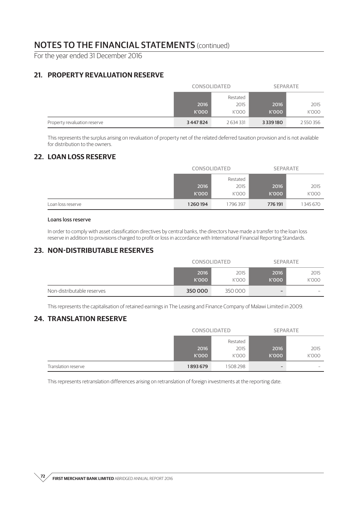For the year ended 31 December 2016

# **21. Property revaluation reserve**

|                              | <b>CONSOLIDATED</b> |              | <b>SEPARATE</b> |         |
|------------------------------|---------------------|--------------|-----------------|---------|
|                              |                     | Restated     |                 |         |
|                              | 2016                | 2015         | 2016            | 2015    |
|                              | <b>K'000</b>        | <b>K'000</b> | <b>K'000</b>    | K'000   |
| Property revaluation reserve | 3447824             | 2634331      | 3339180         | 2550356 |

This represents the surplus arising on revaluation of property net of the related deferred taxation provision and is not available for distribution to the owners.

# **22. Loan loss reserve**

|                   | <b>CONSOLIDATED</b> |              | <b>SEPARATE</b> |          |
|-------------------|---------------------|--------------|-----------------|----------|
|                   |                     | Restated     |                 |          |
|                   | 2016                | 2015         | 2016            | 2015     |
|                   | <b>K'000</b>        | <b>K'000</b> | <b>K'000</b>    | K'000    |
| Loan loss reserve | 1260194             | 1796397      | 776 191         | 1345 670 |

#### Loans loss reserve

In order to comply with asset classification directives by central banks, the directors have made a transfer to the loan loss reserve in addition to provisions charged to profit or loss in accordance with International Financial Reporting Standards.

### **23. Non-distributable reserves**

|                            | <b>CONSOLIDATED</b>  |                      | <b>SEPARATE</b>      |               |
|----------------------------|----------------------|----------------------|----------------------|---------------|
|                            | 2016<br><b>K'000</b> | 2015<br><b>K'000</b> | 2016<br><b>K'000</b> | 2015<br>K'000 |
|                            |                      |                      |                      |               |
| Non-distributable reserves | 350000               | 350000               | -                    | -             |

This represents the capitalisation of retained earnings in The Leasing and Finance Company of Malawi Limited in 2009.

## **24. Translation reserve**

|                     | <b>CONSOLIDATED</b> |              | <b>SEPARATE</b> |                          |
|---------------------|---------------------|--------------|-----------------|--------------------------|
|                     |                     | Restated     |                 |                          |
|                     | 2016                | 2015         | 2016            | 2015                     |
|                     | <b>K'000</b>        | <b>K'000</b> | <b>K'000</b>    | <b>K'000</b>             |
| Translation reserve | 1893679             | 1508298      | -               | $\overline{\phantom{a}}$ |

This represents retranslation differences arising on retranslation of foreign investments at the reporting date.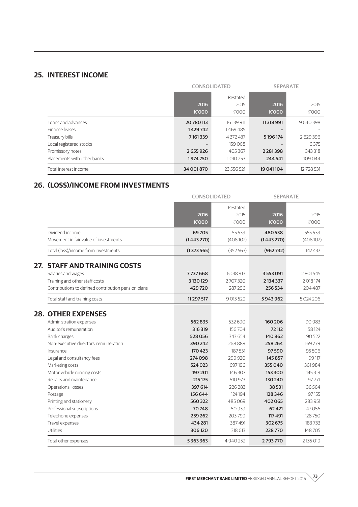# **25. Interest income**

|                             | <b>CONSOLIDATED</b> |              |              | <b>SEPARATE</b> |
|-----------------------------|---------------------|--------------|--------------|-----------------|
|                             |                     | Restated     |              |                 |
|                             | 2016                | 2015         | 2016         | 2015            |
|                             | <b>K'000</b>        | <b>K'000</b> | <b>K'000</b> | <b>K'000</b>    |
| Loans and advances          | 20 780 113          | 16 139 911   | 11 318 991   | 9640398         |
| Finance leases              | 1429742             | 1469485      |              |                 |
| Treasury bills              | 7161339             | 4 372 437    | 5 196 174    | 2629396         |
| Local registered stocks     |                     | 159068       |              | 6375            |
| Promissory notes            | 2655926             | 405367       | 2281398      | 343 318         |
| Placements with other banks | 1974750             | 1010253      | 244 541      | 109044          |
| Total interest income       | 34 001 870          | 23 556 521   | 19 041 104   | 12728531        |

# **26. (Loss)/income from investments**

|     |                                                                                                                                                                                                                                                                                                                                                           | CONSOLIDATED                                                                                                                             |                                                                                                                                      | <b>SEPARATE</b>                                                                                                               |                                                                                                                           |
|-----|-----------------------------------------------------------------------------------------------------------------------------------------------------------------------------------------------------------------------------------------------------------------------------------------------------------------------------------------------------------|------------------------------------------------------------------------------------------------------------------------------------------|--------------------------------------------------------------------------------------------------------------------------------------|-------------------------------------------------------------------------------------------------------------------------------|---------------------------------------------------------------------------------------------------------------------------|
|     |                                                                                                                                                                                                                                                                                                                                                           | 2016<br><b>K'000</b>                                                                                                                     | Restated<br>2015<br><b>K'OOO</b>                                                                                                     | 2016<br><b>K'000</b>                                                                                                          | 2015<br><b>K'000</b>                                                                                                      |
|     | Dividend income<br>Movement in fair value of investments                                                                                                                                                                                                                                                                                                  | 69705<br>(1443270)                                                                                                                       | 55 5 39<br>(408102)                                                                                                                  | 480538<br>(1443270)                                                                                                           | 555 539<br>(408102)                                                                                                       |
|     | Total (loss)/income from investments                                                                                                                                                                                                                                                                                                                      | (1373565)                                                                                                                                | (352 563)                                                                                                                            | (962732)                                                                                                                      | 147 437                                                                                                                   |
| 27. | <b>STAFF AND TRAINING COSTS</b><br>Salaries and wages<br>Training and other staff costs<br>Contributions to defined contribution pension plans                                                                                                                                                                                                            | 7737668<br>3 130 129<br>429720                                                                                                           | 6 018 913<br>2707320<br>287296                                                                                                       | 3 5 5 3 0 9 1<br>2134337<br>256 534                                                                                           | 2801545<br>2018174<br>204 487                                                                                             |
|     | Total staff and training costs                                                                                                                                                                                                                                                                                                                            | 11 297 517                                                                                                                               | 9 013 5 29                                                                                                                           | 5943962                                                                                                                       | 5 0 24 2 0 6                                                                                                              |
|     | <b>28. OTHER EXPENSES</b>                                                                                                                                                                                                                                                                                                                                 |                                                                                                                                          |                                                                                                                                      |                                                                                                                               |                                                                                                                           |
|     | Administration expenses<br>Auditor's remuneration<br><b>Bank charges</b><br>Non-executive directors' remuneration<br>Insurance<br>Legal and consultancy fees<br>Marketing costs<br>Motor vehicle running costs<br>Repairs and maintenance<br>Operational losses<br>Postage<br>Printing and stationery<br>Professional subscriptions<br>Telephone expenses | 316 319<br>528 056<br>390 242<br>170 423<br>274 098<br>524 023<br>197 201<br>215 175<br>397 614<br>156 644<br>560322<br>70748<br>259 262 | 156704<br>343 654<br>268889<br>187531<br>299 920<br>697196<br>146 307<br>510 973<br>226 283<br>124 194<br>485069<br>50 939<br>203799 | 72112<br>140862<br>258 264<br>97590<br>145 857<br>355040<br>153300<br>130 240<br>38531<br>128346<br>402065<br>62421<br>117491 | 58124<br>90522<br>169779<br>95506<br>99117<br>361984<br>145 319<br>97771<br>36564<br>97 155<br>283 951<br>47056<br>128750 |
|     | Travel expenses                                                                                                                                                                                                                                                                                                                                           | 434 281                                                                                                                                  | 387491                                                                                                                               | 302 675                                                                                                                       | 183733                                                                                                                    |
|     | Utilities                                                                                                                                                                                                                                                                                                                                                 | 306120                                                                                                                                   | 318 613                                                                                                                              | 228770                                                                                                                        | 148705                                                                                                                    |
|     | Total other expenses                                                                                                                                                                                                                                                                                                                                      | 5363363                                                                                                                                  | 4940252                                                                                                                              | 2793770                                                                                                                       | 2135019                                                                                                                   |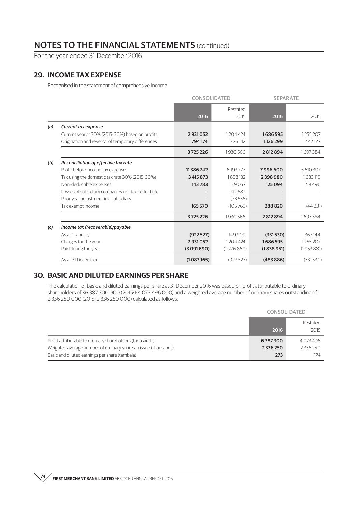For the year ended 31 December 2016

### **29. Income tax expense**

Recognised in the statement of comprehensive income

|     |                                                   | <b>CONSOLIDATED</b> |                  | <b>SEPARATE</b> |           |
|-----|---------------------------------------------------|---------------------|------------------|-----------------|-----------|
|     |                                                   | 2016                | Restated<br>2015 | 2016            | 2015      |
| (a) | Current tax expense                               |                     |                  |                 |           |
|     | Current year at 30% (2015: 30%) based on profits  | 2931052             | 1204 424         | 1686595         | 1255207   |
|     | Origination and reversal of temporary differences | 794174              | 726142           | 1126 299        | 442177    |
|     |                                                   | 3725226             | 1930 566         | 2812894         | 1697384   |
| (b) | Reconciliation of effective tax rate              |                     |                  |                 |           |
|     | Profit before income tax expense                  | 11386242            | 6193773          | 7996600         | 5610397   |
|     | Tax using the domestic tax rate 30% (2015: 30%)   | 3 415 873           | 1858132          | 2398980         | 1683119   |
|     | Non-deductible expenses                           | 143783              | 39 0 57          | 125 094         | 58496     |
|     | Losses of subsidiary companies not tax deductible |                     | 212 682          |                 |           |
|     | Prior year adjustment in a subsidiary             |                     | (73536)          |                 |           |
|     | Tax exempt income                                 | 165 570             | (105769)         | 288820          | (44231)   |
|     |                                                   | 3725226             | 1930 566         | 2812894         | 1697384   |
| (c) | Income tax (recoverable)/payable                  |                     |                  |                 |           |
|     | As at 1 January                                   | (922527)            | 149 909          | (331530)        | 367144    |
|     | Charges for the year                              | 2931052             | 1204424          | 1686595         | 1255207   |
|     | Paid during the year                              | (3091690)           | (2276860)        | (1838951)       | (1953881) |
|     | As at 31 December                                 | (1083165)           | (922527)         | (483886)        | (331530)  |

# **30. Basic and diluted earnings per share**

The calculation of basic and diluted earnings per share at 31 December 2016 was based on profit attributable to ordinary shareholders of K6 387 300 000 (2015: K4 073 496 000) and a weighted average number of ordinary shares outstanding of 2 336 250 000 (2015: 2 336 250 000) calculated as follows:

|                                                                 | <b>CONSOLIDATED</b> |                  |
|-----------------------------------------------------------------|---------------------|------------------|
|                                                                 | 2016                | Restated<br>2015 |
| Profit attributable to ordinary shareholders (thousands)        | 6387300             | 4 0 7 3 4 9 6    |
| Weighted average number of ordinary shares in issue (thousands) | 2336250             | 2336250          |
| Basic and diluted earnings per share (tambala)                  | 273                 | 174              |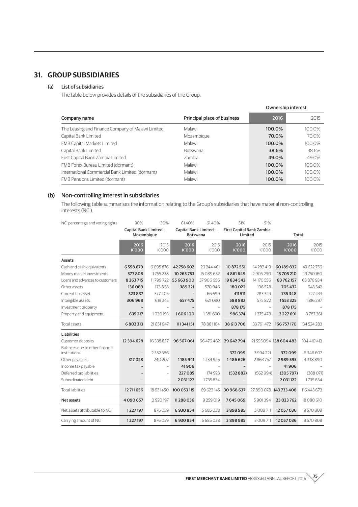### **31. Group subsidiaries**

#### (a) List of subsidiaries

The table below provides details of the subsidiaries of the Group.

|                                                   |                             | Ownership interest |        |
|---------------------------------------------------|-----------------------------|--------------------|--------|
| Company name                                      | Principal place of business | 2016               | 2015   |
| The Leasing and Finance Company of Malawi Limited | Malawi                      | 100.0%             | 100.0% |
| Capital Bank Limited                              | Mozambique                  | 70.0%              | 70.0%  |
| FMB Capital Markets Limited                       | Malawi                      | 100.0%             | 100.0% |
| Capital Bank Limited                              | <b>Botswana</b>             | 38.6%              | 38.6%  |
| First Capital Bank Zambia Limited                 | <b>Zambia</b>               | 49.0%              | 49.0%  |
| FMB Forex Bureau Limited (dormant)                | Malawi                      | 100.0%             | 100.0% |
| International Commercial Bank Limited (dormant)   | Malawi                      | 100.0%             | 100.0% |
| FMB Pensions Limited (dormant)                    | Malawi                      | 100.0%             | 100.0% |

#### (b) Non-controlling interest in subsidiaries

The following table summarises the information relating to the Group's subsidiaries that have material non-controlling interests (NCI).

| NCI percentage and voting rights                | 30%                                  | 30%                      | 61.40%                                    | 61.40%        | 51%                                  | 51%           |                        |                 |
|-------------------------------------------------|--------------------------------------|--------------------------|-------------------------------------------|---------------|--------------------------------------|---------------|------------------------|-----------------|
|                                                 | Capital Bank Limited -<br>Mozambique |                          | Capital Bank Limited -<br><b>Botswana</b> |               | First Capital Bank Zambia<br>Limited |               | Total                  |                 |
|                                                 | 2016<br><b>K'000</b>                 | 2015<br><b>K'000</b>     | 2016<br><b>K'000</b>                      | 2015<br>K'000 | 2016<br><b>K'000</b>                 | 2015<br>K'000 | 2016<br><b>K'000</b>   | 2015<br>K'000   |
| Assets                                          |                                      |                          |                                           |               |                                      |               |                        |                 |
| Cash and cash equivalents                       | 6558679                              | 6095876                  | 42758602                                  | 23 244 461    | 10 872 551                           | 14 282 419    | 60189832               | 43 622 756      |
| Money market investments                        | 577808                               | 1755238                  | 10 265 753                                | 15 089 632    | 4861649                              | 2905290       | 15705210               | 19750160        |
| Loans and advances to customers                 | 8 2 6 3 7 1 5                        | 11799722                 | 55 663 900                                | 37906656      | 19834542                             | 14 170 556    | 83762157               | 63 876 934      |
| Other assets                                    | 136089                               | 173868                   | 389321                                    | 570946        | 180 022                              | 198528        | 705432                 | 943 342         |
| Current tax asset                               | 323837                               | 377405                   |                                           | 66699         | 411511                               | 283 329       | 735348                 | 727433          |
| Intangible assets                               | 306968                               | 619 345                  | 657475                                    | 621080        | 588882                               | 575872        | 1553325                | 1816297         |
| Investment property                             |                                      |                          |                                           |               | 878 175                              | $\equiv$      | 878 175                |                 |
| Property and equipment                          | 635 217                              | 1030193                  | 1606100                                   | 1381690       | 986374                               | 1375478       | 3 2 2 7 6 9 1          | 3787361         |
| Total assets                                    | 6802313                              | 21851647                 | 111 3 41 151                              | 78 881 164    | 38 613 706                           | 33 791 472    | 166 757 170            | 134 524 283     |
| Liabilities                                     |                                      |                          |                                           |               |                                      |               |                        |                 |
| Customer deposits                               | 12 394 628                           | 16 338 857               | 96 567 061                                | 66 476 462    | 29 642 794                           |               | 21595 094 138 604 483  | 104 410 413     |
| Balances due to other financial<br>institutions |                                      | 2 3 5 2 3 8 6            |                                           |               | 372099                               | 3 9 9 4 2 2 1 | 372099                 | 6346607         |
| Other payables                                  | 317028                               | 240 207                  | 1185 941                                  | 1234926       | 1486626                              | 2863757       | 2989595                | 4338890         |
| Income tax payable                              |                                      | $\qquad \qquad -$        | 41906                                     |               |                                      | $\equiv$      | 41906                  |                 |
| Deferred tax liabilities                        |                                      | $\overline{\phantom{0}}$ | 227085                                    | 174 923       | (532882)                             | (562994)      | (305797)               | (388071)        |
| Subordinated debt                               |                                      | $\overline{\phantom{0}}$ | 2031122                                   | 1735834       |                                      | $\equiv$      | 2 0 3 1 1 2 2          | 1735834         |
| <b>Total liabilities</b>                        | 12 711 656                           | 18 931 450               | 100 053 115                               | 69 622 145    | 30 968 637                           |               | 27 890 078 143 733 408 | 116 4 4 3 6 7 3 |
| Net assets                                      | 4090657                              | 2 9 2 0 1 9 7            | 11288036                                  | 9 2 5 9 0 1 9 | 7645069                              | 5901394       | 23 023 762             | 18 080 610      |
| Net assets attributable to NCI                  | 1227197                              | 876059                   | 6930854                                   | 5685038       | 3898985                              | 3009711       | 12 057 036             | 9570808         |
| Carrying amount of NCI                          | 1227197                              | 876059                   | 6930854                                   | 5685038       | 3898985                              | 3009711       | 12 0 5 7 0 3 6         | 9570808         |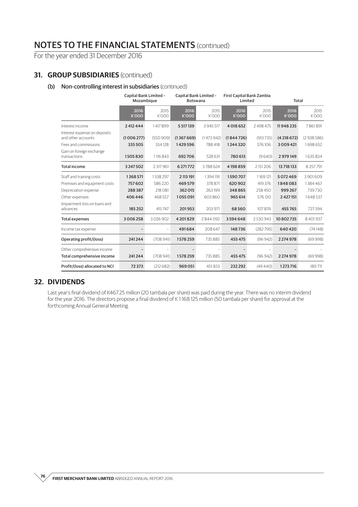For the year ended 31 December 2016

## **31. Group subsidiaries** (continued)

#### (b) Non-controlling interest in subsidiaries (continued)

|                                                    | Capital Bank Limited -<br>Mozambique |               | Capital Bank Limited -<br><b>Botswana</b> |                      | First Capital Bank Zambia<br>Limited |               | <b>Total</b>         |               |
|----------------------------------------------------|--------------------------------------|---------------|-------------------------------------------|----------------------|--------------------------------------|---------------|----------------------|---------------|
|                                                    | 2016<br><b>K'000</b>                 | 2015<br>K'000 | 2016<br><b>K'000</b>                      | 2015<br><b>K'000</b> | 2016<br><b>K'000</b>                 | 2015<br>K'000 | 2016<br><b>K'000</b> | 2015<br>K'000 |
| Interest income                                    | 2412444                              | 1417899       | 5 5 1 7 1 3 9                             | 3 9 4 5 5 1 7        | 4 018 652                            | 2498475       | 11948235             | 7861891       |
| Interest expense on deposits<br>and other accounts | (1006277)                            | (550909)      | (1367669)                                 | (1473942)            | (1844726)                            | (913735)      | (4218672)            | (2938586)     |
| Fees and commissions                               | 335 505                              | 334128        | 1429596                                   | 788418               | 1244320                              | 576106        | 3009421              | 1698652       |
| Gain on foreign exchange<br>transactions           | 1505830                              | 1116843       | 692706                                    | 528 631              | 780 613                              | (9640)        | 2979149              | 1635834       |
| <b>Total income</b>                                | 3 247 502                            | 2 3 1 7 9 6 1 | 6 271 772                                 | 3788624              | 4198859                              | 2151206       | 13 718 133           | 8 2 5 7 7 9 1 |
| Staff and training costs                           | 1368571                              | 1338 297      | 2 113 191                                 | 1394191              | 1590707                              | 1169121       | 5072469              | 3901609       |
| Premises and equipment costs                       | 757 602                              | 586220        | 469579                                    | 378 871              | 620 902                              | 419 376       | 1848083              | 1384467       |
| Depreciation expense                               | 288387                               | 218 081       | 362015                                    | 263199               | 348865                               | 258 450       | 999 267              | 739730        |
| Other expenses                                     | 406446                               | 468 557       | 1055091                                   | 603860               | 965 614                              | 576120        | 2 4 2 7 1 5 1        | 1648537       |
| Impairment loss on loans and<br>advances           | 185 252                              | 415 747       | 201953                                    | 203 971              | 68560                                | 107876        | 455765               | 727594        |
| <b>Total expenses</b>                              | 3006258                              | 3026902       | 4201829                                   | 2844092              | 3594648                              | 2530943       | 10 802 735           | 8401937       |
| Income tax expense                                 |                                      | ٠             | 491684                                    | 208647               | 148736                               | (282795)      | 640420               | (74148)       |
| Operating profit/(loss)                            | 241244                               | (708941)      | 1578259                                   | 735 885              | 455 475                              | (96942)       | 2 2 7 4 9 7 8        | (69998)       |
| Other comprehensive income                         |                                      |               |                                           |                      |                                      |               |                      |               |
| Total comprehensive income                         | 241244                               | (708941)      | 1578259                                   | 735885               | 455 475                              | (96942)       | 2 2 7 4 9 7 8        | (69998)       |
| Profit/(loss) allocated to NCI                     | 72373                                | (212682)      | 969051                                    | 451833               | 232 292                              | (49440)       | 1273716              | 189711        |

### **32. Dividends**

Last year's final dividend of K467.25 million (20 tambala per share) was paid during the year. There was no interim dividend for the year 2016. The directors propose a final dividend of K 1 168 125 million (50 tambala per share) for approval at the forthcoming Annual General Meeting.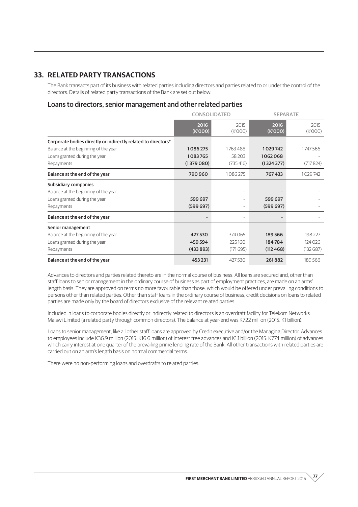# **33. Related party transactions**

The Bank transacts part of its business with related parties including directors and parties related to or under the control of the directors. Details of related party transactions of the Bank are set out below:

### Loans to directors, senior management and other related parties

|                                                               |                 | <b>CONSOLIDATED</b> | <b>SEPARATE</b> |                 |
|---------------------------------------------------------------|-----------------|---------------------|-----------------|-----------------|
|                                                               | 2016<br>(K'000) | 2015<br>(K'OOO)     | 2016<br>(K'000) | 2015<br>(K'OOO) |
| Corporate bodies directly or indirectly related to directors* |                 |                     |                 |                 |
| Balance at the beginning of the year                          | 1086275         | 1763488             | 1029742         | 1747566         |
| Loans granted during the year                                 | 1083765         | 58 203              | 1062068         |                 |
| Repayments                                                    | (1379080)       | (735416)            | (1324377)       | (717824)        |
| Balance at the end of the year                                | 790960          | 1086275             | 767433          | 1029742         |
| Subsidiary companies                                          |                 |                     |                 |                 |
| Balance at the beginning of the year                          |                 |                     |                 |                 |
| Loans granted during the year                                 | 599697          |                     | 599697          |                 |
| Repayments                                                    | (599697)        |                     | (599697)        |                 |
| Balance at the end of the year                                |                 |                     |                 |                 |
| Senior management                                             |                 |                     |                 |                 |
| Balance at the beginning of the year                          | 427530          | 374 065             | 189566          | 198 227         |
| Loans granted during the year                                 | 459 594         | 225160              | 184784          | 124 026         |
| Repayments                                                    | (433893)        | (171695)            | (112468)        | (132687)        |
| Balance at the end of the year                                | 453 231         | 427530              | 261882          | 189566          |

Advances to directors and parties related thereto are in the normal course of business. All loans are secured and, other than staff loans to senior management in the ordinary course of business as part of employment practices, are made on an arms' length basis. They are approved on terms no more favourable than those, which would be offered under prevailing conditions to persons other than related parties. Other than staff loans in the ordinary course of business, credit decisions on loans to related parties are made only by the board of directors exclusive of the relevant related parties.

Included in loans to corporate bodies directly or indirectly related to directors is an overdraft facility for Telekom Networks Malawi Limited (a related party through common directors). The balance at year-end was K722 million (2015: K1 billion).

Loans to senior management, like all other staff loans are approved by Credit executive and/or the Managing Director. Advances to employees include K36.9 million (2015: K16.6 million) of interest free advances and K1.1 billion (2015: K774 million) of advances which carry interest at one quarter of the prevailing prime lending rate of the Bank. All other transactions with related parties are carried out on an arm's length basis on normal commercial terms.

There were no non-performing loans and overdrafts to related parties.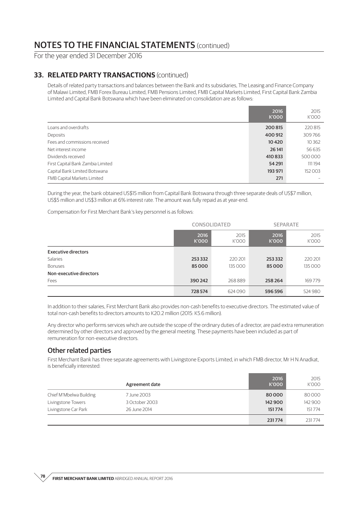For the year ended 31 December 2016

# **33. Related party transactions** (continued)

Details of related party transactions and balances between the Bank and its subsidiaries, The Leasing and Finance Company of Malawi Limited, FMB Forex Bureau Limited, FMB Pensions Limited, FMB Capital Markets Limited, First Capital Bank Zambia Limited and Capital Bank Botswana which have been eliminated on consolidation are as follows:

|                                   | 2016<br><b>K'000</b> | 2015<br>K'000 |
|-----------------------------------|----------------------|---------------|
| Loans and overdrafts              | 200815               | 220 815       |
| Deposits                          | 400 912              | 309766        |
| Fees and commissions received     | 10420                | 10 3 6 2      |
| Net interest income               | 26 141               | 56 635        |
| Dividends received                | 410833               | 500000        |
| First Capital Bank Zambia Limited | 54 291               | 111 194       |
| Capital Bank Limited Botswana     | 193 971              | 152003        |
| FMB Capital Markets Limited       | 271                  |               |

During the year, the bank obtained US\$15 million from Capital Bank Botswana through three separate deals of US\$7 million, US\$5 million and US\$3 million at 6% interest rate. The amount was fully repaid as at year-end.

Compensation for First Merchant Bank's key personnel is as follows:

|                            | <b>CONSOLIDATED</b>  |                      | <b>SEPARATE</b>      |                      |
|----------------------------|----------------------|----------------------|----------------------|----------------------|
|                            | 2016<br><b>K'000</b> | 2015<br><b>K'000</b> | 2016<br><b>K'000</b> | 2015<br><b>K'000</b> |
| <b>Executive directors</b> |                      |                      |                      |                      |
| Salaries                   | 253332               | 220 201              | 253332               | 220 201              |
| <b>Bonuses</b>             | 85000                | 135000               | 85000                | 135000               |
| Non-executive directors    |                      |                      |                      |                      |
| Fees                       | 390 242              | 268889               | 258 264              | 169779               |
|                            | 728 574              | 624090               | 596 596              | 524 980              |

In addition to their salaries, First Merchant Bank also provides non-cash benefits to executive directors. The estimated value of total non-cash benefits to directors amounts to K20.2 million (2015: K5.6 million).

Any director who performs services which are outside the scope of the ordinary duties of a director, are paid extra remuneration determined by other directors and approved by the general meeting. These payments have been included as part of remuneration for non-executive directors.

## Other related parties

First Merchant Bank has three separate agreements with Livingstone Exports Limited, in which FMB director, Mr H N Anadkat, is beneficially interested:

|                         | Agreement date | 2016<br><b>K'000</b> | 2015<br>K'000 |
|-------------------------|----------------|----------------------|---------------|
| Chief M'Mbelwa Building | 7 June 2003    | 80000                | 80000         |
| Livingstone Towers      | 3 October 2003 | 142900               | 142 900       |
| Livingstone Car Park    | 26 June 2014   | 151774               | 151774        |
|                         |                | 231774               | 231774        |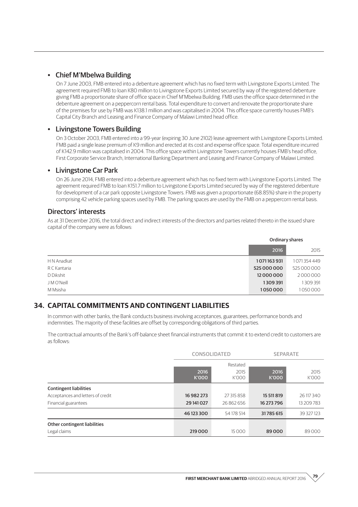### • Chief M'Mbelwa Building

On 7 June 2003, FMB entered into a debenture agreement which has no fixed term with Livingstone Exports Limited. The agreement required FMB to loan K80 million to Livingstone Exports Limited secured by way of the registered debenture giving FMB a proportionate share of office space in Chief M'Mbelwa Building. FMB uses the office space determined in the debenture agreement on a peppercorn rental basis. Total expenditure to convert and renovate the proportionate share of the premises for use by FMB was K138.1 million and was capitalised in 2004. This office space currently houses FMB's Capital City Branch and Leasing and Finance Company of Malawi Limited head office.

### • Livingstone Towers Building

On 3 October 2003, FMB entered into a 99-year (expiring 30 June 2102) lease agreement with Livingstone Exports Limited. FMB paid a single lease premium of K9 million and erected at its cost and expense office space. Total expenditure incurred of K142.9 million was capitalised in 2004. This office space within Livingstone Towers currently houses FMB's head office, First Corporate Service Branch, International Banking Department and Leasing and Finance Company of Malawi Limited.

### **Livingstone Car Park**

On 26 June 2014, FMB entered into a debenture agreement which has no fixed term with Livingstone Exports Limited. The agreement required FMB to loan K151.7 million to Livingstone Exports Limited secured by way of the registered debenture for development of a car park opposite Livingstone Towers. FMB was given a proportionate (68.85%) share in the property comprising 42 vehicle parking spaces used by FMB. The parking spaces are used by the FMB on a peppercorn rental basis.

#### Directors' interests

As at 31 December 2016, the total direct and indirect interests of the directors and parties related thereto in the issued share capital of the company were as follows:

| Ordinary shares |             |  |
|-----------------|-------------|--|
| 2016            | 2015        |  |
| 1071163931      | 1071354449  |  |
| 525 000 000     | 525 000 000 |  |
| 12000000        | 2000000     |  |
| 1309391         | 1309391     |  |
| 1050000         | 1050000     |  |
|                 |             |  |

## **34. Capital commitments and contingent liabilities**

In common with other banks, the Bank conducts business involving acceptances, guarantees, performance bonds and indemnities. The majority of these facilities are offset by corresponding obligations of third parties.

The contractual amounts of the Bank's off-balance sheet financial instruments that commit it to extend credit to customers are as follows:

|                                   |                      | <b>CONSOLIDATED</b>  | <b>SEPARATE</b>      |                      |
|-----------------------------------|----------------------|----------------------|----------------------|----------------------|
|                                   |                      | Restated             |                      |                      |
|                                   | 2016<br><b>K'000</b> | 2015<br><b>K'000</b> | 2016<br><b>K'000</b> | 2015<br><b>K'000</b> |
| <b>Contingent liabilities</b>     |                      |                      |                      |                      |
| Acceptances and letters of credit | 16982273             | 27 315 858           | 15 511 819           | 26 117 340           |
| Financial guarantees              | 29 141 027           | 26 862 656           | 16 273 796           | 13 209 783           |
|                                   | 46 123 300           | 54 178 514           | 31785615             | 39 327 123           |
| Other contingent liabilities      |                      |                      |                      |                      |
| Legal claims                      | 219000               | 15000                | 89000                | 89000                |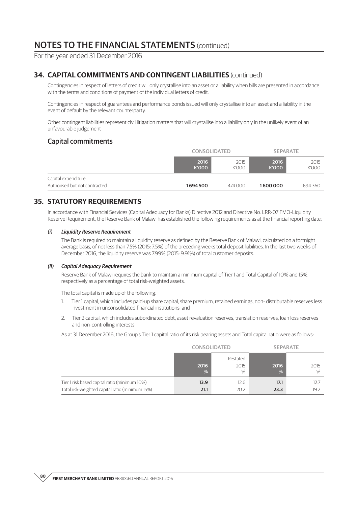For the year ended 31 December 2016

# **34. Capital commitments and contingent liabilities** (continued)

Contingencies in respect of letters of credit will only crystallise into an asset or a liability when bills are presented in accordance with the terms and conditions of payment of the individual letters of credit.

Contingencies in respect of guarantees and performance bonds issued will only crystallise into an asset and a liability in the event of default by the relevant counterparty.

Other contingent liabilities represent civil litigation matters that will crystallise into a liability only in the unlikely event of an unfavourable judgement

### Capital commitments

|                               |                      | <b>CONSOLIDATED</b> | <b>SEPARATE</b>      |               |
|-------------------------------|----------------------|---------------------|----------------------|---------------|
|                               | 2016<br><b>K'000</b> | 2015<br>K'000       | 2016<br><b>K'000</b> | 2015<br>K'000 |
| Capital expenditure           |                      |                     |                      |               |
| Authorised but not contracted | 1694500              | 474 000             | 1600000              | 694360        |

## **35. Statutory requirements**

In accordance with Financial Services (Capital Adequacy for Banks) Directive 2012 and Directive No. LRR-07 FMO-Liquidity Reserve Requirement, the Reserve Bank of Malawi has established the following requirements as at the financial reporting date:

#### *(i) Liquidity Reserve Requirement*

The Bank is required to maintain a liquidity reserve as defined by the Reserve Bank of Malawi, calculated on a fortnight average basis, of not less than 7.5% (2015: 7.5%) of the preceding weeks total deposit liabilities. In the last two weeks of December 2016, the liquidity reserve was 7.99% (2015: 9.91%) of total customer deposits.

#### *(ii) Capital Adequacy Requirement*

Reserve Bank of Malawi requires the bank to maintain a minimum capital of Tier 1 and Total Capital of 10% and 15%, respectively as a percentage of total risk-weighted assets.

The total capital is made up of the following:

- 1. Tier 1 capital, which includes paid-up share capital, share premium, retained earnings, non- distributable reserves less investment in unconsolidated financial institutions; and
- 2. Tier 2 capital, which includes subordinated debt, asset revaluation reserves, translation reserves, loan loss reserves and non-controlling interests.

As at 31 December 2016, the Group's Tier 1 capital ratio of its risk bearing assets and Total capital ratio were as follows:

|                                                                                                  | <b>CONSOLIDATED</b> |                       | <b>SEPARATE</b> |              |
|--------------------------------------------------------------------------------------------------|---------------------|-----------------------|-----------------|--------------|
|                                                                                                  | 2016<br>%           | Restated<br>2015<br>% | 2016<br>$\%$    | 2015<br>%    |
| Tier 1 risk based capital ratio (minimum 10%)<br>Total risk-weighted capital ratio (minimum 15%) | 13.9<br>21.1        | 12.6<br>20.2          | 17.1<br>23.3    | 12.7<br>19.2 |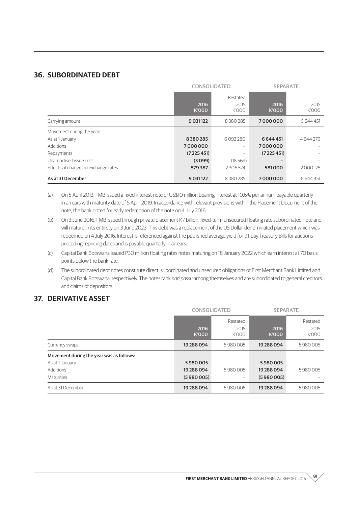# **36. Subordinated debt**

|                                      | <b>CONSOLIDATED</b>  |                                  |                      | <b>SEPARATE</b>      |
|--------------------------------------|----------------------|----------------------------------|----------------------|----------------------|
|                                      | 2016<br><b>K'000</b> | Restated<br>2015<br><b>K'000</b> | 2016<br><b>K'000</b> | 2015<br><b>K'000</b> |
| Carrying amount                      | 9 0 31 1 22          | 8380285                          | 7000000              | 6 6 4 4 4 4 5 1      |
| Movement during the year:            |                      |                                  |                      |                      |
| As at 1 January                      | 8380285              | 6092280                          | 6644451              | 4644276              |
| <b>Additions</b>                     | 7000000              | $\overline{\phantom{m}}$         | 7000000              |                      |
| Repayments                           | (7225451)            | $\overline{\phantom{a}}$         | (7225451)            |                      |
| Unamortised issue cost               | (3099)               | (18569)                          |                      |                      |
| Effects of changes in exchange rates | 879387               | 2306574                          | 581000               | 2000175              |
| As at 31 December                    | 9 0 31 1 22          | 8380285                          | 7000000              | 6 6 4 4 4 4 5 1      |

(a) On 5 April 2013, FMB issued a fixed interest note of US\$10 million bearing interest at 10.6% per annum payable quarterly in arrears with maturity date of 5 April 2019. In accordance with relevant provisions within the Placement Document of the note, the bank opted for early redemption of the note on 4 July 2016.

- (b) On 3 June 2016, FMB issued through private placement K7 billion, fixed-term unsecured floating rate subordinated note and will mature in its entirety on 3 June 2023. This debt was a replacement of the US Dollar-denominated placement which was redeemed on 4 July 2016. Interest is referenced against the published average yield for 91-day Treasury Bills for auctions preceding repricing dates and is payable quarterly in arrears.
- (c) Capital Bank Botswana issued P30 million floating rates notes maturing on 18 January 2022 which earn interest at 70 basis points below the bank rate.
- (d) The subordinated debt notes constitute direct, subordinated and unsecured obligations of First Merchant Bank Limited and Capital Bank Botswana, respectively. The notes rank *pari passu* among themselves and are subordinated to general creditors and claims of depositors.

## **37. Derivative asset**

|                                          | <b>CONSOLIDATED</b>  |                           | <b>SEPARATE</b>      |                                  |
|------------------------------------------|----------------------|---------------------------|----------------------|----------------------------------|
|                                          | 2016<br><b>K'000</b> | Restated<br>2015<br>K'000 | 2016<br><b>K'000</b> | Restated<br>2015<br><b>K'000</b> |
| Currency swaps                           | 19 288 094           | 5980005                   | 19 288 094           | 5980005                          |
| Movement during the year was as follows: |                      |                           |                      |                                  |
| As at 1 January                          | 5980005              | -                         | 5980005              |                                  |
| <b>Additions</b>                         | 19 288 094           | 5980005                   | 19 288 094           | 5980005                          |
| Maturities                               | (5980005)            |                           | (5980005)            |                                  |
| As at 31 December                        | 19 288 094           | 5980005                   | 19 288 094           | 5980005                          |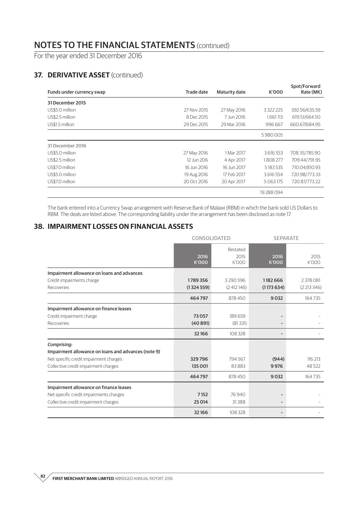For the year ended 31 December 2016

# **37. Derivative asset** (continued)

| Funds under currency swap | <b>Trade date</b> | Maturity date | <b>K'000</b>  | Spot/Forward<br>Rate (MK) |
|---------------------------|-------------------|---------------|---------------|---------------------------|
| 31 December 2015          |                   |               |               |                           |
| US\$5.0 million           | 27 Nov 2015       | 27 May 2016   | 3 3 2 2 2 2 5 | 592.56/635.59             |
| US\$2.5 million           | 8 Dec 2015        | 7 Jun 2016    | 1661113       | 619.51/664.50             |
| US\$1.5 million           | 29 Dec 2015       | 29 Mar 2016   | 996 667       | 660.67/684.95             |
|                           |                   |               | 5980005       |                           |
| 31 December 2016          |                   |               |               |                           |
| US\$5.0 million           | 27 May 2016       | 1 Mar 2017    | 3 616 553     | 708.35/785.90             |
| US\$2.5 million           | 12 Jun 206        | 4 Apr 2017    | 1808277       | 709.44/791.95             |
| US\$7.0 million           | 16 Jun 2016       | 16 Jun 2017   | 5 183 5 35    | 710.04/810.93             |
| US\$5.0 million           | 19 Aug 2016       | 17 Feb 2017   | 3 616 554     | 720.98/773.33             |
| US\$7.0 million           | 20 Oct 2016       | 20 Apr 2017   | 5 0 63 1 75   | 720.87/773.22             |
|                           |                   |               | 19 288 094    |                           |

The bank entered into a Currency Swap arrangement with Reserve Bank of Malawi (RBM) in which the bank sold US Dollars to RBM. The deals are listed above. The corresponding liability under the arrangement has been disclosed as note 17.

### **38. Impairment losses on financial assets**

|                                                     |                      | <b>CONSOLIDATED</b>       | <b>SEPARATE</b>      |               |  |
|-----------------------------------------------------|----------------------|---------------------------|----------------------|---------------|--|
|                                                     | 2016<br><b>K'000</b> | Restated<br>2015<br>K'000 | 2016<br><b>K'000</b> | 2015<br>K'000 |  |
| Impairment allowance on loans and advances          |                      |                           |                      |               |  |
| Credit impairments charge                           | 1789356              | 3290596                   | 1182666              | 2378081       |  |
| Recoveries                                          | (1324559)            | (2412146)                 | (1173634)            | (2213346)     |  |
|                                                     | 464797               | 878450                    | 9032                 | 164735        |  |
| Impairment allowance on finance leases              |                      |                           |                      |               |  |
| Credit impairment charge                            | 73057                | 189659                    |                      |               |  |
| Recoveries                                          | (40891)              | (81331)                   |                      |               |  |
|                                                     | 32166                | 108 328                   |                      |               |  |
| Comprising:                                         |                      |                           |                      |               |  |
| Impairment allowance on loans and advances (note 9) |                      |                           |                      |               |  |
| Net specific credit impairment charges              | 329796               | 794 567                   | (944)                | 116 213       |  |
| Collective credit impairment charges                | 135 001              | 83883                     | 9976                 | 48522         |  |
|                                                     | 464797               | 878450                    | 9032                 | 164735        |  |
| Impairment allowance on finance leases              |                      |                           |                      |               |  |
| Net specific credit impairments charges             | 7152                 | 76,940                    |                      |               |  |
| Collective credit impairment charges                | 25 014               | 31388                     |                      |               |  |
|                                                     | 32166                | 108 328                   |                      |               |  |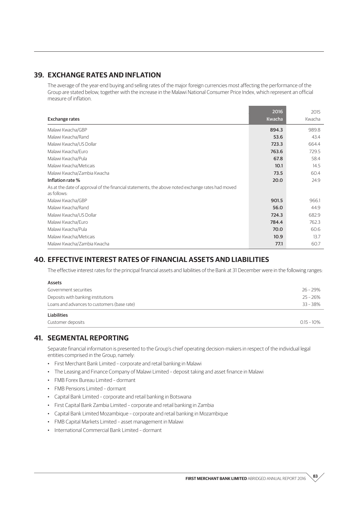## **39. Exchange rates and inflation**

The average of the year-end buying and selling rates of the major foreign currencies most affecting the performance of the Group are stated below, together with the increase in the Malawi National Consumer Price Index, which represent an official measure of inflation.

|                                                                                                                 | 2016   | 2015   |
|-----------------------------------------------------------------------------------------------------------------|--------|--------|
| <b>Exchange rates</b>                                                                                           | Kwacha | Kwacha |
| Malawi Kwacha/GBP                                                                                               | 894.3  | 989.8  |
| Malawi Kwacha/Rand                                                                                              | 53.6   | 43.4   |
| Malawi Kwacha/US Dollar                                                                                         | 723.3  | 664.4  |
| Malawi Kwacha/Euro                                                                                              | 763.6  | 729.5  |
| Malawi Kwacha/Pula                                                                                              | 67.8   | 58.4   |
| Malawi Kwacha/Meticais                                                                                          | 10.1   | 14.5   |
| Malawi Kwacha/Zambia Kwacha                                                                                     | 73.5   | 60.4   |
| Inflation rate %                                                                                                | 20.0   | 24.9   |
| As at the date of approval of the financial statements, the above noted exchange rates had moved<br>as follows: |        |        |
| Malawi Kwacha/GBP                                                                                               | 901.5  | 966.1  |
| Malawi Kwacha/Rand                                                                                              | 56.0   | 44.9   |
| Malawi Kwacha/US Dollar                                                                                         | 724.3  | 682.9  |
| Malawi Kwacha/Euro                                                                                              | 784.4  | 762.3  |
| Malawi Kwacha/Pula                                                                                              | 70.0   | 60.6   |
| Malawi Kwacha/Meticais                                                                                          | 10.9   | 13.7   |
| Malawi Kwacha/Zambia Kwacha                                                                                     | 77.1   | 60.7   |

# **40. Effective interest rates of financial assets and liabilities**

The effective interest rates for the principal financial assets and liabilities of the Bank at 31 December were in the following ranges:

| Government securities                       | 26 - 29%      |
|---------------------------------------------|---------------|
| Deposits with banking institutions          | 25 - 26%      |
| Loans and advances to customers (base rate) | 33 - 38%      |
| <b>Liabilities</b>                          |               |
| Customer deposits                           | $0.15 - 10\%$ |

## **41. Segmental Reporting**

Separate financial information is presented to the Group's chief operating decision-makers in respect of the individual legal entities comprised in the Group, namely:

- First Merchant Bank Limited corporate and retail banking in Malawi
- The Leasing and Finance Company of Malawi Limited deposit taking and asset finance in Malawi
- • FMB Forex Bureau Limited dormant
- • FMB Pensions Limited dormant
- • Capital Bank Limited corporate and retail banking in Botswana
- First Capital Bank Zambia Limited corporate and retail banking in Zambia
- • Capital Bank Limited Mozambique corporate and retail banking in Mozambique
- • FMB Capital Markets Limited asset management in Malawi
- • International Commercial Bank Limited dormant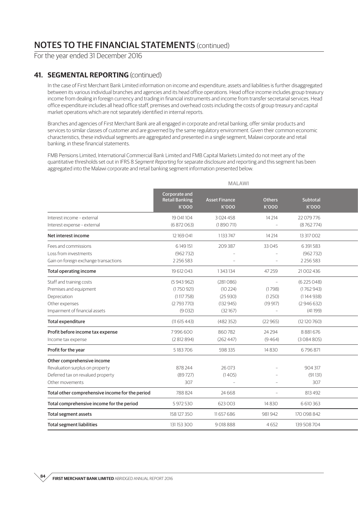For the year ended 31 December 2016

# **41. SEGMENTAL REPORTING** (continued)

In the case of First Merchant Bank Limited information on income and expenditure, assets and liabilities is further disaggregated between its various individual branches and agencies and its head office operations. Head office income includes group treasury income from dealing in foreign currency and trading in financial instruments and income from transfer secretarial services. Head office expenditure includes all head office staff, premises and overhead costs including the costs of group treasury and capital market operations which are not separately identified in internal reports.

Branches and agencies of First Merchant Bank are all engaged in corporate and retail banking, offer similar products and services to similar classes of customer and are governed by the same regulatory environment. Given their common economic characteristics, these individual segments are aggregated and presented in a single segment, Malawi corporate and retail banking, in these financial statements.

FMB Pensions Limited, International Commercial Bank Limited and FMB Capital Markets Limited do not meet any of the quantitative thresholds set out in IFRS 8 *Segment Reporting* for separate disclosure and reporting and this segment has been aggregated into the Malawi corporate and retail banking segment information presented below.

|                                                 |                                                        | <b>MALAWI</b>                        |                          |                   |  |
|-------------------------------------------------|--------------------------------------------------------|--------------------------------------|--------------------------|-------------------|--|
|                                                 | Corporate and<br><b>Retail Banking</b><br><b>K'000</b> | <b>Asset Finance</b><br><b>K'000</b> | Others<br><b>K'000</b>   | Subtotal<br>K'000 |  |
| Interest income - external                      | 19 041 104                                             | 3024458                              | 14 214                   | 22 079 776        |  |
| Interest expense - external                     | (6872063)                                              | (1890711)                            | $\sim$                   | (8762774)         |  |
| Net interest income                             | 12 169 041                                             | 1133747                              | 14 214                   | 13 317 002        |  |
| Fees and commissions                            | 6 149 151                                              | 209387                               | 33045                    | 6391583           |  |
| Loss from investments                           | (962732)                                               |                                      | $\overline{\phantom{0}}$ | (962732)          |  |
| Gain on foreign exchange transactions           | 2 2 5 6 5 8 3                                          | $\sim$                               | $\sim$                   | 2256583           |  |
| Total operating income                          | 19 612 043                                             | 1343134                              | 47259                    | 21002436          |  |
| Staff and training costs                        | (5943962)                                              | (281086)                             | $\sim$                   | (6 2 2 5 0 4 8)   |  |
| Premises and equipment                          | (1750921)                                              | (10224)                              | (1798)                   | (1762943)         |  |
| Depreciation                                    | (1117758)                                              | (25930)                              | (1250)                   | (1144938)         |  |
| Other expenses                                  | (2793770)                                              | (132945)                             | (19917)                  | (2946632)         |  |
| Impairment of financial assets                  | (9032)                                                 | (32167)                              | $\sim$                   | (41199)           |  |
| Total expenditure                               | (11 615 443)                                           | (482352)                             | (22965)                  | (12120760)        |  |
| Profit before income tax expense                | 7996600                                                | 860782                               | 24 2 94                  | 8 8 8 1 6 7 6     |  |
| Income tax expense                              | (2812894)                                              | (262447)                             | (9464)                   | (3084805)         |  |
| Profit for the year                             | 5183706                                                | 598 335                              | 14 8 30                  | 6796871           |  |
| Other comprehensive income                      |                                                        |                                      |                          |                   |  |
| Revaluation surplus on property                 | 878 244                                                | 26 073                               | $\overline{\phantom{a}}$ | 904 317           |  |
| Deferred tax on revalued property               | (89727)                                                | (1405)                               | $\overline{\phantom{a}}$ | (91131)           |  |
| Other movements                                 | 307                                                    | $\overline{\phantom{a}}$             | $\sim$                   | 307               |  |
| Total other comprehensive income for the period | 788 824                                                | 24 6 6 8                             | $\sim$                   | 813 492           |  |
| Total comprehensive income for the period       | 5972530                                                | 623003                               | 14830                    | 6 610 363         |  |
| <b>Total segment assets</b>                     | 158 127 350                                            | 11 657 686                           | 981942                   | 170 098 842       |  |
| <b>Total segment liabilities</b>                | 131 153 300                                            | 9018888                              | 4652                     | 139 508 704       |  |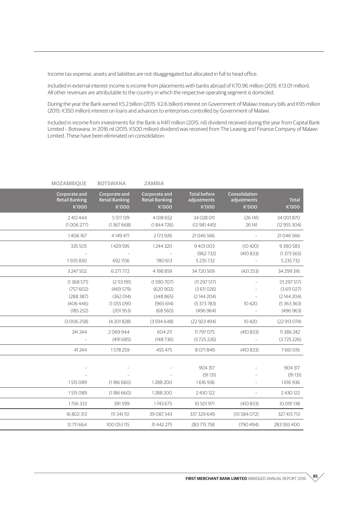Income tax expense, assets and liabilities are not disaggregated but allocated in full to head office.

Included in external interest income is income from placements with banks abroad of K70.96 million (2015: K13.01 million). All other revenues are attributable to the country in which the respective operating segment is domiciled.

During the year the Bank earned K5.2 billion (2015: K2.6 billion) interest on Government of Malawi treasury bills and K95 million (2015: K350 million) interest on loans and advances to enterprises controlled by Government of Malawi.

Included in income from investments for the Bank is K411 million (2015: nil) dividend received during the year from Capital Bank Limited – Botswana. In 2016 nil (2015: K500 million) dividend was received from The Leasing and Finance Company of Malawi Limited. These have been eliminated on consolidation.

|                           |                                       |                                             | ZAMBIA                                          | <b>BOTSWANA</b>                                 | MOZAMBIQUE                                      |
|---------------------------|---------------------------------------|---------------------------------------------|-------------------------------------------------|-------------------------------------------------|-------------------------------------------------|
| <b>Total</b><br>K'000     | Consolidation<br>adjustments<br>K'000 | <b>Total before</b><br>adjustments<br>K'000 | Corporate and<br><b>Retail Banking</b><br>K'000 | Corporate and<br><b>Retail Banking</b><br>K'000 | Corporate and<br><b>Retail Banking</b><br>K'000 |
| 34 001 870<br>(12955304)  | (26141)<br>26 141                     | 34 028 011<br>(12981445)                    | 4 018 652<br>(1844726)                          | 5 517 139<br>(1367668)                          | 2 412 4 4 4<br>(1006277)                        |
| 21046566                  | $\sim$                                | 21046566                                    | 2173926                                         | 4 149 471                                       | 1406167                                         |
| 9390583<br>(1373565)      | (10 420)<br>(410833)                  | 9401003<br>(962732)                         | 1244320<br>$\sim$ $-$                           | 1429 595<br>$\sim$ $-$                          | 335 505<br>$\sim$                               |
| 5 2 3 5 7 3 2             | $\sim$                                | 5 2 3 5 7 3 2                               | 780 613                                         | 692706                                          | 1505830                                         |
| 34 299 316                | (421253)                              | 34720569                                    | 4198859                                         | 6 271 772                                       | 3 247 502                                       |
| (11 297 517)<br>(3611027) | $-$<br>$\sim$                         | (11 297 517)<br>(3611026)                   | (1590707)<br>(620 902)                          | (2 113 191)<br>(469579)                         | (1368571)<br>(757602)                           |
| (2144204)<br>(5363363)    | $\sim$<br>10 4 20                     | (2144204)<br>(5373783)                      | (348865)<br>(965614)                            | (362 014)<br>(1055091)                          | (288387)<br>(406446)                            |
| (49696)                   | $\sim$ $-$                            | (496964)                                    | (68560)                                         | (201953)                                        | (185 252)                                       |
| (22913074)                | 10420                                 | (22923494)                                  | (3594648)                                       | (4201828)                                       | (3006258)                                       |
| 11 386 242<br>(3725226)   | (410833)<br>$\sim$ $-$                | 11797075<br>(3725226)                       | 604 211<br>(148736)                             | 2069944<br>(491685)                             | 241 244<br>$-$                                  |
| 7661016                   | (410833)                              | 8071849                                     | 455 475                                         | 1578259                                         | 41244                                           |
| 904 317                   | $\hspace{0.1mm}-\hspace{0.1mm}$       | 904317                                      | $\sim$                                          |                                                 |                                                 |
| (91131)<br>1616936        | $ \,$                                 | (91131)<br>1616936                          | $\sim$<br>1288200                               | $\sim$<br>(1186660)                             | 1515089                                         |
| 2 4 3 0 1 2 2             | $\sim$                                | 2 4 3 0 1 2 2                               | 1288200                                         | (1186660)                                       | 1515089                                         |
| 10 091 138                | (410833)                              | 10 501 971                                  | 1743 675                                        | 391599                                          | 1756333                                         |
| 327 413 713               | (10584072)                            | 337 329 649                                 | 39 087 343                                      | 111 341 151                                     | 16 802 313                                      |
| 283 593 400               | (790 494)                             | 283 715 758                                 | 31442275                                        | 100 053 115                                     | 12 711 664                                      |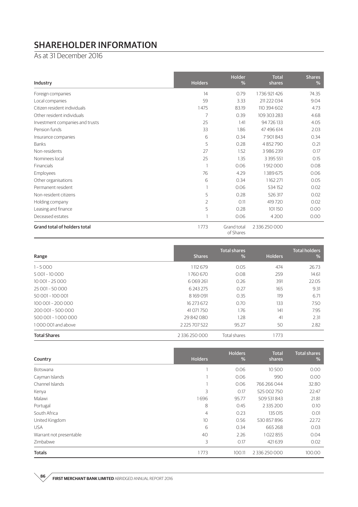# SHAREHOLDER INFORMATION

As at 31 December 2016

| Industry                            | <b>Holders</b> | <b>Holder</b><br>%       | <b>Total</b><br>shares | Shares<br>% |
|-------------------------------------|----------------|--------------------------|------------------------|-------------|
| Foreign companies                   | 14             | 0.79                     | 1736 921 426           | 74.35       |
| Local companies                     | 59             | 3.33                     | 211 222 034            | 9.04        |
| Citizen resident individuals        | 1475           | 83.19                    | 110 394 602            | 4.73        |
| Other resident individuals          | 7              | 0.39                     | 109 303 283            | 4.68        |
| Investment companies and trusts     | 25             | 1.41                     | 94 726 133             | 4.05        |
| Pension funds                       | 33             | 1.86                     | 47 496 614             | 2.03        |
| Insurance companies                 | 6              | 0.34                     | 7901843                | 0.34        |
| Banks                               | 5              | 0.28                     | 4852790                | 0.21        |
| Non-residents                       | 27             | 1.52                     | 3986239                | 0.17        |
| Nominees local                      | 25             | 1.35                     | 3 3 9 5 5 5 1          | 0.15        |
| Financials                          |                | 0.06                     | 1912000                | 0.08        |
| Employees                           | 76             | 4.29                     | 1389675                | 0.06        |
| Other organisations                 | 6              | 0.34                     | 1162 271               | 0.05        |
| Permanent resident                  |                | 0.06                     | 534152                 | 0.02        |
| Non-resident citizens               | 5              | 0.28                     | 526 317                | 0.02        |
| Holding company                     | $\overline{2}$ | 0.11                     | 419720                 | 0.02        |
| Leasing and finance                 | 5              | 0.28                     | 101150                 | 0.00        |
| Deceased estates                    |                | 0.06                     | 4200                   | 0.00        |
| <b>Grand total of holders total</b> | 1773           | Grand total<br>of Shares | 2 3 3 6 2 5 0 0 0 0 0  |             |

|                     |                     | <b>Total shares</b> |                | <b>Total holders</b> |
|---------------------|---------------------|---------------------|----------------|----------------------|
| Range               | <b>Shares</b>       | %                   | <b>Holders</b> | %                    |
| $1 - 5000$          | 1112679             | 0.05                | 474            | 26.73                |
| $5001 - 10000$      | 1760 670            | 0.08                | 259            | 14.61                |
| $10001 - 25000$     | 6 0 6 9 2 6 1       | 0.26                | 391            | 22.05                |
| 25 001 - 50 000     | 6 243 275           | 0.27                | 165            | 9.31                 |
| $50001 - 100001$    | 8169091             | 0.35                | 119            | 6.71                 |
| $100001 - 200000$   | 16 273 672          | 0.70                | 133            | 7.50                 |
| 200 001 - 500 000   | 41 071 750          | 1.76                | 141            | 7.95                 |
| $500001 - 1000000$  | 29842080            | 1.28                | 41             | 2.31                 |
| 1000 001 and above  | 2 2 2 5 7 0 7 5 2 2 | 95.27               | 50             | 2.82                 |
| <b>Total Shares</b> | 2336250000          | Total shares        | 1773           |                      |

| Country                 | <b>Holders</b> | <b>Holders</b><br>$\frac{9}{6}$ | <b>Total</b><br>shares | <b>Total shares</b><br>% |
|-------------------------|----------------|---------------------------------|------------------------|--------------------------|
| Botswana                |                | 0.06                            | 10500                  | 0.00                     |
| Cayman Islands          |                | 0.06                            | 990                    | 0.00                     |
| Channel Islands         |                | 0.06                            | 766 266 044            | 32.80                    |
| Kenya                   | 3              | 0.17                            | 525 002 750            | 22.47                    |
| Malawi                  | 1696           | 95.77                           | 509 531 843            | 21.81                    |
| Portugal                | 8              | 0.45                            | 2 3 3 5 2 0 0          | 0.10                     |
| South Africa            | 4              | 0.23                            | 135 015                | 0.01                     |
| United Kingdom          | 10             | 0.56                            | 530 857 896            | 22.72                    |
| <b>USA</b>              | 6              | 0.34                            | 665268                 | 0.03                     |
| Warrant not presentable | 40             | 2.26                            | 1022855                | 0.04                     |
| Zimbabwe                | 3              | 0.17                            | 421639                 | 0.02                     |
| <b>Totals</b>           | 1773           | 100.11                          | 2336250000             | 100.00                   |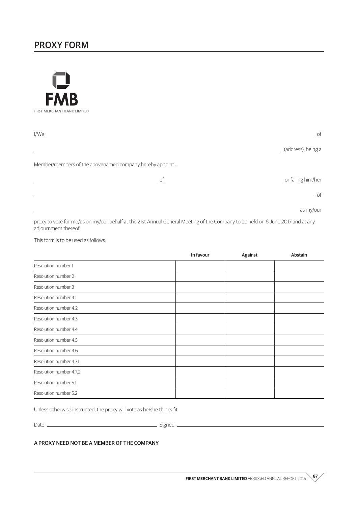# proxy form



|                                                                                   | $\overline{\phantom{a}}$ of |
|-----------------------------------------------------------------------------------|-----------------------------|
|                                                                                   | (address), being a          |
| Member/members of the abovenamed company hereby appoint _________________________ |                             |
|                                                                                   | or failing him/her          |
|                                                                                   |                             |
|                                                                                   | as my/our                   |

proxy to vote for me/us on my/our behalf at the 21st Annual General Meeting of the Company to be held on 6 June 2017 and at any adjournment thereof.

This form is to be used as follows:

|                         | In favour | Against | Abstain |
|-------------------------|-----------|---------|---------|
| Resolution number 1     |           |         |         |
| Resolution number 2     |           |         |         |
| Resolution number 3     |           |         |         |
| Resolution number 4.1   |           |         |         |
| Resolution number 4.2   |           |         |         |
| Resolution number 4.3   |           |         |         |
| Resolution number 4.4   |           |         |         |
| Resolution number 4.5   |           |         |         |
| Resolution number 4.6   |           |         |         |
| Resolution number 4.7.1 |           |         |         |
| Resolution number 4.7.2 |           |         |         |
| Resolution number 5.1   |           |         |         |
| Resolution number 5.2   |           |         |         |

Unless otherwise instructed, the proxy will vote as he/she thinks fit

Date Signed

#### A PROXY NEED NOT BE A MEMBER OF THE COMPANY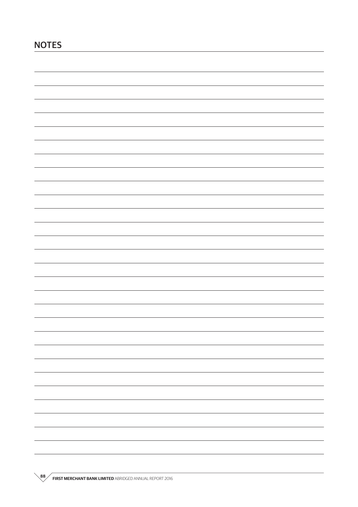# NOTES